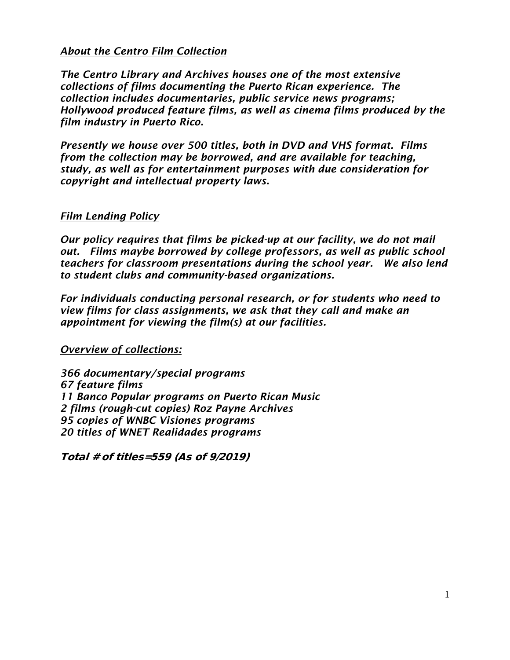# *About the Centro Film Collection*

*The Centro Library and Archives houses one of the most extensive collections of films documenting the Puerto Rican experience. The collection includes documentaries, public service news programs; Hollywood produced feature films, as well as cinema films produced by the film industry in Puerto Rico.* 

*Presently we house over 500 titles, both in DVD and VHS format. Films from the collection may be borrowed, and are available for teaching, study, as well as for entertainment purposes with due consideration for copyright and intellectual property laws.* 

# *Film Lending Policy*

*Our policy requires that films be picked-up at our facility, we do not mail out. Films maybe borrowed by college professors, as well as public school teachers for classroom presentations during the school year. We also lend to student clubs and community-based organizations.* 

*For individuals conducting personal research, or for students who need to view films for class assignments, we ask that they call and make an appointment for viewing the film(s) at our facilities.* 

*Overview of collections:*

*366 documentary/special programs 67 feature films 11 Banco Popular programs on Puerto Rican Music 2 films (rough-cut copies) Roz Payne Archives 95 copies of WNBC Visiones programs 20 titles of WNET Realidades programs*

Total # of titles=559 (As of 9/2019)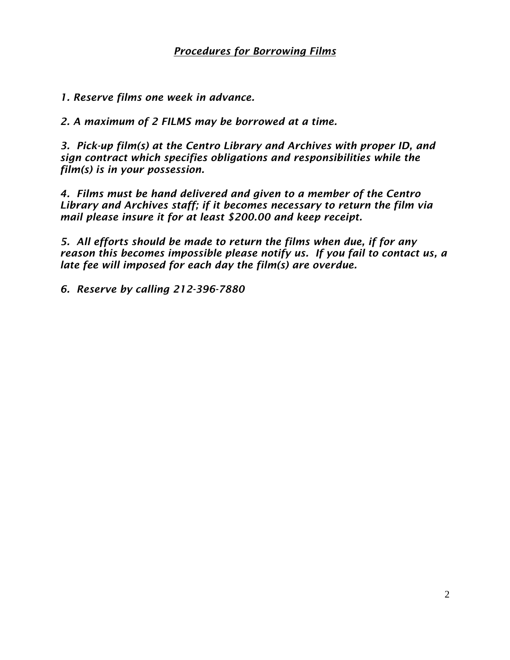*1. Reserve films one week in advance.*

*2. A maximum of 2 FILMS may be borrowed at a time.*

*3. Pick-up film(s) at the Centro Library and Archives with proper ID, and sign contract which specifies obligations and responsibilities while the film(s) is in your possession.*

*4. Films must be hand delivered and given to a member of the Centro Library and Archives staff; if it becomes necessary to return the film via mail please insure it for at least \$200.00 and keep receipt.*

*5. All efforts should be made to return the films when due, if for any reason this becomes impossible please notify us. If you fail to contact us, a late fee will imposed for each day the film(s) are overdue.*

*6. Reserve by calling 212-396-7880*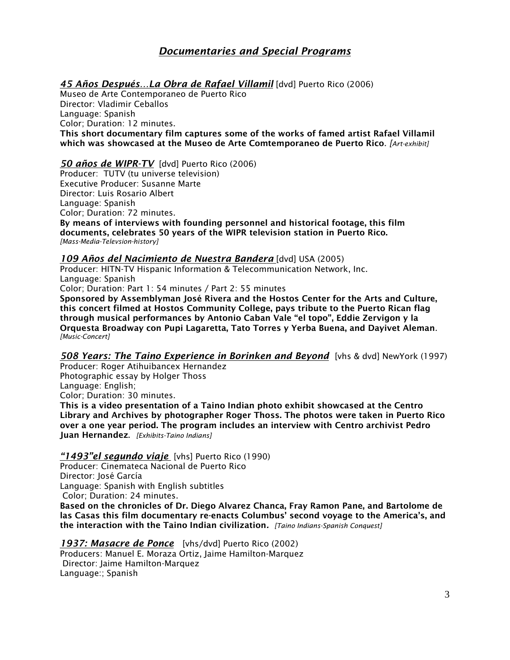# *Documentaries and Special Programs*

*45 Años Después…La Obra de Rafael Villamil* [dvd] Puerto Rico (2006)

Museo de Arte Contemporaneo de Puerto Rico Director: Vladimir Ceballos Language: Spanish Color; Duration: 12 minutes. This short documentary film captures some of the works of famed artist Rafael Villamil which was showcased at the Museo de Arte Comtemporaneo de Puerto Rico. *[Art-exhibit]*

## *50 años de WIPR-TV* [dvd] Puerto Rico (2006)

Producer: TUTV (tu universe television) Executive Producer: Susanne Marte Director: Luis Rosario Albert Language: Spanish Color; Duration: 72 minutes. By means of interviews with founding personnel and historical footage, this film documents, celebrates 50 years of the WIPR television station in Puerto Rico. *[Mass-Media-Televsion-history]*

## *109 Años del Nacimiento de Nuestra Bandera* [dvd] USA (2005)

Producer: HITN-TV Hispanic Information & Telecommunication Network, Inc. Language: Spanish

Color; Duration: Part 1: 54 minutes / Part 2: 55 minutes

Sponsored by Assemblyman José Rivera and the Hostos Center for the Arts and Culture, this concert filmed at Hostos Community College, pays tribute to the Puerto Rican flag through musical performances by Antonio Caban Vale "el topo", Eddie Zervigon y la Orquesta Broadway con Pupi Lagaretta, Tato Torres y Yerba Buena, and Dayivet Aleman. *[Music-Concert]*

*508 Years: The Taino Experience in Borinken and Beyond* [vhs & dvd] NewYork (1997)

Producer: Roger Atihuibancex Hernandez Photographic essay by Holger Thoss Language: English; Color; Duration: 30 minutes. This is a video presentation of a Taino Indian photo exhibit showcased at the Centro

Library and Archives by photographer Roger Thoss. The photos were taken in Puerto Rico over a one year period. The program includes an interview with Centro archivist Pedro Juan Hernandez. *[Exhibits-Taino Indians]*

# *"1493"el segundo viaje* [vhs] Puerto Rico (1990)

Producer: Cinemateca Nacional de Puerto Rico Director: José García Language: Spanish with English subtitles Color; Duration: 24 minutes.

Based on the chronicles of Dr. Diego Alvarez Chanca, Fray Ramon Pane, and Bartolome de las Casas this film documentary re-enacts Columbus' second voyage to the America's, and the interaction with the Taino Indian civilization*. [Taino Indians-Spanish Conquest]*

*1937: Masacre de Ponce* [vhs/dvd] Puerto Rico (2002) Producers: Manuel E. Moraza Ortiz, Jaime Hamilton-Marquez Director: Jaime Hamilton-Marquez Language:; Spanish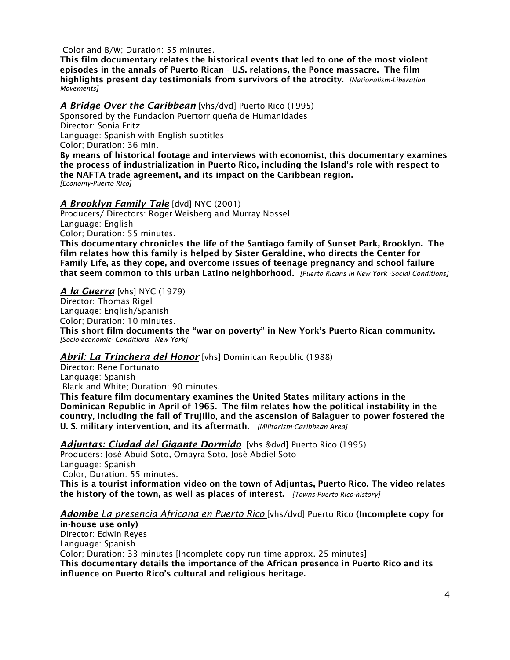Color and B/W; Duration: 55 minutes.

This film documentary relates the historical events that led to one of the most violent episodes in the annals of Puerto Rican - U.S. relations, the Ponce massacre. The film highlights present day testimonials from survivors of the atrocity. *[Nationalism-Liberation Movements]*

*A Bridge Over the Caribbean* [vhs/dvd] Puerto Rico (1995)

Sponsored by the Fundacíon Puertorriqueña de Humanidades Director: Sonia Fritz Language: Spanish with English subtitles

Color; Duration: 36 min.

By means of historical footage and interviews with economist, this documentary examines the process of industrialization in Puerto Rico, including the Island's role with respect to the NAFTA trade agreement, and its impact on the Caribbean region. *[Economy-Puerto Rico]*

## *A Brooklyn Family Tale* [dvd] NYC (2001)

Producers/ Directors: Roger Weisberg and Murray Nossel Language: English Color; Duration: 55 minutes.

This documentary chronicles the life of the Santiago family of Sunset Park, Brooklyn. The film relates how this family is helped by Sister Geraldine, who directs the Center for Family Life, as they cope, and overcome issues of teenage pregnancy and school failure that seem common to this urban Latino neighborhood*. [Puerto Ricans in New York -Social Conditions]*

## *A la Guerra* [vhs] NYC (1979)

Director: Thomas Rigel Language: English/Spanish Color; Duration: 10 minutes. This short film documents the "war on poverty" in New York's Puerto Rican community. *[Socio-economic- Conditions –New York]*

# *Abril: La Trinchera del Honor* [vhs] Dominican Republic (1988)

Director: Rene Fortunato Language: Spanish Black and White; Duration: 90 minutes.

This feature film documentary examines the United States military actions in the Dominican Republic in April of 1965. The film relates how the political instability in the country, including the fall of Trujillo, and the ascension of Balaguer to power fostered the U. S. military intervention, and its aftermath. *[Militarism-Caribbean Area]*

*Adjuntas: Ciudad del Gigante Dormido* [vhs &dvd] Puerto Rico (1995)

Producers: José Abuid Soto, Omayra Soto, José Abdiel Soto Language: Spanish Color; Duration: 55 minutes. This is a tourist information video on the town of Adjuntas, Puerto Rico. The video relates the history of the town, as well as places of interest. *[Towns-Puerto Rico-history]*

#### *Adombe La presencia Africana en Puerto Rico* [vhs/dvd] Puerto Rico (Incomplete copy for

in-house use only) Director: Edwin Reyes Language: Spanish Color; Duration: 33 minutes [Incomplete copy run-time approx. 25 minutes] This documentary details the importance of the African presence in Puerto Rico and its influence on Puerto Rico's cultural and religious heritage.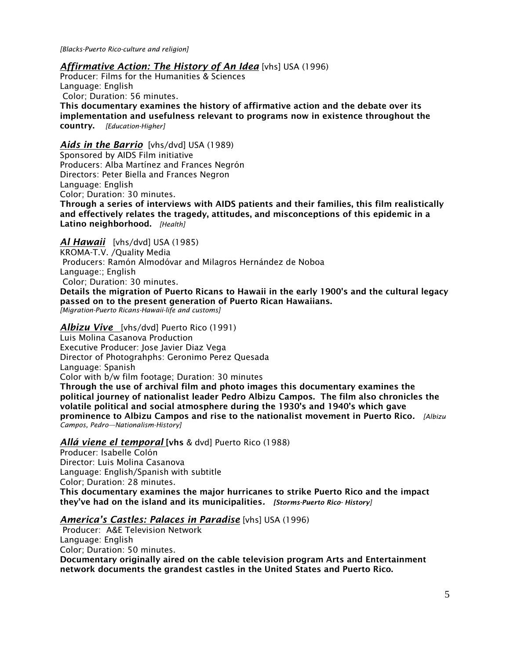*[Blacks-Puerto Rico-culture and religion]* 

#### *Affirmative Action: The History of An Idea* [vhs] USA (1996)

Producer: Films for the Humanities & Sciences Language: English Color; Duration: 56 minutes. This documentary examines the history of affirmative action and the debate over its

implementation and usefulness relevant to programs now in existence throughout the country. *[Education-Higher]*

## *Aids in the Barrio* [vhs/dvd] USA (1989)

Sponsored by AIDS Film initiative Producers: Alba Martínez and Frances Negrón Directors: Peter Biella and Frances Negron Language: English Color; Duration: 30 minutes.

Through a series of interviews with AIDS patients and their families, this film realistically and effectively relates the tragedy, attitudes, and misconceptions of this epidemic in a Latino neighborhood. *[Health]*

*Al Hawaii* [vhs/dvd] USA (1985)

KROMA-T.V. /Quality Media

Producers: Ramón Almodóvar and Milagros Hernández de Noboa

Language:; English

Color; Duration: 30 minutes.

Details the migration of Puerto Ricans to Hawaii in the early 1900's and the cultural legacy passed on to the present generation of Puerto Rican Hawaiians.

*[Migration-Puerto Ricans-Hawaii-life and customs]*

*Albizu Vive* [vhs/dvd] Puerto Rico (1991) Luis Molina Casanova Production Executive Producer: Jose Javier Diaz Vega Director of Photograhphs: Geronimo Perez Quesada Language: Spanish Color with b/w film footage; Duration: 30 minutes Through the use of archival film and photo images this documentary examines the political journey of nationalist leader Pedro Albizu Campos. The film also chronicles the

volatile political and social atmosphere during the 1930's and 1940's which gave prominence to Albizu Campos and rise to the nationalist movement in Puerto Rico*. [Albizu Campos, Pedro—Nationalism-History]*

#### *Allá viene el temporal* [vhs & dvd] Puerto Rico (1988)

Producer: Isabelle Colón Director: Luis Molina Casanova Language: English/Spanish with subtitle Color; Duration: 28 minutes.

This documentary examines the major hurricanes to strike Puerto Rico and the impact they've had on the island and its municipalities*. [Storms-Puerto Rico- History]*

#### *America's Castles: Palaces in Paradise* [vhs] USA (1996)

Producer: A&E Television Network Language: English Color; Duration: 50 minutes. Documentary originally aired on the cable television program Arts and Entertainment network documents the grandest castles in the United States and Puerto Rico.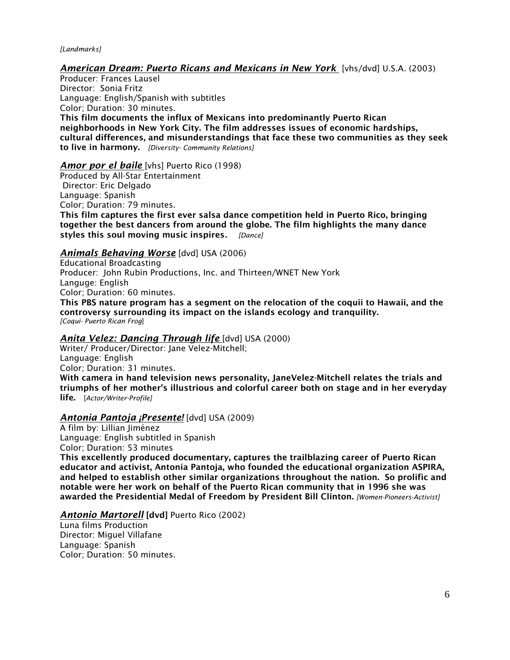#### *[Landmarks]*

#### *American Dream: Puerto Ricans and Mexicans in New York* [vhs/dvd] U.S.A. (2003)

Producer: Frances Lausel Director: Sonia Fritz Language: English/Spanish with subtitles Color; Duration: 30 minutes. This film documents the influx of Mexicans into predominantly Puerto Rican neighborhoods in New York City. The film addresses issues of economic hardships, cultural differences, and misunderstandings that face these two communities as they seek to live in harmony. *[Diversity- Community Relations]*

#### *Amor por el baile* [vhs] Puerto Rico (1998)

Produced by All-Star Entertainment Director: Eric Delgado Language: Spanish Color; Duration: 79 minutes. This film captures the first ever salsa dance competition held in Puerto Rico, bringing together the best dancers from around the globe. The film highlights the many dance styles this soul moving music inspires*. [Dance]*

#### *Animals Behaving Worse* [dvd] USA (2006)

Educational Broadcasting Producer: John Rubin Productions, Inc. and Thirteen/WNET New York Languge: English Color; Duration: 60 minutes. This PBS nature program has a segment on the relocation of the coquii to Hawaii, and the controversy surrounding its impact on the islands ecology and tranquility.

*[Coqui- Puerto Rican Frog*]

#### *Anita Velez: Dancing Through life* [dvd] USA (2000)

Writer/ Producer/Director: Jane Velez-Mitchell; Language: English Color; Duration: 31 minutes. With camera in hand television news personality, JaneVelez-Mitchell relates the trials and triumphs of her mother's illustrious and colorful career both on stage and in her everyday life. [*Actor/Writer-Profile]*

#### *Antonia Pantoja ¡Presente!* [dvd] USA (2009)

A film by: Lillian Jiménez Language: English subtitled in Spanish Color; Duration: 53 minutes

This excellently produced documentary, captures the trailblazing career of Puerto Rican educator and activist, Antonia Pantoja, who founded the educational organization ASPIRA, and helped to establish other similar organizations throughout the nation. So prolific and notable were her work on behalf of the Puerto Rican community that in 1996 she was awarded the Presidential Medal of Freedom by President Bill Clinton. *[Women-Pioneers-Activist]*

#### *Antonio Martorell* [dvd] Puerto Rico (2002)

Luna films Production Director: Miguel Villafane Language: Spanish Color; Duration: 50 minutes.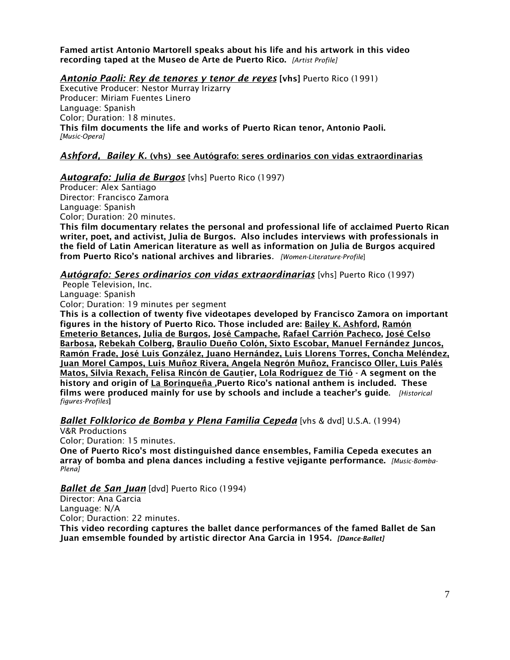Famed artist Antonio Martorell speaks about his life and his artwork in this video recording taped at the Museo de Arte de Puerto Rico. *[Artist Profile]*

*Antonio Paoli: Rey de tenores y tenor de reyes* [vhs] Puerto Rico (1991)

Executive Producer: Nestor Murray Irizarry Producer: Miriam Fuentes Linero Language: Spanish Color; Duration: 18 minutes. This film documents the life and works of Puerto Rican tenor, Antonio Paoli. *[Music-Opera]*

# *Ashford, Bailey K.* (vhs) see Autógrafo: seres ordinarios con vidas extraordinarias

## *Autografo: Julia de Burgos* [vhs] Puerto Rico (1997)

Producer: Alex Santiago Director: Francisco Zamora Language: Spanish Color; Duration: 20 minutes. This film documentary relates the personal and professional life of acclaimed Puerto Rican writer, poet, and activist, Julia de Burgos. Also includes interviews with professionals in the field of Latin American literature as well as information on Julia de Burgos acquired from Puerto Rico's national archives and libraries*. [Women-Literature-Profile*]

*Autógrafo: Seres ordinarios con vidas extraordinarias* [vhs] Puerto Rico (1997)

People Television, Inc.

Language: Spanish Color; Duration: 19 minutes per segment

This is a collection of twenty five videotapes developed by Francisco Zamora on important figures in the history of Puerto Rico. Those included are: Bailey K. Ashford, Ramón Emeterio Betances, Julia de Burgos, José Campache, Rafael Carrión Pacheco, José Celso Barbosa, Rebekah Colberg, Braulio Dueño Colón, Sixto Escobar, Manuel Fernández Juncos, Ramón Frade, José Luis González, Juano Hernández, Luis Llorens Torres, Concha Meléndez, Juan Morel Campos, Luis Muñoz Rivera, Angela Negrón Muñoz, Francisco Oller, Luis Palés Matos, Silvia Rexach, Felisa Rincón de Gautier, Lola Rodríguez de Tió - A segment on the history and origin of La Borinqueña , Puerto Rico's national anthem is included. These films were produced mainly for use by schools and include a teacher's guide. *[Historical figures-Profiles*]

*Ballet Folklorico de Bomba y Plena Familia Cepeda* [vhs & dvd] U.S.A. (1994)

V&R Productions Color; Duration: 15 minutes.

One of Puerto Rico's most distinguished dance ensembles, Familia Cepeda executes an array of bomba and plena dances including a festive vejigante performance. *[Music-Bomba-Plena]*

# *Ballet de San Juan* [dvd] Puerto Rico (1994)

Director: Ana Garcia Language: N/A Color; Duraction: 22 minutes.

This video recording captures the ballet dance performances of the famed Ballet de San Juan emsemble founded by artistic director Ana Garcia in 1954. *[Dance-Ballet]*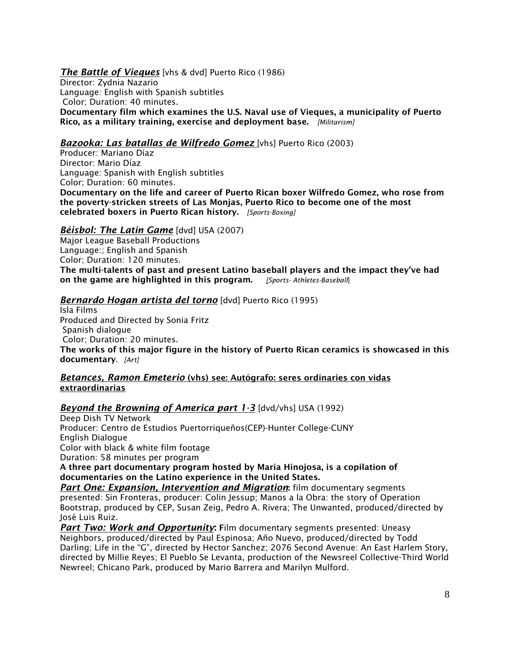# *The Battle of Vieques* [vhs & dvd] Puerto Rico (1986)

Director: Zydnia Nazario Language: English with Spanish subtitles Color; Duration: 40 minutes. Documentary film which examines the U.S. Naval use of Vieques, a municipality of Puerto Rico, as a military training, exercise and deployment base. *[Militarism]*

# *Bazooka: Las batallas de Wilfredo Gomez* [vhs] Puerto Rico (2003)

Producer: Mariano Díaz Director: Mario Díaz Language: Spanish with English subtitles Color; Duration: 60 minutes. Documentary on the life and career of Puerto Rican boxer Wilfredo Gomez, who rose from the poverty-stricken streets of Las Monjas, Puerto Rico to become one of the most celebrated boxers in Puerto Rican history. *[Sports-Boxing]*

# *Béisbol: The Latin Game* [dvd] USA (2007)

Major League Baseball Productions Language:; English and Spanish Color; Duration: 120 minutes. The multi-talents of past and present Latino baseball players and the impact they've had on the game are highlighted in this program. *[Sports- Athletes-Baseball*]

## *Bernardo Hogan artista del torno* [dvd] Puerto Rico (1995)

Isla Films Produced and Directed by Sonia Fritz Spanish dialogue Color; Duration: 20 minutes. The works of this major figure in the history of Puerto Rican ceramics is showcased in this documentary. *[Art]*

#### *Betances, Ramon Emeterio* (vhs) see: Autógrafo: seres ordinaries con vidas extraordinarias

# **Beyond the Browning of America part 1-3** [dvd/vhs] USA (1992)

Deep Dish TV Network Producer: Centro de Estudios Puertorriqueños(CEP)-Hunter College-CUNY English Dialogue Color with black & white film footage Duration: 58 minutes per program

A three part documentary program hosted by Maria Hinojosa, is a copilation of documentaries on the Latino experience in the United States.

*Part One: Expansion, Intervention and Migration*: film documentary segments presented: Sin Fronteras, producer: Colin Jessup; Manos a la Obra: the story of Operation Bootstrap, produced by CEP, Susan Zeig, Pedro A. Rivera; The Unwanted, produced/directed by José Luis Ruiz.

*Part Two: Work and Opportunity*: Film documentary segments presented: Uneasy Neighbors, produced/directed by Paul Espinosa; Año Nuevo, produced/directed by Todd Darling; Life in the "G", directed by Hector Sanchez; 2076 Second Avenue: An East Harlem Story, directed by Millie Reyes; El Pueblo Se Levanta, production of the Newsreel Collective-Third World Newreel; Chicano Park, produced by Mario Barrera and Marilyn Mulford.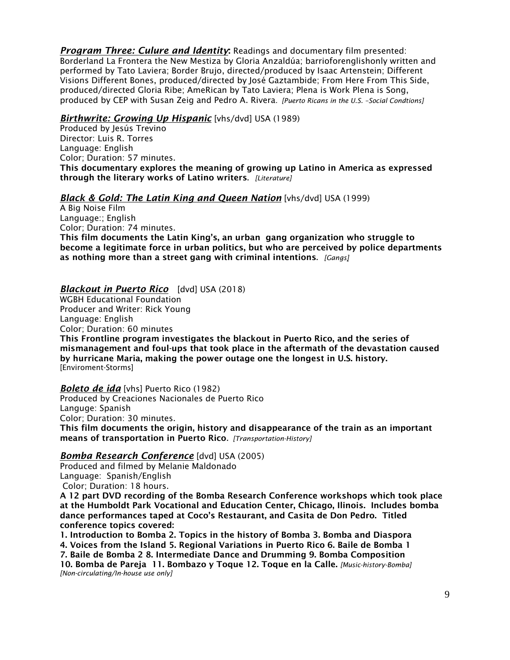*Program Three: Culure and Identity*: Readings and documentary film presented: Borderland La Frontera the New Mestiza by Gloria Anzaldúa; barrioforenglishonly written and performed by Tato Laviera; Border Brujo, directed/produced by Isaac Artenstein; Different Visions Different Bones, produced/directed by José Gaztambide; From Here From This Side, produced/directed Gloria Ribe; AmeRican by Tato Laviera; Plena is Work Plena is Song, produced by CEP with Susan Zeig and Pedro A. Rivera*. [Puerto Ricans in the U.S. –Social Condtions]*

## *Birthwrite: Growing Up Hispanic* [vhs/dvd] USA (1989)

Produced by Jesús Trevino Director: Luis R. Torres Language: English Color; Duration: 57 minutes. This documentary explores the meaning of growing up Latino in America as expressed through the literary works of Latino writers. *[Literature]*

## *Black & Gold: The Latin King and Queen Nation* [vhs/dvd] USA (1999)

A Big Noise Film Language:; English Color; Duration: 74 minutes. This film documents the Latin King's, an urban gang organization who struggle to become a legitimate force in urban politics, but who are perceived by police departments as nothing more than a street gang with criminal intentions. *[Gangs]*

## *Blackout in Puerto Rico* [dvd] USA (2018)

WGBH Educational Foundation Producer and Writer: Rick Young Language: English

Color; Duration: 60 minutes

This Frontline program investigates the blackout in Puerto Rico, and the series of mismanagement and foul-ups that took place in the aftermath of the devastation caused by hurricane Maria, making the power outage one the longest in U.S. history. [Enviroment-Storms]

*Boleto de ida* [vhs] Puerto Rico (1982) Produced by Creaciones Nacionales de Puerto Rico Languge: Spanish Color; Duration: 30 minutes. This film documents the origin, history and disappearance of the train as an important means of transportation in Puerto Rico*. [Transportation-History]*

#### *Bomba Research Conference* [dvd] USA (2005)

Produced and filmed by Melanie Maldonado Language: Spanish/English Color; Duration: 18 hours.

A 12 part DVD recording of the Bomba Research Conference workshops which took place at the Humboldt Park Vocational and Education Center, Chicago, Ilinois. Includes bomba dance performances taped at Coco's Restaurant, and Casita de Don Pedro. Titled conference topics covered:

1. Introduction to Bomba 2. Topics in the history of Bomba 3. Bomba and Diaspora 4. Voices from the Island 5. Regional Variations in Puerto Rico 6. Baile de Bomba 1 7. Baile de Bomba 2 8. Intermediate Dance and Drumming 9. Bomba Composition 10. Bomba de Pareja 11. Bombazo y Toque 12. Toque en la Calle. *[Music-history-Bomba] [Non-circulating/In-house use only]*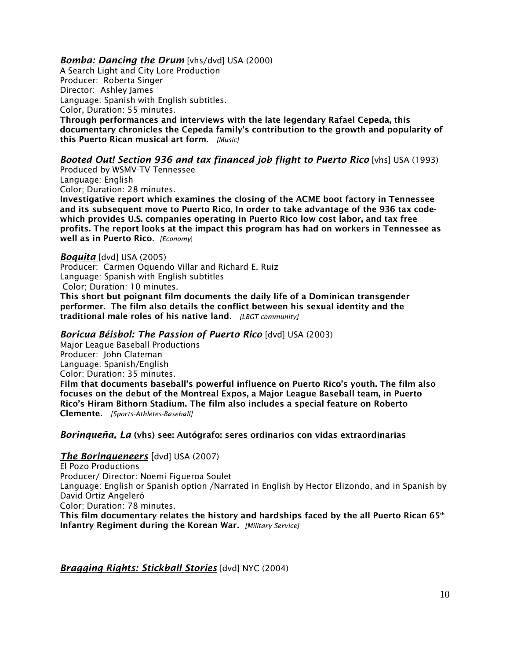## *Bomba: Dancing the Drum* [vhs/dvd] USA (2000)

A Search Light and City Lore Production Producer: Roberta Singer Director: Ashley James Language: Spanish with English subtitles. Color, Duration: 55 minutes. Through performances and interviews with the late legendary Rafael Cepeda, this documentary chronicles the Cepeda family's contribution to the growth and popularity of this Puerto Rican musical art form. *[Music]*

# *Booted Out! Section 936 and tax financed job flight to Puerto Rico* [vhs] USA (1993)

Produced by WSMV-TV Tennessee Language: English

Color; Duration: 28 minutes.

Investigative report which examines the closing of the ACME boot factory in Tennessee and its subsequent move to Puerto Rico, In order to take advantage of the 936 tax codewhich provides U.S. companies operating in Puerto Rico low cost labor, and tax free profits. The report looks at the impact this program has had on workers in Tennessee as well as in Puerto Rico. *[Economy*]

#### *Boquita* [dvd] USA (2005)

Producer: Carmen Oquendo Villar and Richard E. Ruiz Language: Spanish with English subtitles Color; Duration: 10 minutes. This short but poignant film documents the daily life of a Dominican transgender performer. The film also details the conflict between his sexual identity and the

traditional male roles of his native land. *[LBGT community]* 

## *Boricua Béisbol: The Passion of Puerto Rico* [dvd] USA (2003)

Major League Baseball Productions Producer: John Clateman Language: Spanish/English Color; Duration: 35 minutes.

Film that documents baseball's powerful influence on Puerto Rico's youth. The film also focuses on the debut of the Montreal Expos, a Major League Baseball team, in Puerto Rico's Hiram Bithorn Stadium. The film also includes a special feature on Roberto Clemente*. [Sports-Athletes-Baseball]*

#### *Borinqueña, La* (vhs) see: Autógrafo: seres ordinarios con vidas extraordinarias

#### *The Borinqueneers* [dvd] USA (2007)

El Pozo Productions

Producer/ Director: Noemi Figueroa Soulet

Language: English or Spanish option /Narrated in English by Hector Elizondo, and in Spanish by David Ortiz Angeleró

Color; Duration: 78 minutes.

This film documentary relates the history and hardships faced by the all Puerto Rican 65 $th$ Infantry Regiment during the Korean War*. [Military Service]*

*Bragging Rights: Stickball Stories* [dvd] NYC (2004)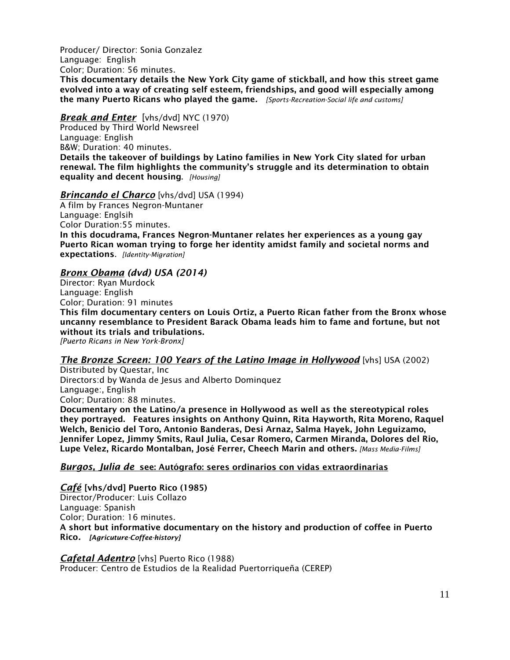Producer/ Director: Sonia Gonzalez Language: English Color; Duration: 56 minutes.

This documentary details the New York City game of stickball, and how this street game evolved into a way of creating self esteem, friendships, and good will especially among the many Puerto Ricans who played the game*. [Sports-Recreation-Social life and customs]*

## *Break and Enter* [vhs/dvd] NYC (1970)

Produced by Third World Newsreel Language: English B&W; Duration: 40 minutes. Details the takeover of buildings by Latino families in New York City slated for urban renewal. The film highlights the community's struggle and its determination to obtain equality and decent housing. *[Housing]*

## *Brincando el Charco* [vhs/dvd] USA (1994)

A film by Frances Negron-Muntaner Language: Englsih Color Duration:55 minutes. In this docudrama, Frances Negron-Muntaner relates her experiences as a young gay Puerto Rican woman trying to forge her identity amidst family and societal norms and expectations. *[Identity-Migration]*

# *Bronx Obama (dvd) USA (2014)*

Director: Ryan Murdock Language: English Color; Duration: 91 minutes This film documentary centers on Louis Ortiz, a Puerto Rican father from the Bronx whose uncanny resemblance to President Barack Obama leads him to fame and fortune, but not without its trials and tribulations. *[Puerto Ricans in New York-Bronx]*

#### *The Bronze Screen: 100 Years of the Latino Image in Hollywood* [vhs] USA (2002)

Distributed by Questar, Inc Directors:d by Wanda de Jesus and Alberto Dominquez Language:, English Color; Duration: 88 minutes.

Documentary on the Latino/a presence in Hollywood as well as the stereotypical roles they portrayed. Features insights on Anthony Quinn, Rita Hayworth, Rita Moreno, Raquel Welch, Benicio del Toro, Antonio Banderas, Desi Arnaz, Salma Hayek, John Leguizamo, Jennifer Lopez, Jimmy Smits, Raul Julia, Cesar Romero, Carmen Miranda, Dolores del Rio, Lupe Velez, Ricardo Montalban, José Ferrer, Cheech Marin and others. *[Mass Media-Films]*

## *Burgos, Julia de* see: Autógrafo: seres ordinarios con vidas extraordinarias

*Café* [vhs/dvd] Puerto Rico (1985) Director/Producer: Luis Collazo Language: Spanish Color; Duration: 16 minutes. A short but informative documentary on the history and production of coffee in Puerto Rico*. [Agricuture-Coffee-history]*

*Cafetal Adentro* [vhs] Puerto Rico (1988) Producer: Centro de Estudios de la Realidad Puertorriqueña (CEREP)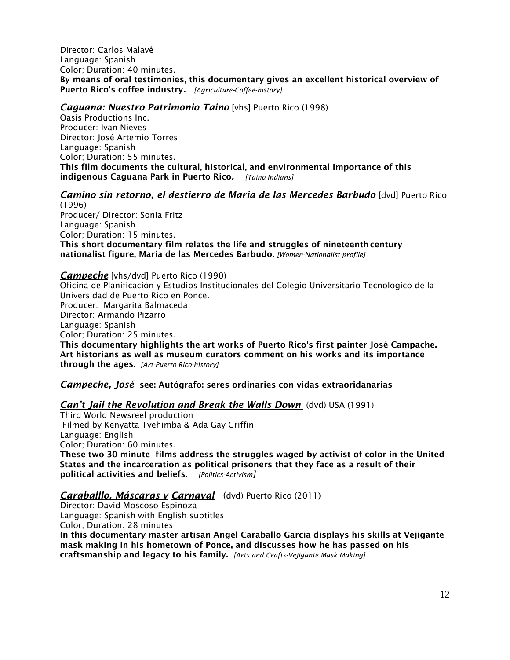Director: Carlos Malavé Language: Spanish Color; Duration: 40 minutes. By means of oral testimonies, this documentary gives an excellent historical overview of Puerto Rico's coffee industry*. [Agriculture-Coffee-history]*

## *Caguana: Nuestro Patrimonio Taino* [vhs] Puerto Rico (1998)

Oasis Productions Inc. Producer: Ivan Nieves Director: José Artemio Torres Language: Spanish Color; Duration: 55 minutes. This film documents the cultural, historical, and environmental importance of this indigenous Caguana Park in Puerto Rico*. [Taino Indians]*

## *Camino sin retorno, el destierro de Maria de las Mercedes Barbudo* [dvd] Puerto Rico

(1996) Producer/ Director: Sonia Fritz Language: Spanish Color; Duration: 15 minutes. This short documentary film relates the life and struggles of nineteenth century nationalist figure, Maria de las Mercedes Barbudo. *[Women-Nationalist-profile]*

*Campeche* [vhs/dvd] Puerto Rico (1990) Oficina de Planificación y Estudios Institucionales del Colegio Universitario Tecnologico de la Universidad de Puerto Rico en Ponce. Producer: Margarita Balmaceda Director: Armando Pizarro Language: Spanish Color; Duration: 25 minutes. This documentary highlights the art works of Puerto Rico's first painter José Campache. Art historians as well as museum curators comment on his works and its importance through the ages. *[Art-Puerto Rico-history]* 

# *Campeche, José* see: Autógrafo: seres ordinaries con vidas extraoridanarias

#### *Can't Jail the Revolution and Break the Walls Down* (dvd) USA (1991)

Third World Newsreel production Filmed by Kenyatta Tyehimba & Ada Gay Griffin Language: English Color; Duration: 60 minutes. These two 30 minute films address the struggles waged by activist of color in the United States and the incarceration as political prisoners that they face as a result of their political activities and beliefs. *[Politics-Activism]*

# *Caraballlo, Máscaras y Carnaval* (dvd) Puerto Rico (2011)

Director: David Moscoso Espinoza Language: Spanish with English subtitles Color; Duration: 28 minutes

In this documentary master artisan Angel Caraballo Garcia displays his skills at Vejigante mask making in his hometown of Ponce, and discusses how he has passed on his craftsmanship and legacy to his family. *[Arts and Crafts-Vejigante Mask Making]*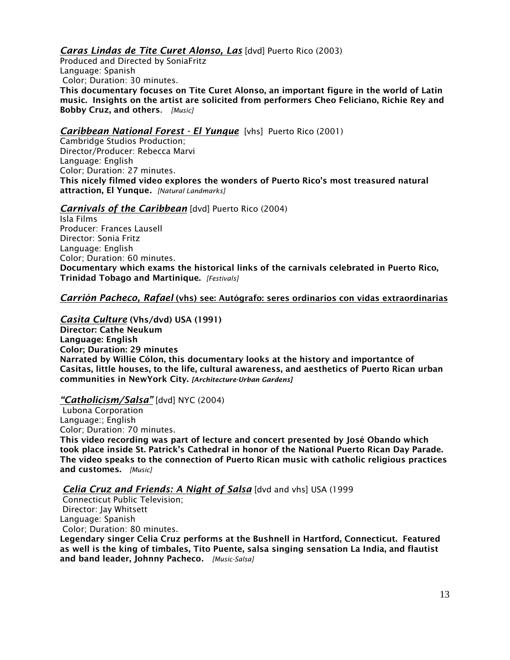# *Caras Lindas de Tite Curet Alonso, Las* [dvd] Puerto Rico (2003)

Produced and Directed by SoniaFritz Language: Spanish Color; Duration: 30 minutes. This documentary focuses on Tite Curet Alonso, an important figure in the world of Latin music. Insights on the artist are solicited from performers Cheo Feliciano, Richie Rey and Bobby Cruz, and others*. [Music]*

## *Caribbean National Forest - El Yunque* [vhs] Puerto Rico (2001)

Cambridge Studios Production; Director/Producer: Rebecca Marvi Language: English Color; Duration: 27 minutes. This nicely filmed video explores the wonders of Puerto Rico's most treasured natural attraction, El Yunque*. [Natural Landmarks]*

## *Carnivals of the Caribbean* [dvd] Puerto Rico (2004)

Isla Films Producer: Frances Lausell Director: Sonia Fritz Language: English Color; Duration: 60 minutes. Documentary which exams the historical links of the carnivals celebrated in Puerto Rico, Trinidad Tobago and Martinique. *[Festivals]*

## *Carrión Pacheco, Rafael* (vhs) see: Autógrafo: seres ordinarios con vidas extraordinarias

*Casita Culture* (Vhs/dvd) USA (1991) Director: Cathe Neukum Language: English Color; Duration: 29 minutes Narrated by Willie Cólon, this documentary looks at the history and importantce of Casitas, little houses, to the life, cultural awareness, and aesthetics of Puerto Rican urban communities in NewYork City. *[Architecture-Urban Gardens]*

#### *"Catholicism/Salsa"* [dvd] NYC (2004)

Lubona Corporation Language:; English Color; Duration: 70 minutes. This video recording was part of lecture and concert presented by José Obando which took place inside St. Patrick's Cathedral in honor of the National Puerto Rican Day Parade. The video speaks to the connection of Puerto Rican music with catholic religious practices and customes. *[Music]*

*Celia Cruz and Friends: A Night of Salsa* [dvd and vhs] USA (1999

Connecticut Public Television; Director: Jay Whitsett Language: Spanish Color; Duration: 80 minutes.

Legendary singer Celia Cruz performs at the Bushnell in Hartford, Connecticut. Featured as well is the king of timbales, Tito Puente, salsa singing sensation La India, and flautist and band leader, Johnny Pacheco*. [Music-Salsa]*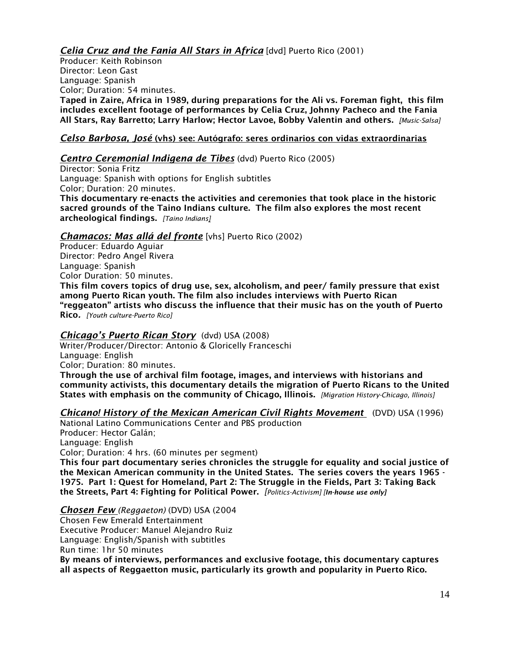*Celia Cruz and the Fania All Stars in Africa* [dvd] Puerto Rico (2001)

Producer: Keith Robinson Director: Leon Gast Language: Spanish Color; Duration: 54 minutes. Taped in Zaire, Africa in 1989, during preparations for the Ali vs. Foreman fight, this film includes excellent footage of performances by Celia Cruz, Johnny Pacheco and the Fania All Stars, Ray Barretto; Larry Harlow; Hector Lavoe, Bobby Valentin and others. *[Music-Salsa]*

# *Celso Barbosa, José* (vhs) see: Autógrafo: seres ordinarios con vidas extraordinarias

# *Centro Ceremonial Indigena de Tibes* (dvd) Puerto Rico (2005)

Director: Sonia Fritz Language: Spanish with options for English subtitles Color; Duration: 20 minutes. This documentary re-enacts the activities and ceremonies that took place in the historic sacred grounds of the Taino Indians culture. The film also explores the most recent archeological findings. *[Taino Indians]*

# *Chamacos: Mas allá del fronte* [vhs] Puerto Rico (2002)

Producer: Eduardo Aguiar Director: Pedro Angel Rivera Language: Spanish Color Duration: 50 minutes.

This film covers topics of drug use, sex, alcoholism, and peer/ family pressure that exist among Puerto Rican youth. The film also includes interviews with Puerto Rican "reggeaton" artists who discuss the influence that their music has on the youth of Puerto Rico*. [Youth culture-Puerto Rico]*

# *Chicago's Puerto Rican Story* (dvd) USA (2008)

Writer/Producer/Director: Antonio & Gloricelly Franceschi Language: English Color; Duration: 80 minutes.

Through the use of archival film footage, images, and interviews with historians and community activists, this documentary details the migration of Puerto Ricans to the United States with emphasis on the community of Chicago, Illinois. *[Migration History-Chicago, Illinois]*

# *Chicano! History of the Mexican American Civil Rights Movement* (DVD) USA (1996)

National Latino Communications Center and PBS production Producer: Hector Galán; Language: English Color; Duration: 4 hrs. (60 minutes per segment) This four part documentary series chronicles the struggle for equality and social justice of the Mexican American community in the United States. The series covers the years 1965 - 1975. Part 1: Quest for Homeland, Part 2: The Struggle in the Fields, Part 3: Taking Back

the Streets, Part 4: Fighting for Political Power. *[Politics-Activism] [In-house use only]*

*Chosen Few (Reggaeton)* (DVD) USA (2004

Chosen Few Emerald Entertainment

Executive Producer: Manuel Alejandro Ruiz

Language: English/Spanish with subtitles

Run time: 1hr 50 minutes

By means of interviews, performances and exclusive footage, this documentary captures all aspects of Reggaetton music, particularly its growth and popularity in Puerto Rico.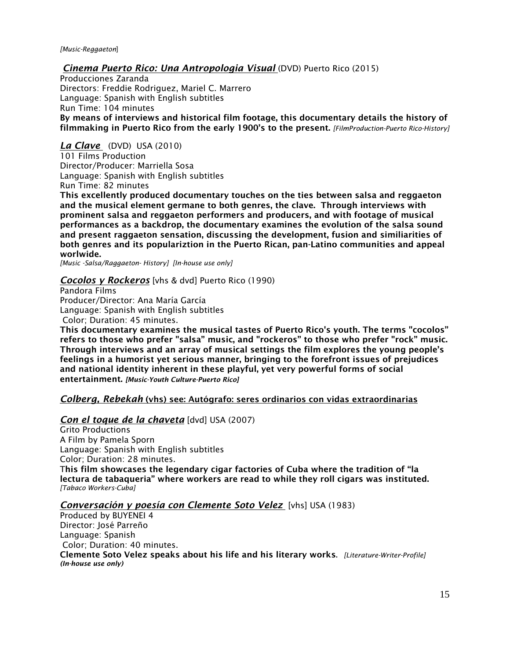*Cinema Puerto Rico: Una Antropologia Visual* (DVD) Puerto Rico (2015)

Producciones Zaranda Directors: Freddie Rodriguez, Mariel C. Marrero Language: Spanish with English subtitles Run Time: 104 minutes By means of interviews and historical film footage, this documentary details the history of filmmaking in Puerto Rico from the early 1900's to the present. *[FilmProduction-Puerto Rico-History]*

*La Clave* (DVD) USA (2010) 101 Films Production Director/Producer: Marriella Sosa Language: Spanish with English subtitles Run Time: 82 minutes

This excellently produced documentary touches on the ties between salsa and reggaeton and the musical element germane to both genres, the clave. Through interviews with prominent salsa and reggaeton performers and producers, and with footage of musical performances as a backdrop, the documentary examines the evolution of the salsa sound and present raggaeton sensation, discussing the development, fusion and similiarities of both genres and its populariztion in the Puerto Rican, pan-Latino communities and appeal worlwide.

*[Music -Salsa/Raggaeton- History] [In-house use only]*

#### *Cocolos y Rockeros* [vhs & dvd] Puerto Rico (1990)

Pandora Films Producer/Director: Ana María García Language: Spanish with English subtitles Color; Duration: 45 minutes.

This documentary examines the musical tastes of Puerto Rico's youth. The terms "cocolos" refers to those who prefer "salsa" music, and "rockeros" to those who prefer "rock" music. Through interviews and an array of musical settings the film explores the young people's feelings in a humorist yet serious manner, bringing to the forefront issues of prejudices and national identity inherent in these playful, yet very powerful forms of social entertainment. *[Music-Youth Culture-Puerto Rico]* 

#### *Colberg, Rebekah* (vhs) see: Autógrafo: seres ordinarios con vidas extraordinarias

#### *Con el toque de la chaveta* [dvd] USA (2007)

Grito Productions A Film by Pamela Sporn Language: Spanish with English subtitles Color; Duration: 28 minutes. This film showcases the legendary cigar factories of Cuba where the tradition of "la lectura de tabaqueria" where workers are read to while they roll cigars was instituted. *[Tabaco Workers-Cuba]* 

#### *Conversación y poesía con Clemente Soto Velez* [vhs] USA (1983)

Produced by BUYENEI 4 Director: José Parreño Language: Spanish Color; Duration: 40 minutes. Clemente Soto Velez speaks about his life and his literary works. *[Literature-Writer-Profile] (In-house use only)*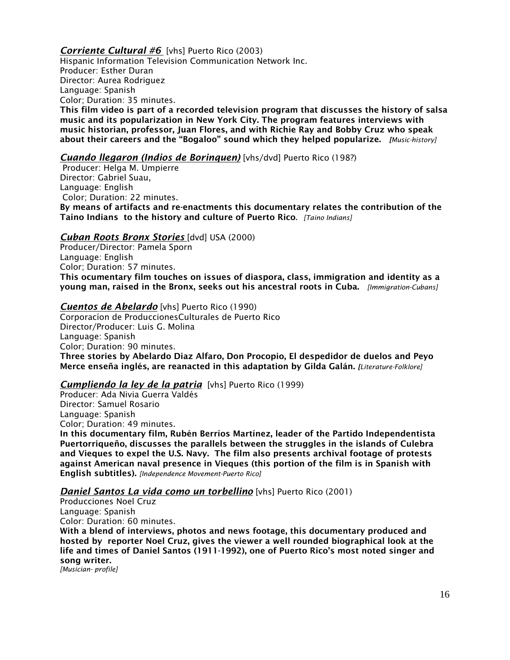## *Corriente Cultural #6* [vhs] Puerto Rico (2003)

Hispanic Information Television Communication Network Inc. Producer: Esther Duran Director: Aurea Rodriguez Language: Spanish Color; Duration: 35 minutes. This film video is part of a recorded television program that discusses the history of salsa music and its popularization in New York City. The program features interviews with music historian, professor, Juan Flores, and with Richie Ray and Bobby Cruz who speak about their careers and the "Bogaloo" sound which they helped popularize. *[Music-history]*

#### *Cuando llegaron (Indios de Borinquen)* [vhs/dvd] Puerto Rico (198?)

Producer: Helga M. Umpierre Director: Gabriel Suau, Language: English Color; Duration: 22 minutes. By means of artifacts and re-enactments this documentary relates the contribution of the Taino Indians to the history and culture of Puerto Rico. *[Taino Indians]*

#### *Cuban Roots Bronx Stories* [dvd] USA (2000)

Producer/Director: Pamela Sporn Language: English Color; Duration: 57 minutes. This ocumentary film touches on issues of diaspora, class, immigration and identity as a young man, raised in the Bronx, seeks out his ancestral roots in Cuba. *[Immigration-Cubans]*

#### *Cuentos de Abelardo* [vhs] Puerto Rico (1990)

Corporacíon de ProduccionesCulturales de Puerto Rico Director/Producer: Luis G. Molina Language: Spanish Color; Duration: 90 minutes. Three stories by Abelardo Diaz Alfaro, Don Procopio, El despedidor de duelos and Peyo Merce enseña inglés, are reanacted in this adaptation by Gilda Galán. *[Literature-Folklore]*

## *Cumpliendo la ley de la patria* [vhs] Puerto Rico (1999)

Producer: Ada Nivia Guerra Valdés Director: Samuel Rosario Language: Spanish Color; Duration: 49 minutes. In this documentary film, Rubén Berríos Martínez, leader of the Partido Independentista Puertorriqueño, discusses the parallels between the struggles in the islands of Culebra and Vieques to expel the U.S. Navy. The film also presents archival footage of protests against American naval presence in Vieques (this portion of the film is in Spanish with English subtitles). *[Independence Movement-Puerto Rico]*

#### *Daniel Santos La vida como un torbellino* [vhs] Puerto Rico (2001)

Producciones Noel Cruz Language: Spanish Color: Duration: 60 minutes.

With a blend of interviews, photos and news footage, this documentary produced and hosted by reporter Noel Cruz, gives the viewer a well rounded biographical look at the life and times of Daniel Santos (1911-1992), one of Puerto Rico's most noted singer and song writer.

*[Musician- profile]*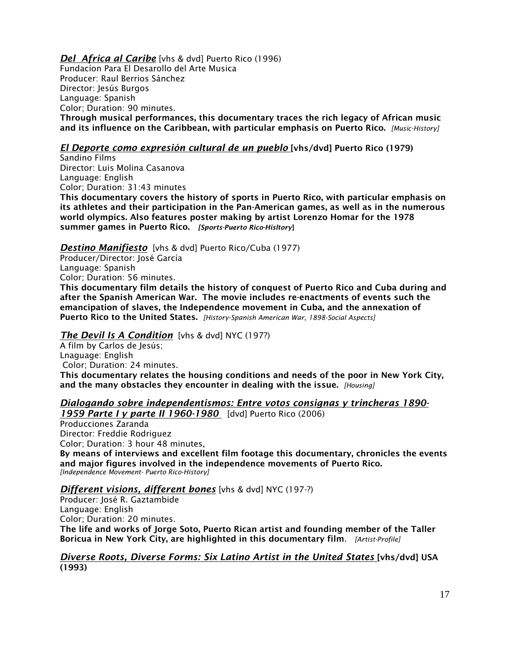#### *Del Africa al Caribe* [vhs & dvd] Puerto Rico (1996) Fundacíon Para El Desarollo del Arte Musica Producer: Raul Berrios Sánchez Director: Jesús Burgos Language: Spanish Color; Duration: 90 minutes. Through musical performances, this documentary traces the rich legacy of African music and its influence on the Caribbean, with particular emphasis on Puerto Rico. *[Music-History]*

# *El Deporte como expresión cultural de un pueblo* [vhs/dvd] Puerto Rico (1979)

Sandino Films Director: Luis Molina Casanova Language: English Color; Duration: 31:43 minutes

This documentary covers the history of sports in Puerto Rico, with particular emphasis on its athletes and their participation in the Pan-American games, as well as in the numerous world olympics. Also features poster making by artist Lorenzo Homar for the 1978 summer games in Puerto Rico. *[Sports-Puerto Rico-Hisltory*]

#### *Destino Manifiesto* [vhs & dvd] Puerto Rico/Cuba (1977)

Producer/Director: José García Language: Spanish Color; Duration: 56 minutes.

This documentary film details the history of conquest of Puerto Rico and Cuba during and after the Spanish American War. The movie includes re-enactments of events such the emancipation of slaves, the Independence movement in Cuba, and the annexation of Puerto Rico to the United States. *[History-Spanish American War, 1898-Social Aspects]*

# *The Devil Is A Condition* [vhs & dvd] NYC (197?)

A film by Carlos de Jesús; Lnaguage: English Color; Duration: 24 minutes. This documentary relates the housing conditions and needs of the poor in New York City, and the many obstacles they encounter in dealing with the issue. *[Housing]*

#### *Dialogando sobre independentismos: Entre votos consignas y trincheras 1890- 1959 Parte I y parte II 1960-1980* [dvd] Puerto Rico (2006)

Producciones Zaranda Director: Freddie Rodriguez Color; Duration: 3 hour 48 minutes, By means of interviews and excellent film footage this documentary, chronicles the events and major figures involved in the independence movements of Puerto Rico. *[Independence Movement- Puerto Rico-History]*

*Different visions, different bones* [vhs & dvd] NYC (197-?)

Producer: José R. Gaztambide Language: English Color; Duration: 20 minutes. The life and works of Jorge Soto, Puerto Rican artist and founding member of the Taller Boricua in New York City, are highlighted in this documentary film*. [Artist-Profile]*

#### *Diverse Roots, Diverse Forms: Six Latino Artist in the United States* [vhs/dvd] USA (1993)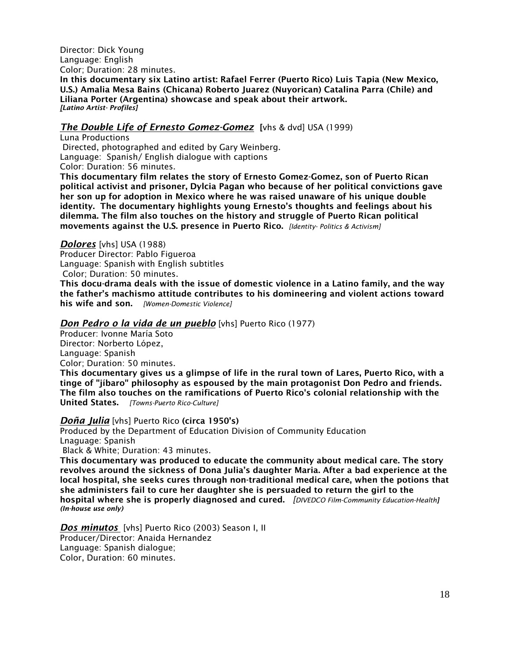Director: Dick Young Language: English Color; Duration: 28 minutes.

In this documentary six Latino artist: Rafael Ferrer (Puerto Rico) Luis Tapia (New Mexico, U.S.) Amalia Mesa Bains (Chicana) Roberto Juarez (Nuyorican) Catalina Parra (Chile) and Liliana Porter (Argentina) showcase and speak about their artwork. *[Latino Artist- Profiles]*

## *The Double Life of Ernesto Gomez-Gomez* [vhs & dvd] USA (1999)

Luna Productions Directed, photographed and edited by Gary Weinberg. Language: Spanish/ English dialogue with captions Color: Duration: 56 minutes.

This documentary film relates the story of Ernesto Gomez-Gomez, son of Puerto Rican political activist and prisoner, Dylcia Pagan who because of her political convictions gave her son up for adoption in Mexico where he was raised unaware of his unique double identity. The documentary highlights young Ernesto's thoughts and feelings about his dilemma. The film also touches on the history and struggle of Puerto Rican political movements against the U.S. presence in Puerto Rico. *[Identity- Politics & Activism]*

#### *Dolores* [vhs] USA (1988)

Producer Director: Pablo Figueroa Language: Spanish with English subtitles Color; Duration: 50 minutes.

This docu-drama deals with the issue of domestic violence in a Latino family, and the way the father's machismo attitude contributes to his domineering and violent actions toward his wife and son. *[Women-Domestic Violence]*

#### *Don Pedro o la vida de un pueblo* [vhs] Puerto Rico (1977)

Producer: Ivonne María Soto Director: Norberto López, Language: Spanish Color; Duration: 50 minutes.

This documentary gives us a glimpse of life in the rural town of Lares, Puerto Rico, with a tinge of "jíbaro" philosophy as espoused by the main protagonist Don Pedro and friends. The film also touches on the ramifications of Puerto Rico's colonial relationship with the United States. *[Towns-Puerto Rico-Culture]*

#### *Doña Julia* [vhs] Puerto Rico (circa 1950's)

Produced by the Department of Education Division of Community Education Lnaguage: Spanish Black & White; Duration: 43 minutes.

This documentary was produced to educate the community about medical care. The story revolves around the sickness of Dona Julia's daughter Maria. After a bad experience at the local hospital, she seeks cures through non-traditional medical care, when the potions that she administers fail to cure her daughter she is persuaded to return the girl to the hospital where she is properly diagnosed and cured. *[DIVEDCO Film-Community Education-Health] (In-house use only)*

*Dos minutos* [vhs] Puerto Rico (2003) Season I, II Producer/Director: Anaida Hernandez Language: Spanish dialogue; Color, Duration: 60 minutes.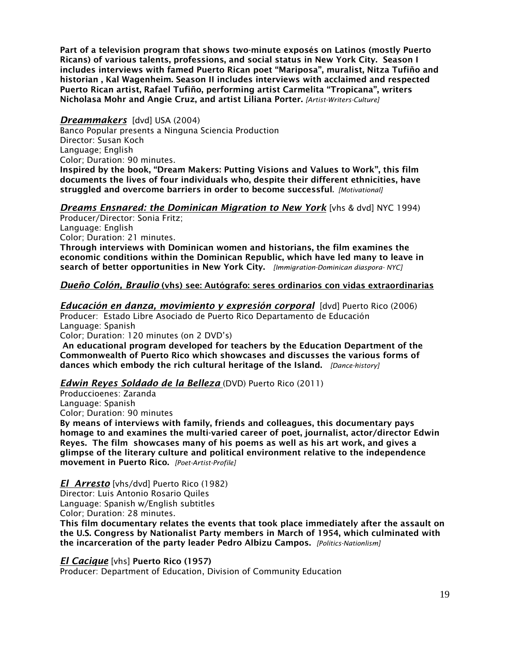Part of a television program that shows two-minute exposés on Latinos (mostly Puerto Ricans) of various talents, professions, and social status in New York City. Season I includes interviews with famed Puerto Rican poet "Mariposa", muralist, Nitza Tufiño and historian , Kal Wagenheim. Season II includes interviews with acclaimed and respected Puerto Rican artist, Rafael Tufiño, performing artist Carmelita "Tropicana", writers Nicholasa Mohr and Angie Cruz, and artist Liliana Porter. *[Artist-Writers-Culture]*

## *Dreammakers* [dvd] USA (2004)

Banco Popular presents a Ninguna Sciencia Production Director: Susan Koch Language; English Color; Duration: 90 minutes. Inspired by the book, "Dream Makers: Putting Visions and Values to Work", this film documents the lives of four individuals who, despite their different ethnicities, have struggled and overcome barriers in order to become successful. *[Motivational]*

# *Dreams Ensnared: the Dominican Migration to New York* [vhs & dvd] NYC 1994)

Producer/Director: Sonia Fritz; Language: English Color; Duration: 21 minutes. Through interviews with Dominican women and historians, the film examines the economic conditions within the Dominican Republic, which have led many to leave in search of better opportunities in New York City. *[Immigration-Dominican diaspora- NYC]*

## *Dueño Colón, Braulio* (vhs) see: Autógrafo: seres ordinarios con vidas extraordinarias

*Educación en danza, movimiento y expresión corporal* [dvd] Puerto Rico (2006) Producer: Estado Libre Asociado de Puerto Rico Departamento de Educación Language: Spanish Color; Duration: 120 minutes (on 2 DVD's)

An educational program developed for teachers by the Education Department of the Commonwealth of Puerto Rico which showcases and discusses the various forms of dances which embody the rich cultural heritage of the Island. *[Dance-history]*

#### *Edwin Reyes Soldado de la Belleza* (DVD) Puerto Rico (2011)

Produccioenes: Zaranda Language: Spanish Color; Duration: 90 minutes

By means of interviews with family, friends and colleagues, this documentary pays homage to and examines the multi-varied career of poet, journalist, actor/director Edwin Reyes. The film showcases many of his poems as well as his art work, and gives a glimpse of the literary culture and political environment relative to the independence movement in Puerto Rico. *[Poet-Artist-Profile]*

*El Arresto* [vhs/dvd] Puerto Rico (1982) Director: Luis Antonio Rosario Quiles Language: Spanish w/English subtitles Color; Duration: 28 minutes.

This film documentary relates the events that took place immediately after the assault on the U.S. Congress by Nationalist Party members in March of 1954, which culminated with the incarceration of the party leader Pedro Albizu Campos. *[Politics-Nationlism]*

*El Cacique* [vhs] Puerto Rico (1957)

Producer: Department of Education, Division of Community Education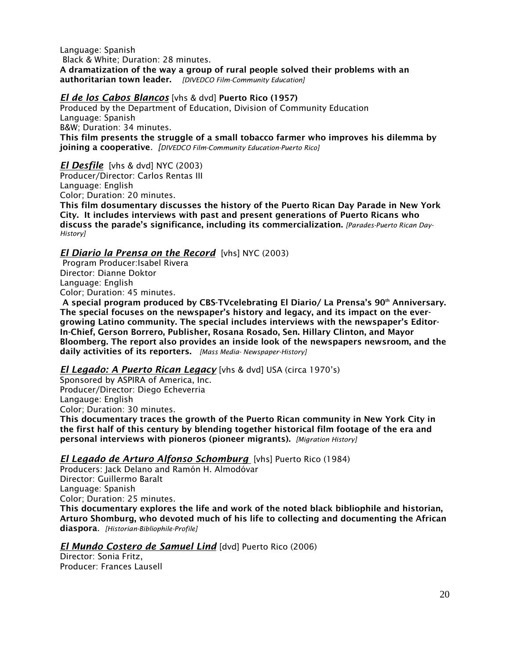Language: Spanish Black & White; Duration: 28 minutes. A dramatization of the way a group of rural people solved their problems with an authoritarian town leader. *[DIVEDCO Film-Community Education]* 

# *El de los Cabos Blancos* [vhs & dvd] Puerto Rico (1957)

Produced by the Department of Education, Division of Community Education Language: Spanish B&W; Duration: 34 minutes. This film presents the struggle of a small tobacco farmer who improves his dilemma by joining a cooperative*. [DIVEDCO Film-Community Education-Puerto Rico]*

*El Desfile* [vhs & dvd] NYC (2003) Producer/Director: Carlos Rentas III Language: English Color; Duration: 20 minutes.

This film dosumentary discusses the history of the Puerto Rican Day Parade in New York City. It includes interviews with past and present generations of Puerto Ricans who discuss the parade's significance, including its commercialization. *[Parades-Puerto Rican Day-History]*

# *El Diario la Prensa on the Record* [vhs] NYC (2003)

Program Producer:Isabel Rivera Director: Dianne Doktor Language: English Color; Duration: 45 minutes.

A special program produced by CBS-TVcelebrating El Diario/ La Prensa's 90<sup>th</sup> Anniversary. The special focuses on the newspaper's history and legacy, and its impact on the evergrowing Latino community. The special includes interviews with the newspaper's Editor-In-Chief, Gerson Borrero, Publisher, Rosana Rosado, Sen. Hillary Clinton, and Mayor Bloomberg. The report also provides an inside look of the newspapers newsroom, and the daily activities of its reporters. *[Mass Media- Newspaper-History]*

# *El Legado: A Puerto Rican Legacy* [vhs & dvd] USA (circa 1970's)

Sponsored by ASPIRA of America, Inc. Producer/Director: Diego Echeverria Langauge: English Color; Duration: 30 minutes. This documentary traces the growth of the Puerto Rican community in New York City in the first half of this century by blending together historical film footage of the era and

personal interviews with pioneros (pioneer migrants). *[Migration History]*

#### *El Legado de Arturo Alfonso Schomburg* [vhs] Puerto Rico (1984)

Producers: Jack Delano and Ramón H. Almodóvar Director: Guillermo Baralt Language: Spanish Color; Duration: 25 minutes. This documentary explores the life and work of the noted black bibliophile and historian, Arturo Shomburg, who devoted much of his life to collecting and documenting the African diaspora. *[Historian-Bibliophile-Profile]*

*El Mundo Costero de Samuel Lind* [dvd] Puerto Rico (2006)

Director: Sonia Fritz, Producer: Frances Lausell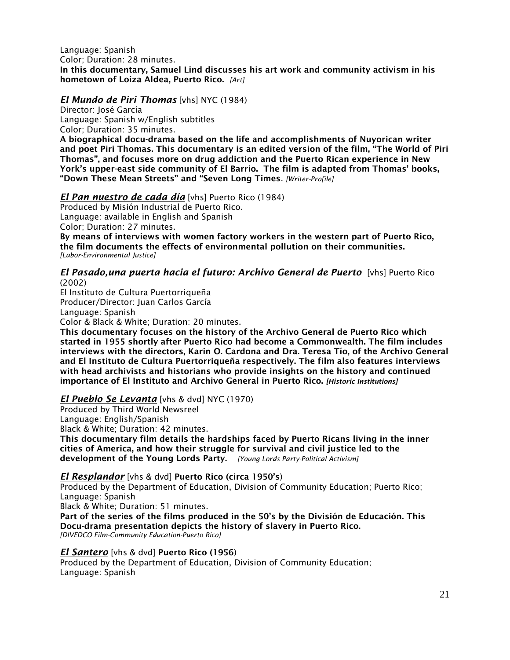Language: Spanish Color; Duration: 28 minutes. In this documentary, Samuel Lind discusses his art work and community activism in his hometown of Loiza Aldea, Puerto Rico. *[Art]*

#### *El Mundo de Piri Thomas* [vhs] NYC (1984)

Director: José García Language: Spanish w/English subtitles Color; Duration: 35 minutes.

A biographical docu-drama based on the life and accomplishments of Nuyorican writer and poet Piri Thomas. This documentary is an edited version of the film, "The World of Piri Thomas", and focuses more on drug addiction and the Puerto Rican experience in New York's upper-east side community of El Barrio. The film is adapted from Thomas' books, "Down These Mean Streets" and "Seven Long Times. *[Writer-Profile]*

#### *El Pan nuestro de cada día* [vhs] Puerto Rico (1984)

Produced by Misión Industrial de Puerto Rico. Language: available in English and Spanish Color; Duration: 27 minutes.

By means of interviews with women factory workers in the western part of Puerto Rico, the film documents the effects of environmental pollution on their communities. *[Labor-Environmental Justice]* 

# *El Pasado,una puerta hacia el futuro: Archivo General de Puerto* [vhs] Puerto Rico

(2002)

El Instituto de Cultura Puertorriqueña Producer/Director: Juan Carlos García Language: Spanish

Color & Black & White; Duration: 20 minutes.

This documentary focuses on the history of the Archivo General de Puerto Rico which started in 1955 shortly after Puerto Rico had become a Commonwealth. The film includes interviews with the directors, Karin O. Cardona and Dra. Teresa Tío, of the Archivo General and El Instituto de Cultura Puertorriqueña respectively. The film also features interviews with head archivists and historians who provide insights on the history and continued importance of El Instituto and Archivo General in Puerto Rico. *[Historic Institutions]*

#### *El Pueblo Se Levanta* [vhs & dvd] NYC (1970)

Produced by Third World Newsreel

Language: English/Spanish

Black & White; Duration: 42 minutes.

This documentary film details the hardships faced by Puerto Ricans living in the inner cities of America, and how their struggle for survival and civil justice led to the development of the Young Lords Party. *[Young Lords Party-Political Activism]*

#### *El Resplandor* [vhs & dvd] Puerto Rico (circa 1950's)

Produced by the Department of Education, Division of Community Education; Puerto Rico; Language: Spanish

Black & White; Duration: 51 minutes.

Part of the series of the films produced in the 50's by the División de Educación. This Docu-drama presentation depicts the history of slavery in Puerto Rico. *[DIVEDCO Film-Community Education-Puerto Rico]*

*El Santero* [vhs & dvd] Puerto Rico (1956)

Produced by the Department of Education, Division of Community Education; Language: Spanish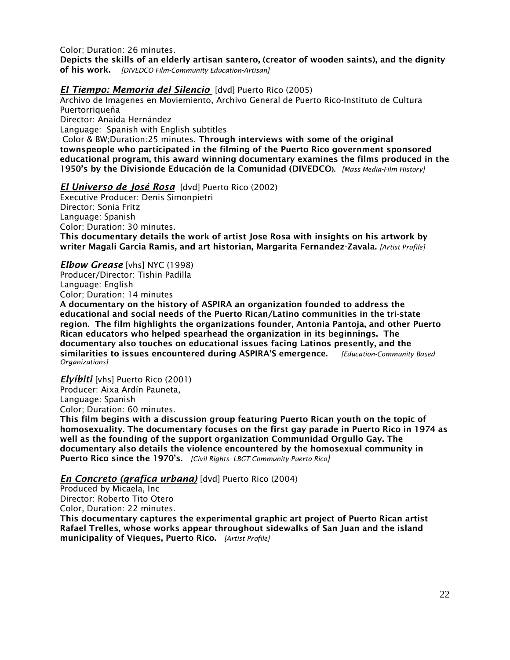Color; Duration: 26 minutes. Depicts the skills of an elderly artisan santero, (creator of wooden saints), and the dignity of his work. *[DIVEDCO Film-Community Education-Artisan]*

#### *El Tiempo: Memoria del Silencio* [dvd] Puerto Rico (2005)

Archivo de Imagenes en Moviemiento, Archivo General de Puerto Rico-Instituto de Cultura Puertorriqueña Director: Anaida Hernández Language: Spanish with English subtitles Color & BW;Duration:25 minutes. Through interviews with some of the original townspeople who participated in the filming of the Puerto Rico government sponsored educational program, this award winning documentary examines the films produced in the 1950's by the Divisionde Educación de la Comunidad (DIVEDCO). *[Mass Media-Film History]*

*El Universo de José Rosa* [dvd] Puerto Rico (2002)

Executive Producer: Denis Simonpietri Director: Sonia Fritz Language: Spanish Color; Duration: 30 minutes. This documentary details the work of artist Jose Rosa with insights on his artwork by writer Magali Garcia Ramis, and art historian, Margarita Fernandez-Zavala. *[Artist Profile]* 

#### *Elbow Grease* [vhs] NYC (1998)

Producer/Director: Tishin Padilla Language: English Color; Duration: 14 minutes

A documentary on the history of ASPIRA an organization founded to address the educational and social needs of the Puerto Rican/Latino communities in the tri-state region. The film highlights the organizations founder, Antonia Pantoja, and other Puerto Rican educators who helped spearhead the organization in its beginnings. The documentary also touches on educational issues facing Latinos presently, and the similarities to issues encountered during ASPIRA'S emergence. *[Education-Community Based Organizations]*

*Elyíbiti* [vhs] Puerto Rico (2001)

Producer: Aixa Ardín Pauneta, Language: Spanish

Color; Duration: 60 minutes.

This film begins with a discussion group featuring Puerto Rican youth on the topic of homosexuality. The documentary focuses on the first gay parade in Puerto Rico in 1974 as well as the founding of the support organization Communidad Orgullo Gay. The documentary also details the violence encountered by the homosexual community in Puerto Rico since the 1970's. *[Civil Rights- LBGT Community-Puerto Rico]*

#### *En Concreto (grafica urbana)* [dvd] Puerto Rico (2004)

Produced by Micaela, Inc Director: Roberto Tito Otero Color, Duration: 22 minutes.

This documentary captures the experimental graphic art project of Puerto Rican artist Rafael Trelles, whose works appear throughout sidewalks of San Juan and the island municipality of Vieques, Puerto Rico. *[Artist Profile]*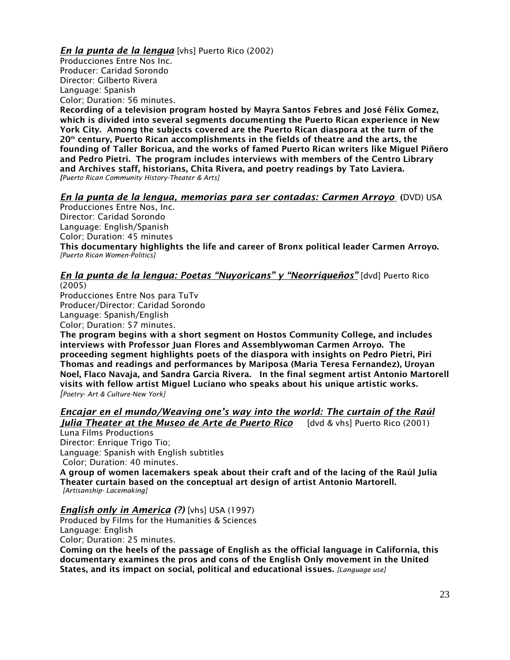*En la punta de la lengua* [vhs] Puerto Rico (2002) Producciones Entre Nos Inc. Producer: Caridad Sorondo Director: Gilberto Rivera Language: Spanish Color; Duration: 56 minutes.

Recording of a television program hosted by Mayra Santos Febres and José Félix Gomez, which is divided into several segments documenting the Puerto Rican experience in New York City. Among the subjects covered are the Puerto Rican diaspora at the turn of the  $20<sup>th</sup>$  century, Puerto Rican accomplishments in the fields of theatre and the arts, the founding of Taller Boricua, and the works of famed Puerto Rican writers like Miguel Piñero and Pedro Pietri. The program includes interviews with members of the Centro Library and Archives staff, historians, Chita Rivera, and poetry readings by Tato Laviera. *[Puerto Rican Community History-Theater & Arts]*

## *En la punta de la lengua, memorias para ser contadas: Carmen Arroyo* (DVD) USA

Producciones Entre Nos, Inc. Director: Caridad Sorondo Language: English/Spanish Color; Duration: 45 minutes This documentary highlights the life and career of Bronx political leader Carmen Arroyo. *[Puerto Rican Women-Politics]*

#### *En la punta de la lengua: Poetas "Nuyoricans" y "Neorriqueños"* [dvd] Puerto Rico (2005)

Producciones Entre Nos para TuTv Producer/Director: Caridad Sorondo Language: Spanish/English Color; Duration: 57 minutes.

The program begins with a short segment on Hostos Community College, and includes interviews with Professor Juan Flores and Assemblywoman Carmen Arroyo. The proceeding segment highlights poets of the diaspora with insights on Pedro Pietri, Piri Thomas and readings and performances by Mariposa (Maria Teresa Fernandez), Uroyan Noel, Flaco Navaja, and Sandra Garcia Rivera. In the final segment artist Antonio Martorell visits with fellow artist Miguel Luciano who speaks about his unique artistic works. *[Poetry- Art & Culture-New York]*

*Encajar en el mundo/Weaving one's way into the world: The curtain of the Raúl* 

*Julia Theater at the Museo de Arte de Puerto Rico* [dvd & vhs] Puerto Rico (2001) Luna Films Productions

Director: Enrique Trigo Tio; Language: Spanish with English subtitles Color; Duration: 40 minutes.

A group of women lacemakers speak about their craft and of the lacing of the Raúl Julia Theater curtain based on the conceptual art design of artist Antonio Martorell. *[Artisanship- Lacemaking]*

#### *English only in America (?)* [vhs] USA (1997)

Produced by Films for the Humanities & Sciences Language: English Color; Duration: 25 minutes.

Coming on the heels of the passage of English as the official language in California, this documentary examines the pros and cons of the English Only movement in the United States, and its impact on social, political and educational issues. *[Language use]*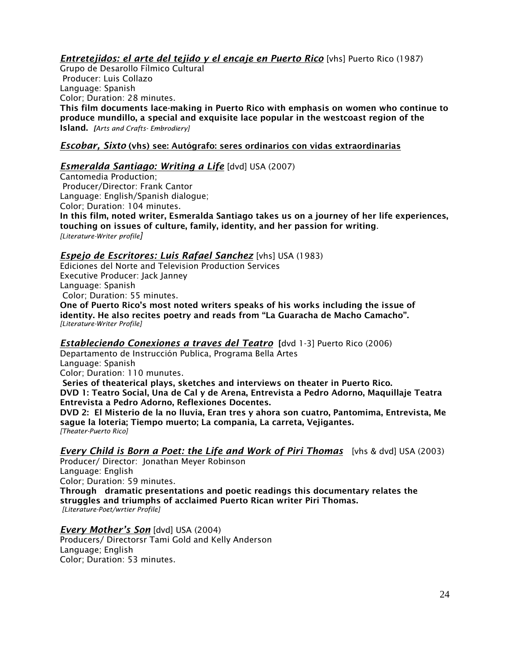# *Entretejidos: el arte del tejido y el encaje en Puerto Rico* [vhs] Puerto Rico (1987)

Grupo de Desarollo Fílmico Cultural Producer: Luis Collazo Language: Spanish Color; Duration: 28 minutes. This film documents lace-making in Puerto Rico with emphasis on women who continue to produce mundillo, a special and exquisite lace popular in the westcoast region of the Island. *[Arts and Crafts- Embrodiery]*

# *Escobar, Sixto* (vhs) see: Autógrafo: seres ordinarios con vidas extraordinarias

## *Esmeralda Santiago: Writing a Life* [dvd] USA (2007)

Cantomedia Production; Producer/Director: Frank Cantor Language: English/Spanish dialogue; Color; Duration: 104 minutes. In this film, noted writer, Esmeralda Santiago takes us on a journey of her life experiences, touching on issues of culture, family, identity, and her passion for writing. *[Literature-Writer profile]*

## *Espejo de Escritores: Luis Rafael Sanchez* [vhs] USA (1983)

Ediciones del Norte and Television Production Services Executive Producer: Jack Janney Language: Spanish Color; Duration: 55 minutes. One of Puerto Rico's most noted writers speaks of his works including the issue of identity. He also recites poetry and reads from "La Guaracha de Macho Camacho". *[Literature-Writer Profile]*

*Estableciendo Conexiones a traves del Teatro* [dvd 1-3] Puerto Rico (2006) Departamento de Instrucción Publica, Programa Bella Artes Language: Spanish Color; Duration: 110 munutes. Series of theaterical plays, sketches and interviews on theater in Puerto Rico. DVD 1: Teatro Social, Una de Cal y de Arena, Entrevista a Pedro Adorno, Maquillaje Teatra

Entrevista a Pedro Adorno, Reflexiones Docentes. DVD 2: El Misterio de la no lluvia, Eran tres y ahora son cuatro, Pantomima, Entrevista, Me sague la loteria; Tiempo muerto; La compania, La carreta, Vejigantes. *[Theater-Puerto Rico]*

*Every Child is Born a Poet: the Life and Work of Piri Thomas* [vhs & dvd] USA (2003)

Producer/ Director: Jonathan Meyer Robinson Language: English Color; Duration: 59 minutes. Through dramatic presentations and poetic readings this documentary relates the struggles and triumphs of acclaimed Puerto Rican writer Piri Thomas. *[Literature-Poet/wrtier Profile]*

*Every Mother's Son* [dvd] USA (2004) Producers/ Directorsr Tami Gold and Kelly Anderson Language; English Color; Duration: 53 minutes.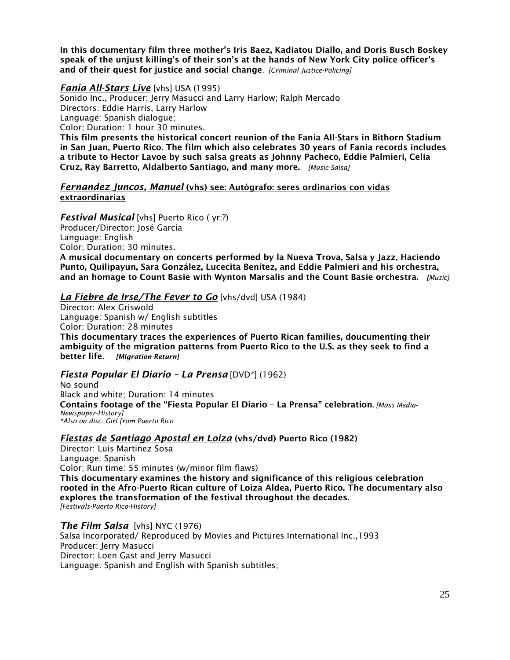In this documentary film three mother's Iris Baez, Kadiatou Diallo, and Doris Busch Boskey speak of the unjust killing's of their son's at the hands of New York City police officer's and of their quest for justice and social change. *[Criminal Justice-Policing]*

*Fania All-Stars Live* [vhs] USA (1995)

Sonido Inc., Producer: Jerry Masucci and Larry Harlow; Ralph Mercado Directors: Eddie Harris, Larry Harlow Language: Spanish dialogue; Color; Duration: 1 hour 30 minutes. This film presents the historical concert reunion of the Fania All-Stars in Bithorn Stadium

in San Juan, Puerto Rico. The film which also celebrates 30 years of Fania records includes a tribute to Hector Lavoe by such salsa greats as Johnny Pacheco, Eddie Palmieri, Celia Cruz, Ray Barretto, Aldalberto Santiago, and many more. *[Music-Salsa]*

#### *Fernandez Juncos, Manuel* (vhs) see: Autógrafo: seres ordinarios con vidas extraordinarias

*Festival Musical* [vhs] Puerto Rico ( yr:?) Producer/Director: José García Language: English Color; Duration: 30 minutes. A musical documentary on concerts performed by la Nueva Trova, Salsa y Jazz, Haciendo

Punto, Quilipayun, Sara González, Lucecita Benítez, and Eddie Palmieri and his orchestra, and an homage to Count Basie with Wynton Marsalis and the Count Basie orchestra. *[Music]*

# *La Fiebre de Irse/The Fever to Go* [vhs/dvd] USA (1984)

Director: Alex Griswold Language: Spanish w/ English subtitles Color; Duration: 28 minutes This documentary traces the experiences of Puerto Rican families, doucumenting their ambiguity of the migration patterns from Puerto Rico to the U.S. as they seek to find a better life*. [Migration-Return]*

# *Fiesta Popular El Diario – La Prensa* [DVD\*] (1962)

No sound Black and white; Duration: 14 minutes Contains footage of the "Fiesta Popular El Diario – La Prensa" celebration. *[Mass Media-Newspaper-History] \*Also on disc: Girl from Puerto Rico*

# *Fiestas de Santiago Apostal en Loiza* (vhs/dvd) Puerto Rico (1982)

Director: Luis Martinez Sosa Language: Spanish Color; Run time: 55 minutes (w/minor film flaws) This documentary examines the history and significance of this religious celebration rooted in the Afro-Puerto Rican culture of Loiza Aldea, Puerto Rico. The documentary also explores the transformation of the festival throughout the decades. *[Festivals-Puerto Rico-History]*

# *The Film Salsa* [vhs] NYC (1976)

Salsa Incorporated/ Reproduced by Movies and Pictures International Inc.,1993 Producer: Jerry Masucci Director: Loen Gast and Jerry Masucci Language: Spanish and English with Spanish subtitles;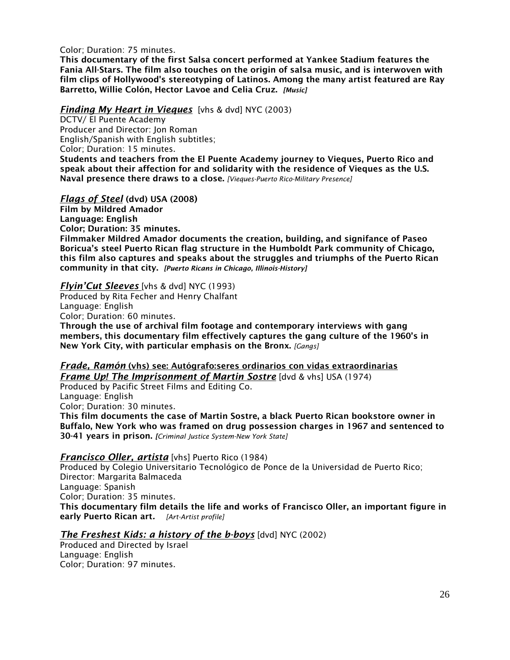Color; Duration: 75 minutes.

This documentary of the first Salsa concert performed at Yankee Stadium features the Fania All-Stars. The film also touches on the origin of salsa music, and is interwoven with film clips of Hollywood's stereotyping of Latinos. Among the many artist featured are Ray Barretto, Willie Colón, Hector Lavoe and Celia Cruz. *[Music]*

## *Finding My Heart in Vieques* [vhs & dvd] NYC (2003)

DCTV/ El Puente Academy Producer and Director: Jon Roman English/Spanish with English subtitles; Color; Duration: 15 minutes.

Students and teachers from the El Puente Academy journey to Vieques, Puerto Rico and speak about their affection for and solidarity with the residence of Vieques as the U.S. Naval presence there draws to a close. *[Vieques-Puerto Rico-Military Presence]* 

## *Flags of Steel* (dvd) USA (2008)

Film by Mildred Amador Language: English Color; Duration: 35 minutes. Filmmaker Mildred Amador documents the creation, building, and signifance of Paseo Boricua's steel Puerto Rican flag structure in the Humboldt Park community of Chicago, this film also captures and speaks about the struggles and triumphs of the Puerto Rican community in that city. *[Puerto Ricans in Chicago, Illinois-History]*

#### *Flyin'Cut Sleeves* [vhs & dvd] NYC (1993)

Produced by Rita Fecher and Henry Chalfant Language: English Color; Duration: 60 minutes.

Through the use of archival film footage and contemporary interviews with gang members, this documentary film effectively captures the gang culture of the 1960's in New York City, with particular emphasis on the Bronx. *[Gangs]* 

# *Frade, Ramón* (vhs) see: Autógrafo:seres ordinarios con vidas extraordinarias

*Frame Up! The Imprisonment of Martin Sostre* [dvd & vhs] USA (1974) Produced by Pacific Street Films and Editing Co. Language: English

Color; Duration: 30 minutes.

This film documents the case of Martin Sostre, a black Puerto Rican bookstore owner in Buffalo, New York who was framed on drug possession charges in 1967 and sentenced to 30-41 years in prison. *[Criminal Justice System-New York State]*

#### *Francisco Oller, artista* [vhs] Puerto Rico (1984)

Produced by Colegio Universitario Tecnológico de Ponce de la Universidad de Puerto Rico; Director: Margarita Balmaceda Language: Spanish Color; Duration: 35 minutes. This documentary film details the life and works of Francisco Oller, an important figure in early Puerto Rican art*. [Art-Artist profile]*

# *The Freshest Kids: a history of the b-boys* [dvd] NYC (2002)

Produced and Directed by Israel Language: English Color; Duration: 97 minutes.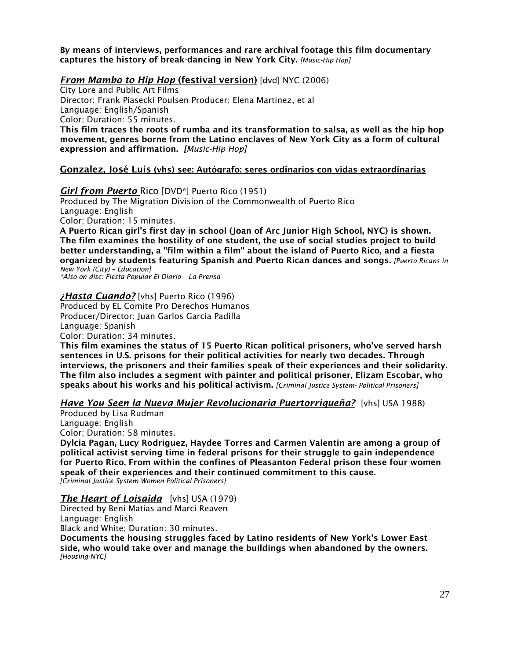By means of interviews, performances and rare archival footage this film documentary captures the history of break-dancing in New York City. *[Music-Hip Hop]*

#### *From Mambo to Hip Hop* (festival version) [dvd] NYC (2006)

City Lore and Public Art Films Director: Frank Piasecki Poulsen Producer: Elena Martinez, et al Language: English/Spanish Color; Duration: 55 minutes. This film traces the roots of rumba and its transformation to salsa, as well as the hip hop movement, genres borne from the Latino enclaves of New York City as a form of cultural expression and affirmation. *[Music-Hip Hop]*

## Gonzalez, José Luis (vhs) see: Autógrafo: seres ordinarios con vidas extraordinarias

#### *Girl from Puerto* Rico [DVD\*] Puerto Rico (1951)

Produced by The Migration Division of the Commonwealth of Puerto Rico Language: English Color; Duration: 15 minutes.

A Puerto Rican girl's first day in school (Joan of Arc Junior High School, NYC) is shown. The film examines the hostility of one student, the use of social studies project to build better understanding, a "film within a film" about the island of Puerto Rico, and a fiesta organized by students featuring Spanish and Puerto Rican dances and songs. *[Puerto Ricans in New York (City) – Education]*

*\*Also on disc: Fiesta Popular El Diario – La Prensa*

## *¿Hasta Cuando?* [vhs] Puerto Rico (1996)

Produced by EL Comite Pro Derechos Humanos Producer/Director: Juan Garlos Garcia Padilla Language: Spanish Color; Duration: 34 minutes.

This film examines the status of 15 Puerto Rican political prisoners, who've served harsh sentences in U.S. prisons for their political activities for nearly two decades. Through interviews, the prisoners and their families speak of their experiences and their solidarity. The film also includes a segment with painter and political prisoner, Elizam Escobar, who speaks about his works and his political activism. *[Criminal Justice System- Political Prisoners]*

#### *Have You Seen la Nueva Mujer Revolucionaria Puertorriqueña?* [vhs] USA 1988)

Produced by Lisa Rudman Language: English Color; Duration: 58 minutes.

Dylcia Pagan, Lucy Rodriguez, Haydee Torres and Carmen Valentin are among a group of political activist serving time in federal prisons for their struggle to gain independence for Puerto Rico. From within the confines of Pleasanton Federal prison these four women speak of their experiences and their continued commitment to this cause. *[Criminal Justice System-Women-Political Prisoners]*

#### *The Heart of Loisaida* [vhs] USA (1979)

Directed by Beni Matias and Marci Reaven Language: English

Black and White; Duration: 30 minutes.

Documents the housing struggles faced by Latino residents of New York's Lower East side, who would take over and manage the buildings when abandoned by the owners. *[Housing-NYC]*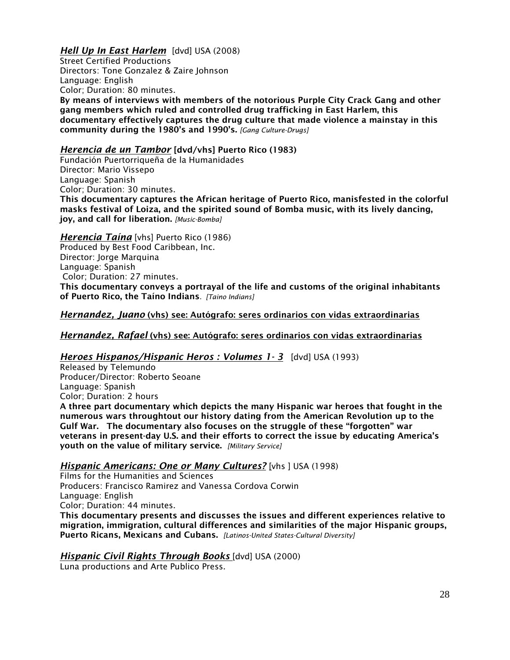# *Hell Up In East Harlem* [dvd] USA (2008)

Street Certified Productions Directors: Tone Gonzalez & Zaire Johnson Language: English Color; Duration: 80 minutes.

By means of interviews with members of the notorious Purple City Crack Gang and other gang members which ruled and controlled drug trafficking in East Harlem, this documentary effectively captures the drug culture that made violence a mainstay in this community during the 1980's and 1990's. *[Gang Culture-Drugs]*

#### *Herencia de un Tambor* [dvd/vhs] Puerto Rico (1983)

Fundación Puertorriqueña de la Humanidades Director: Mario Vissepo Language: Spanish Color; Duration: 30 minutes. This documentary captures the African heritage of Puerto Rico, manisfested in the colorful masks festival of Loiza, and the spirited sound of Bomba music, with its lively dancing, joy, and call for liberation. *[Music-Bomba]*

*Herencia Taína* [vhs] Puerto Rico (1986) Produced by Best Food Caribbean, Inc. Director: Jorge Marquina Language: Spanish Color; Duration: 27 minutes. This documentary conveys a portrayal of the life and customs of the original inhabitants of Puerto Rico, the Taíno Indians. *[Taino Indians]*

## *Hernandez, Juano* (vhs) see: Autógrafo: seres ordinarios con vidas extraordinarias

#### *Hernandez, Rafael* (vhs) see: Autógrafo: seres ordinarios con vidas extraordinarias

#### *Heroes Hispanos/Hispanic Heros : Volumes 1- 3* [dvd] USA (1993)

Released by Telemundo Producer/Director: Roberto Seoane Language: Spanish Color; Duration: 2 hours A three part documentary which depicts the many Hispanic war heroes that fought in the numerous wars throughtout our history dating from the American Revolution up to the Gulf War. The documentary also focuses on the struggle of these "forgotten" war veterans in present-day U.S. and their efforts to correct the issue by educating America's youth on the value of military service. *[Military Service]*

#### *Hispanic Americans: One or Many Cultures?* [vhs ] USA (1998)

Films for the Humanities and Sciences Producers: Francisco Ramirez and Vanessa Cordova Corwin Language: English Color; Duration: 44 minutes. This documentary presents and discusses the issues and different experiences relative to migration, immigration, cultural differences and similarities of the major Hispanic groups, Puerto Ricans, Mexicans and Cubans. *[Latinos-United States-Cultural Diversity]*

#### *Hispanic Civil Rights Through Books* [dvd] USA (2000)

Luna productions and Arte Publico Press.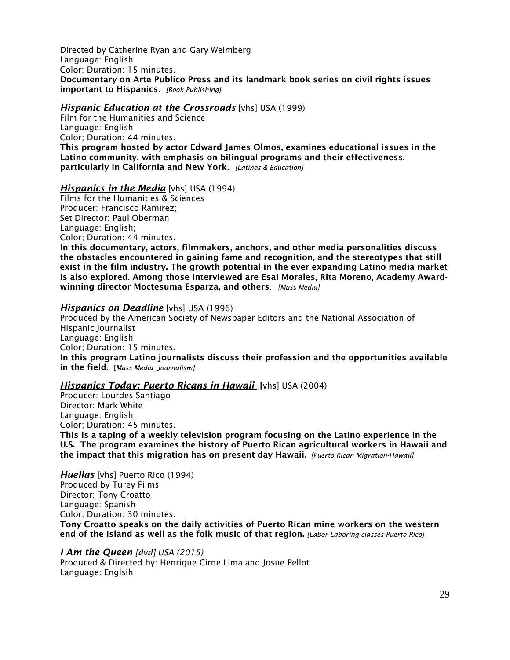Directed by Catherine Ryan and Gary Weimberg Language: English Color: Duration: 15 minutes. Documentary on Arte Publico Press and its landmark book series on civil rights issues important to Hispanics. *[Book Publishing]*

*Hispanic Education at the Crossroads* [vhs] USA (1999)

Film for the Humanities and Science Language: English Color; Duration: 44 minutes. This program hosted by actor Edward James Olmos, examines educational issues in the Latino community, with emphasis on bilingual programs and their effectiveness, particularly in California and New York*. [Latinos & Education]*

#### *Hispanics in the Media* [vhs] USA (1994)

Films for the Humanities & Sciences Producer: Francisco Ramirez; Set Director: Paul Oberman Language: English; Color; Duration: 44 minutes.

In this documentary, actors, filmmakers, anchors, and other media personalities discuss the obstacles encountered in gaining fame and recognition, and the stereotypes that still exist in the film industry. The growth potential in the ever expanding Latino media market is also explored. Among those interviewed are Esai Morales, Rita Moreno, Academy Awardwinning director Moctesuma Esparza, and others*. [Mass Media]*

#### *Hispanics on Deadline* [vhs] USA (1996)

Produced by the American Society of Newspaper Editors and the National Association of Hispanic Journalist Language: English Color; Duration: 15 minutes. In this program Latino journalists discuss their profession and the opportunities available in the field. [*Mass Media- Journalism]*

#### *Hispanics Today: Puerto Ricans in Hawaii* [vhs] USA (2004)

Producer: Lourdes Santiago Director: Mark White Language: English Color; Duration: 45 minutes. This is a taping of a weekly television program focusing on the Latino experience in the U.S. The program examines the history of Puerto Rican agricultural workers in Hawaii and the impact that this migration has on present day Hawaii. *[Puerto Rican Migration-Hawaii]*

*Huellas* [vhs] Puerto Rico (1994) Produced by Turey Films Director: Tony Croatto Language: Spanish Color; Duration: 30 minutes. Tony Croatto speaks on the daily activities of Puerto Rican mine workers on the western end of the Island as well as the folk music of that region. *[Labor-Laboring classes-Puerto Rico]*

*I Am the Queen [dvd] USA (2015)* Produced & Directed by: Henrique Cirne Lima and Josue Pellot Language: Englsih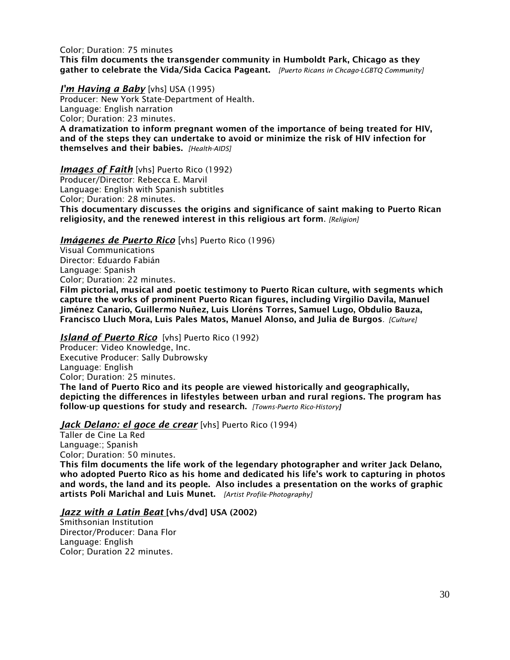Color; Duration: 75 minutes This film documents the transgender community in Humboldt Park, Chicago as they gather to celebrate the Vida/Sida Cacica Pageant. *[Puerto Ricans in Chcago-LGBTQ Community]*

*I'm Having a Baby* [vhs] USA (1995) Producer: New York State-Department of Health. Language: English narration Color; Duration: 23 minutes. A dramatization to inform pregnant women of the importance of being treated for HIV, and of the steps they can undertake to avoid or minimize the risk of HIV infection for themselves and their babies. *[Health-AIDS]*

*Images of Faith* [vhs] Puerto Rico (1992)

Producer/Director: Rebecca E. Marvil Language: English with Spanish subtitles Color; Duration: 28 minutes. This documentary discusses the origins and significance of saint making to Puerto Rican religiosity, and the renewed interest in this religious art form. *[Religion]*

#### *Imágenes de Puerto Rico* [vhs] Puerto Rico (1996)

Visual Communications Director: Eduardo Fabián Language: Spanish Color; Duration: 22 minutes. Film pictorial, musical and poetic testimony to Puerto Rican culture, with segments which capture the works of prominent Puerto Rican figures, including Virgilio Davila, Manuel Jiménez Canario, Guillermo Nuñez, Luis Lloréns Torres, Samuel Lugo, Obdulio Bauza, Francisco Lluch Mora, Luis Pales Matos, Manuel Alonso, and Julia de Burgos*. [Culture]*

#### *Island of Puerto Rico* [vhs] Puerto Rico (1992)

Producer: Video Knowledge, Inc. Executive Producer: Sally Dubrowsky Language: English Color; Duration: 25 minutes. The land of Puerto Rico and its people are viewed historically and geographically, depicting the differences in lifestyles between urban and rural regions. The program has follow-up questions for study and research. *[Towns-Puerto Rico-History]*

#### *Jack Delano: el goce de crear* [vhs] Puerto Rico (1994)

Taller de Cine La Red Language:; Spanish Color; Duration: 50 minutes. This film documents the life work of the legendary photographer and writer Jack Delano, who adopted Puerto Rico as his home and dedicated his life's work to capturing in photos and words, the land and its people. Also includes a presentation on the works of graphic artists Poli Marichal and Luis Munet. *[Artist Profile-Photography]*

#### *Jazz with a Latin Beat* [vhs/dvd] USA (2002)

Smithsonian Institution Director/Producer: Dana Flor Language: English Color; Duration 22 minutes.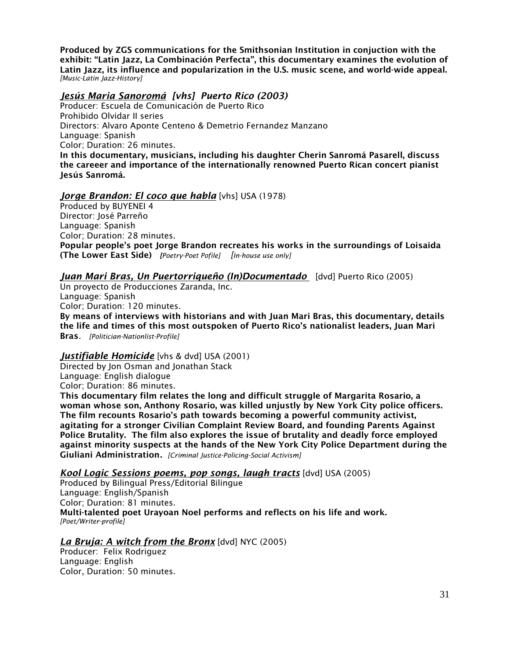Produced by ZGS communications for the Smithsonian Institution in conjuction with the exhibit: "Latin Jazz, La Combinación Perfecta", this documentary examines the evolution of Latin Jazz, its influence and popularization in the U.S. music scene, and world-wide appeal. *[Music-Latin Jazz-History]*

## *Jesús Maria Sanoromá [vhs] Puerto Rico (2003)*

Producer: Escuela de Comunicación de Puerto Rico Prohibido Olvidar II series Directors: Alvaro Aponte Centeno & Demetrio Fernandez Manzano Language: Spanish Color; Duration: 26 minutes. In this documentary, musicians, including his daughter Cherin Sanromá Pasarell, discuss the careeer and importance of the internationally renowned Puerto Rican concert pianist Jesús Sanromá.

## *Jorge Brandon: El coco que habla* [vhs] USA (1978)

Produced by BUYENEI 4 Director: José Parreño Language: Spanish Color; Duration: 28 minutes. Popular people's poet Jorge Brandon recreates his works in the surroundings of Loisaida (The Lower East Side) *[Poetry-Poet Pofile] [In-house use only]*

## *Juan Mari Bras, Un Puertorriqueño (In)Documentado* [dvd] Puerto Rico (2005)

Un proyecto de Producciones Zaranda, Inc. Language: Spanish Color; Duration: 120 minutes.

By means of interviews with historians and with Juan Mari Bras, this documentary, details the life and times of this most outspoken of Puerto Rico's nationalist leaders, Juan Mari Bras*. [Politician-Nationlist-Profile]*

#### *Justifiable Homicide* [vhs & dvd] USA (2001)

Directed by Jon Osman and Jonathan Stack Language: English dialogue Color; Duration: 86 minutes.

This documentary film relates the long and difficult struggle of Margarita Rosario, a woman whose son, Anthony Rosario, was killed unjustly by New York City police officers. The film recounts Rosario's path towards becoming a powerful community activist, agitating for a stronger Civilian Complaint Review Board, and founding Parents Against Police Brutality. The film also explores the issue of brutality and deadly force employed against minority suspects at the hands of the New York City Police Department during the Giuliani Administration*. [Criminal Justice-Policing-Social Activism]*

*Kool Logic Sessions poems, pop songs, laugh tracts* [dvd] USA (2005)

Produced by Bilingual Press/Editorial Bilingue Language: English/Spanish Color; Duration: 81 minutes. Multi-talented poet Urayoan Noel performs and reflects on his life and work. *[Poet/Writer-profile]*

#### *La Bruja: A witch from the Bronx* [dvd] NYC (2005)

Producer: Felix Rodriguez Language: English Color, Duration: 50 minutes.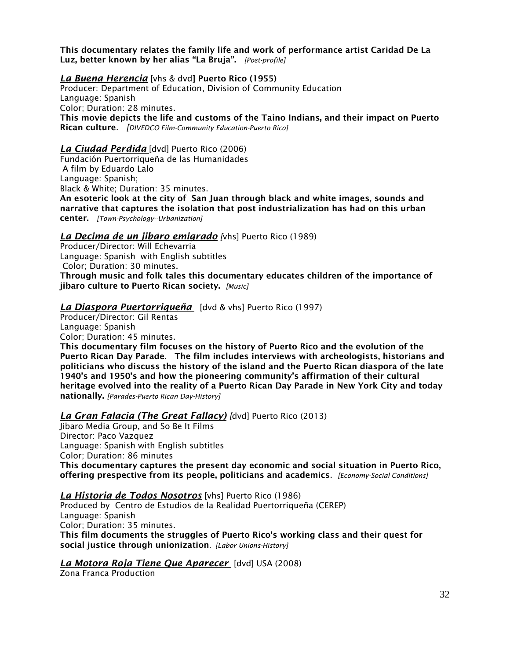This documentary relates the family life and work of performance artist Caridad De La Luz, better known by her alias "La Bruja". *[Poet-profile]*

*La Buena Herencia* [vhs & dvd] Puerto Rico (1955) Producer: Department of Education, Division of Community Education Language: Spanish Color; Duration: 28 minutes. This movie depicts the life and customs of the Taino Indians, and their impact on Puerto Rican culture. *[DIVEDCO Film-Community Education-Puerto Rico]* 

#### *La Ciudad Perdida* [dvd] Puerto Rico (2006)

Fundación Puertorriqueña de las Humanidades A film by Eduardo Lalo Language: Spanish; Black & White; Duration: 35 minutes.

An esoteric look at the city of San Juan through black and white images, sounds and narrative that captures the isolation that post industrialization has had on this urban center. *[Town-Psychology--Urbanization]*

#### *La Decima de un jibaro emigrado [*vhs] Puerto Rico (1989)

Producer/Director: Will Echevarria Language: Spanish with English subtitles Color; Duration: 30 minutes. Through music and folk tales this documentary educates children of the importance of jibaro culture to Puerto Rican society. *[Music]*

## *La Diaspora Puertorriqueña* [dvd & vhs] Puerto Rico (1997)

Producer/Director: Gil Rentas Language: Spanish Color; Duration: 45 minutes.

This documentary film focuses on the history of Puerto Rico and the evolution of the Puerto Rican Day Parade. The film includes interviews with archeologists, historians and politicians who discuss the history of the island and the Puerto Rican diaspora of the late 1940's and 1950's and how the pioneering community's affirmation of their cultural heritage evolved into the reality of a Puerto Rican Day Parade in New York City and today nationally. *[Parades-Puerto Rican Day-History]*

#### *La Gran Falacia (The Great Fallacy) [*dvd] Puerto Rico (2013)

Jibaro Media Group, and So Be It Films Director: Paco Vazquez Language: Spanish with English subtitles Color; Duration: 86 minutes This documentary captures the present day economic and social situation in Puerto Rico, offering prespective from its people, politicians and academics. *[Economy-Social Conditions]*

#### *La Historia de Todos Nosotros* [vhs] Puerto Rico (1986)

Produced by Centro de Estudios de la Realidad Puertorriqueña (CEREP) Language: Spanish Color; Duration: 35 minutes. This film documents the struggles of Puerto Rico's working class and their quest for social justice through unionization*. [Labor Unions-History]*

#### *La Motora Roja Tiene Que Aparecer* [dvd] USA (2008)

Zona Franca Production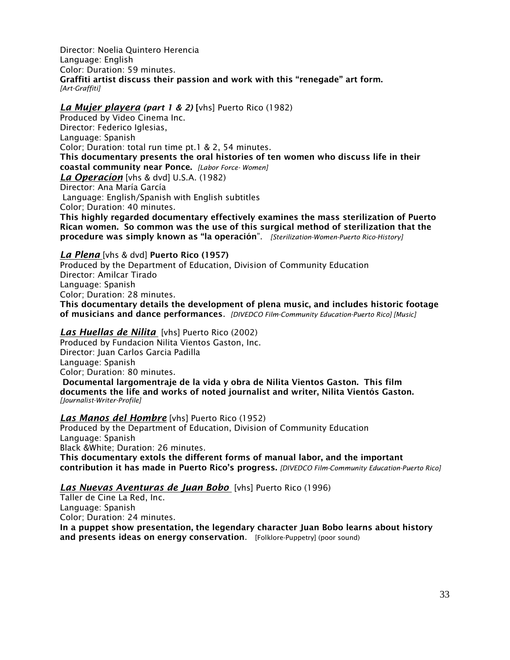Director: Noelia Quintero Herencia Language: English Color: Duration: 59 minutes. Graffiti artist discuss their passion and work with this "renegade" art form. *[Art-Graffiti]*

#### *La Mujer playera (part 1 & 2)* [vhs] Puerto Rico (1982)

Produced by Video Cinema Inc. Director: Federico Iglesias, Language: Spanish Color; Duration: total run time pt.1 & 2, 54 minutes. This documentary presents the oral histories of ten women who discuss life in their coastal community near Ponce. *[Labor Force- Women] La Operacíon* [vhs & dvd] U.S.A. (1982) Director: Ana María García Language: English/Spanish with English subtitles Color; Duration: 40 minutes. This highly regarded documentary effectively examines the mass sterilization of Puerto

Rican women. So common was the use of this surgical method of sterilization that the procedure was simply known as "la operación". *[Sterilization-Women-Puerto Rico-History]*

#### *La Plena* [vhs & dvd] Puerto Rico (1957)

Produced by the Department of Education, Division of Community Education Director: Amilcar Tirado Language: Spanish Color; Duration: 28 minutes. This documentary details the development of plena music, and includes historic footage of musicians and dance performances. *[DIVEDCO Film-Community Education-Puerto Rico] [Music]*

#### *Las Huellas de Nilita* [vhs] Puerto Rico (2002)

Produced by Fundacion Nilita Vientos Gaston, Inc. Director: Juan Carlos Garcia Padilla Language: Spanish Color; Duration: 80 minutes. Documental largomentraje de la vida y obra de Nilita Vientos Gaston. This film documents the life and works of noted journalist and writer, Nilita Vientós Gaston. *[Journalist-Writer-Profile]*

#### *Las Manos del Hombre* [vhs] Puerto Rico (1952)

Produced by the Department of Education, Division of Community Education Language: Spanish Black &White; Duration: 26 minutes. This documentary extols the different forms of manual labor, and the important contribution it has made in Puerto Rico's progress. *[DIVEDCO Film-Community Education-Puerto Rico]*

#### *Las Nuevas Aventuras de Juan Bobo* [vhs] Puerto Rico (1996)

Taller de Cine La Red, Inc. Language: Spanish Color; Duration: 24 minutes. In a puppet show presentation, the legendary character Juan Bobo learns about history and presents ideas on energy conservation. [Folklore-Puppetry] (poor sound)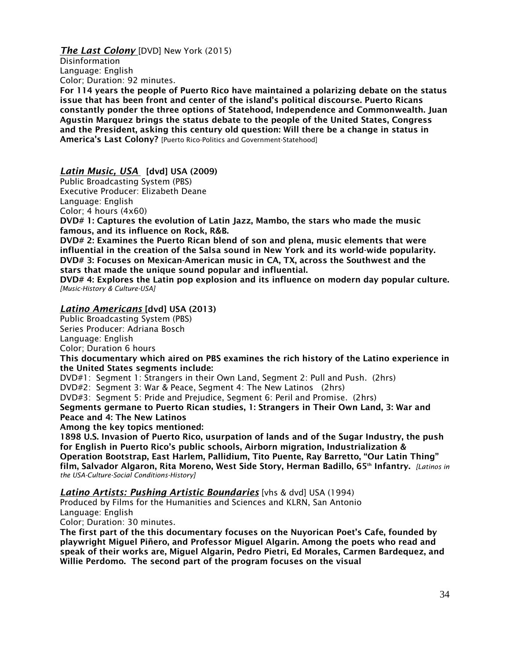*The Last Colony* [DVD] New York (2015)

Disinformation Language: English Color; Duration: 92 minutes.

For 114 years the people of Puerto Rico have maintained a polarizing debate on the status issue that has been front and center of the island's political discourse. Puerto Ricans constantly ponder the three options of Statehood, Independence and Commonwealth. Juan Agustin Marquez brings the status debate to the people of the United States, Congress and the President, asking this century old question: Will there be a change in status in America's Last Colony? [Puerto Rico-Politics and Government-Statehood]

*Latin Music, USA* [dvd] USA (2009)

Public Broadcasting System (PBS) Executive Producer: Elizabeth Deane Language: English Color; 4 hours (4x60)

DVD# 1: Captures the evolution of Latin Jazz, Mambo, the stars who made the music famous, and its influence on Rock, R&B.

DVD# 2: Examines the Puerto Rican blend of son and plena, music elements that were influential in the creation of the Salsa sound in New York and its world-wide popularity. DVD# 3: Focuses on Mexican-American music in CA, TX, across the Southwest and the stars that made the unique sound popular and influential.

DVD# 4: Explores the Latin pop explosion and its influence on modern day popular culture. *[Music-History & Culture-USA]*

# *Latino Americans* [dvd] USA (2013)

Public Broadcasting System (PBS) Series Producer: Adriana Bosch Language: English Color; Duration 6 hours

This documentary which aired on PBS examines the rich history of the Latino experience in the United States segments include:

DVD#1: Segment 1: Strangers in their Own Land, Segment 2: Pull and Push. (2hrs)

DVD#2: Segment 3: War & Peace, Segment 4: The New Latinos (2hrs)

DVD#3: Segment 5: Pride and Prejudice, Segment 6: Peril and Promise. (2hrs)

Segments germane to Puerto Rican studies, 1: Strangers in Their Own Land, 3: War and Peace and 4: The New Latinos

Among the key topics mentioned:

1898 U.S. Invasion of Puerto Rico, usurpation of lands and of the Sugar Industry, the push for English in Puerto Rico's public schools, Airborn migration, Industrialization & Operation Bootstrap, East Harlem, Pallidium, Tito Puente, Ray Barretto, "Our Latin Thing" film, Salvador Algaron, Rita Moreno, West Side Story, Herman Badillo, 65<sup>th</sup> Infantry. *[Latinos in the USA-Culture-Social Conditions-History]*

*Latino Artists: Pushing Artistic Boundaries* [vhs & dvd] USA (1994)

Produced by Films for the Humanities and Sciences and KLRN, San Antonio

Language: English

Color; Duration: 30 minutes.

The first part of the this documentary focuses on the Nuyorican Poet's Cafe, founded by playwright Miguel Piñero, and Professor Miguel Algarin. Among the poets who read and speak of their works are, Miguel Algarin, Pedro Pietri, Ed Morales, Carmen Bardequez, and Willie Perdomo. The second part of the program focuses on the visual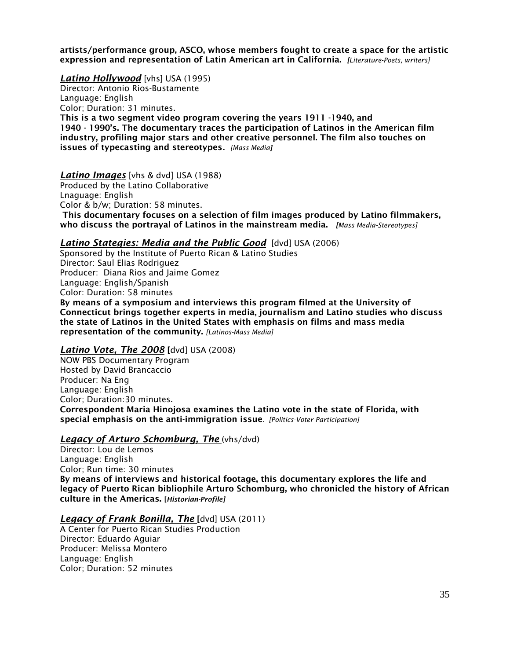artists/performance group, ASCO, whose members fought to create a space for the artistic expression and representation of Latin American art in California. *[Literature-Poets, writers]*

*Latino Hollywood* [vhs] USA (1995)

Director: Antonio Rios-Bustamente Language: English Color; Duration: 31 minutes. This is a two segment video program covering the years 1911 -1940, and 1940 - 1990's. The documentary traces the participation of Latinos in the American film industry, profiling major stars and other creative personnel. The film also touches on issues of typecasting and stereotypes*. [Mass Media]*

*Latino Images* [vhs & dvd] USA (1988)

Produced by the Latino Collaborative

Lnaguage: English

Color & b/w; Duration: 58 minutes.

This documentary focuses on a selection of film images produced by Latino filmmakers, who discuss the portrayal of Latinos in the mainstream media. *[Mass Media-Stereotypes]* 

#### *Latino Stategies: Media and the Public Good* [dvd] USA (2006)

Sponsored by the Institute of Puerto Rican & Latino Studies Director: Saul Elias Rodriguez Producer: Diana Rios and Jaime Gomez Language: English/Spanish Color: Duration: 58 minutes By means of a symposium and interviews this program filmed at the University of Connecticut brings together experts in media, journalism and Latino studies who discuss the state of Latinos in the United States with emphasis on films and mass media representation of the community. *[Latinos-Mass Media]*

#### *Latino Vote, The 2008* [dvd] USA (2008)

NOW PBS Documentary Program Hosted by David Brancaccio Producer: Na Eng Language: English Color; Duration:30 minutes. Correspondent Maria Hinojosa examines the Latino vote in the state of Florida, with special emphasis on the anti-immigration issue. *[Politics-Voter Participation]* 

#### *Legacy of Arturo Schomburg, The* (vhs/dvd)

Director: Lou de Lemos Language: English Color; Run time: 30 minutes By means of interviews and historical footage, this documentary explores the life and legacy of Puerto Rican bibliophile Arturo Schomburg, who chronicled the history of African culture in the Americas. [*Historian-Profile]*

#### *Legacy of Frank Bonilla, The* [dvd] USA (2011)

A Center for Puerto Rican Studies Production Director: Eduardo Aguiar Producer: Melissa Montero Language: English Color; Duration: 52 minutes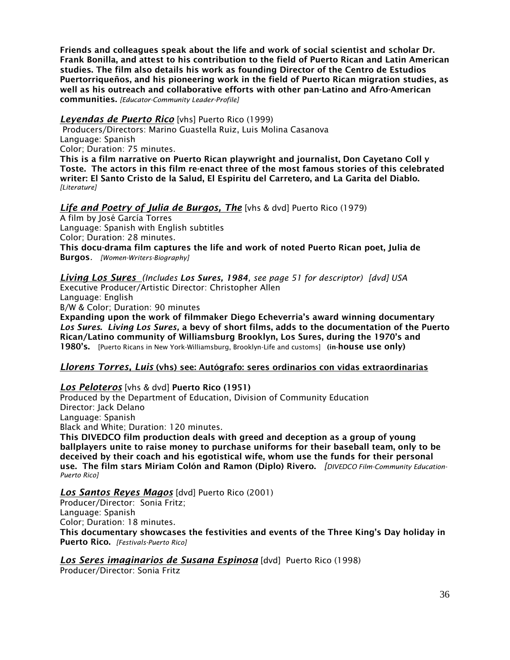Friends and colleagues speak about the life and work of social scientist and scholar Dr. Frank Bonilla, and attest to his contribution to the field of Puerto Rican and Latin American studies. The film also details his work as founding Director of the Centro de Estudios Puertorriqueños, and his pioneering work in the field of Puerto Rican migration studies, as well as his outreach and collaborative efforts with other pan-Latino and Afro-American communities. *[Educator-Community Leader-Profile]*

## *Leyendas de Puerto Rico* [vhs] Puerto Rico (1999)

Producers/Directors: Marino Guastella Ruiz, Luis Molina Casanova Language: Spanish Color; Duration: 75 minutes.

This is a film narrative on Puerto Rican playwright and journalist, Don Cayetano Coll y Toste. The actors in this film re-enact three of the most famous stories of this celebrated writer: El Santo Cristo de la Salud, El Espiritu del Carretero, and La Garita del Diablo. *[Literature]*

# *Life and Poetry of Julia de Burgos, The* [vhs & dvd] Puerto Rico (1979)

A film by José García Torres Language: Spanish with English subtitles Color; Duration: 28 minutes. This docu-drama film captures the life and work of noted Puerto Rican poet, Julia de Burgos*. [Women-Writers-Biography]*

*Living Los Sures (Includes Los Sures, 1984, see page 51 for descriptor) [dvd] USA* Executive Producer/Artistic Director: Christopher Allen

Language: English B/W & Color; Duration: 90 minutes

Expanding upon the work of filmmaker Diego Echeverria's award winning documentary *Los Sures*. *Living Los Sures,* a bevy of short films, adds to the documentation of the Puerto Rican/Latino community of Williamsburg Brooklyn, Los Sures, during the 1970's and 1980's. [Puerto Ricans in New York-Williamsburg, Brooklyn-Life and customs] (in-house use only)

# *Llorens Torres, Luis* (vhs) see: Autógrafo: seres ordinarios con vidas extraordinarias

# *Los Peloteros* [vhs & dvd] Puerto Rico (1951)

Produced by the Department of Education, Division of Community Education Director: Jack Delano Language: Spanish

Black and White; Duration: 120 minutes.

This DIVEDCO film production deals with greed and deception as a group of young ballplayers unite to raise money to purchase uniforms for their baseball team, only to be deceived by their coach and his egotistical wife, whom use the funds for their personal use. The film stars Miriam Colón and Ramon (Diplo) Rivero. *[DIVEDCO Film-Community Education-Puerto Rico]* 

*Los Santos Reyes Magos* [dvd] Puerto Rico (2001)

Producer/Director: Sonia Fritz; Language: Spanish Color; Duration: 18 minutes.

This documentary showcases the festivities and events of the Three King's Day holiday in Puerto Rico. *[Festivals-Puerto Rico]*

# *Los Seres imaginarios de Susana Espinosa* [dvd] Puerto Rico (1998)

Producer/Director: Sonia Fritz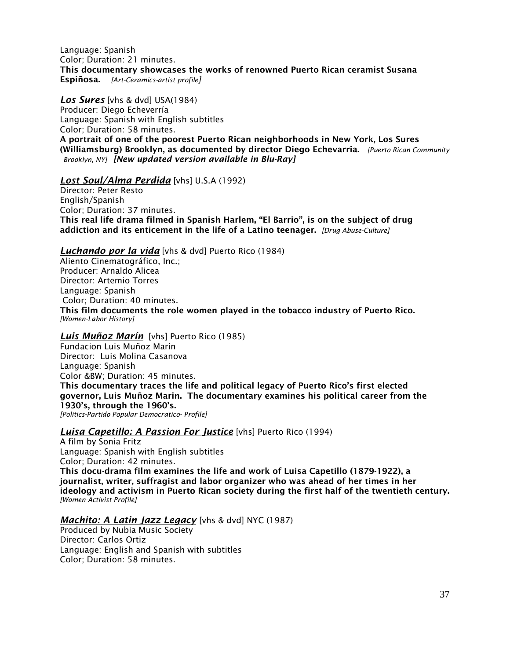Language: Spanish Color; Duration: 21 minutes. This documentary showcases the works of renowned Puerto Rican ceramist Susana Espiñosa. *[Art-Ceramics-artist profile]*

*Los Sures* [vhs & dvd] USA(1984) Producer: Diego Echeverría Language: Spanish with English subtitles Color; Duration: 58 minutes. A portrait of one of the poorest Puerto Rican neighborhoods in New York, Los Sures (Williamsburg) Brooklyn, as documented by director Diego Echevarria. *[Puerto Rican Community –Brooklyn, NY] [New updated version available in Blu-Ray]*

#### *Lost Soul/Alma Perdida* [vhs] U.S.A (1992)

Director: Peter Resto English/Spanish Color; Duration: 37 minutes. This real life drama filmed in Spanish Harlem, "El Barrio", is on the subject of drug addiction and its enticement in the life of a Latino teenager. *[Drug Abuse-Culture]*

#### *Luchando por la vida* [vhs & dvd] Puerto Rico (1984)

Aliento Cinematográfico, Inc.; Producer: Arnaldo Alicea Director: Artemio Torres Language: Spanish Color; Duration: 40 minutes. This film documents the role women played in the tobacco industry of Puerto Rico. *[Women-Labor History]*

#### *Luis Muñoz Marín* [vhs] Puerto Rico (1985)

Fundacion Luis Muñoz Marín Director: Luis Molina Casanova Language: Spanish Color &BW; Duration: 45 minutes. This documentary traces the life and political legacy of Puerto Rico's first elected governor, Luis Muñoz Marin. The documentary examines his political career from the 1930's, through the 1960's. *[Politics-Partido Popular Democratico- Profile]* 

#### *Luisa Capetillo: A Passion For Justice* [vhs] Puerto Rico (1994)

A film by Sonia Fritz Language: Spanish with English subtitles Color; Duration: 42 minutes. This docu-drama film examines the life and work of Luisa Capetillo (1879-1922), a journalist, writer, suffragist and labor organizer who was ahead of her times in her ideology and activism in Puerto Rican society during the first half of the twentieth century. *[Women-Activist-Profile]*

### *Machito: A Latin Jazz Legacy* [vhs & dvd] NYC (1987)

Produced by Nubia Music Society Director: Carlos Ortiz Language: English and Spanish with subtitles Color; Duration: 58 minutes.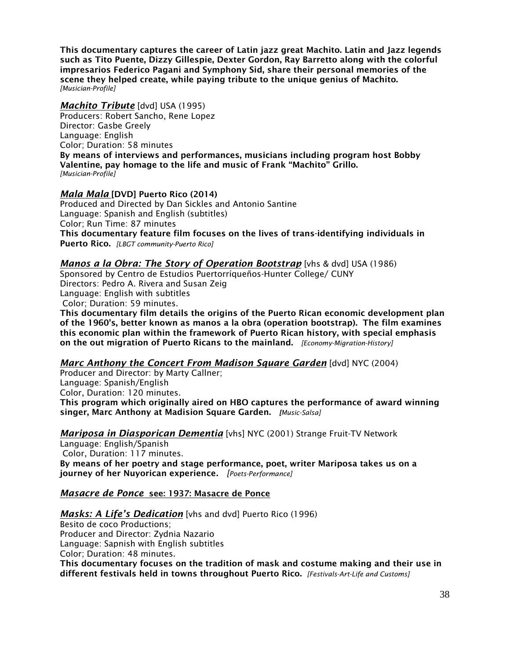This documentary captures the career of Latin jazz great Machito. Latin and Jazz legends such as Tito Puente, Dizzy Gillespie, Dexter Gordon, Ray Barretto along with the colorful impresarios Federico Pagani and Symphony Sid, share their personal memories of the scene they helped create, while paying tribute to the unique genius of Machito. *[Musician-Profile]*

#### *Machito Tribute* [dvd] USA (1995)

Producers: Robert Sancho, Rene Lopez Director: Gasbe Greely Language: English Color; Duration: 58 minutes By means of interviews and performances, musicians including program host Bobby Valentine, pay homage to the life and music of Frank "Machito" Grillo. *[Musician-Profile]*

#### *Mala Mala* [DVD] Puerto Rico (2014)

Produced and Directed by Dan Sickles and Antonio Santine Language: Spanish and English (subtitles) Color; Run Time: 87 minutes This documentary feature film focuses on the lives of trans-identifying individuals in Puerto Rico. *[LBGT community-Puerto Rico]*

### *Manos a la Obra: The Story of Operation Bootstrap* [vhs & dvd] USA (1986)

Sponsored by Centro de Estudios Puertorríqueños-Hunter College/ CUNY Directors: Pedro A. Rivera and Susan Zeig Language: English with subtitles Color; Duration: 59 minutes.

This documentary film details the origins of the Puerto Rican economic development plan of the 1960's, better known as manos a la obra (operation bootstrap). The film examines this economic plan within the framework of Puerto Rican history, with special emphasis on the out migration of Puerto Ricans to the mainland. *[Economy-Migration-History]*

### *Marc Anthony the Concert From Madison Square Garden* [dvd] NYC (2004)

Producer and Director: by Marty Callner; Language: Spanish/English Color, Duration: 120 minutes. This program which originally aired on HBO captures the performance of award winning singer, Marc Anthony at Madision Square Garden. *[Music-Salsa]*

### *Mariposa in Diasporican Dementia* [vhs] NYC (2001) Strange Fruit-TV Network

Language: English/Spanish Color, Duration: 117 minutes. By means of her poetry and stage performance, poet, writer Mariposa takes us on a journey of her Nuyorican experience*. [Poets-Performance]*

### *Masacre de Ponce* see: 1937: Masacre de Ponce

*Masks: A Life's Dedication* [vhs and dvd] Puerto Rico (1996) Besito de coco Productions; Producer and Director: Zydnia Nazario Language: Sapnish with English subtitles Color; Duration: 48 minutes. This documentary focuses on the tradition of mask and costume making and their use in different festivals held in towns throughout Puerto Rico. *[Festivals-Art-Life and Customs]*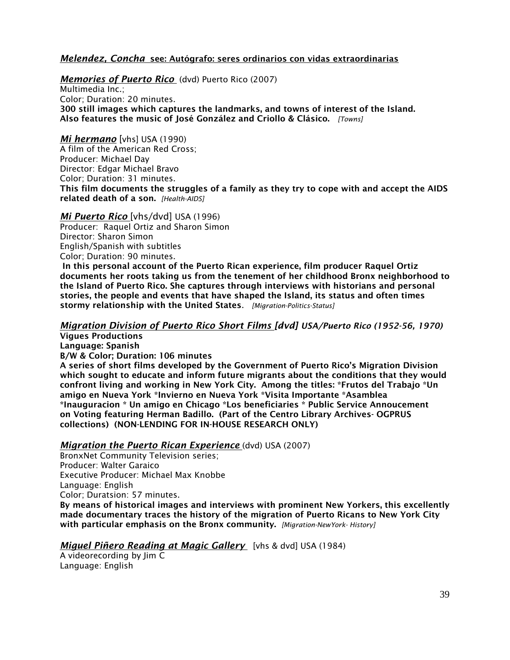### *Melendez, Concha* see: Autógrafo: seres ordinarios con vidas extraordinarias

### *Memories of Puerto Rico* (dvd) Puerto Rico (2007)

Multimedia Inc.; Color; Duration: 20 minutes. 300 still images which captures the landmarks, and towns of interest of the Island. Also features the music of José González and Criollo & Clásico. *[Towns]*

### *Mi hermano* [vhs] USA (1990)

A film of the American Red Cross; Producer: Michael Day Director: Edgar Michael Bravo Color; Duration: 31 minutes. This film documents the struggles of a family as they try to cope with and accept the AIDS related death of a son. *[Health-AIDS]*

#### *Mi Puerto Rico* [vhs/dvd] USA (1996)

Producer: Raquel Ortiz and Sharon Simon Director: Sharon Simon English/Spanish with subtitles Color; Duration: 90 minutes.

In this personal account of the Puerto Rican experience, film producer Raquel Ortiz documents her roots taking us from the tenement of her childhood Bronx neighborhood to the Island of Puerto Rico. She captures through interviews with historians and personal stories, the people and events that have shaped the Island, its status and often times stormy relationship with the United States. *[Migration-Politics-Status]*

### *Migration Division of Puerto Rico Short Films [dvd] USA/Puerto Rico (1952-56, 1970)*

Vigues Productions

Language: Spanish

B/W & Color; Duration: 106 minutes

A series of short films developed by the Government of Puerto Rico's Migration Division which sought to educate and inform future migrants about the conditions that they would confront living and working in New York City. Among the titles: \*Frutos del Trabajo \*Un amigo en Nueva York \*Invierno en Nueva York \*Visita Importante \*Asamblea \*Inauguracion \* Un amigo en Chicago \*Los beneficiaries \* Public Service Annoucement on Voting featuring Herman Badillo. (Part of the Centro Library Archives- OGPRUS collections) (NON-LENDING FOR IN-HOUSE RESEARCH ONLY)

### *Migration the Puerto Rican Experience* (dvd) USA (2007)

BronxNet Community Television series; Producer: Walter Garaico Executive Producer: Michael Max Knobbe Language: English Color; Duratsion: 57 minutes.

By means of historical images and interviews with prominent New Yorkers, this excellently made documentary traces the history of the migration of Puerto Ricans to New York City with particular emphasis on the Bronx community. *[Migration-NewYork- History]*

### *Miguel Piñero Reading at Magic Gallery* [vhs & dvd] USA (1984)

A videorecording by Jim C Language: English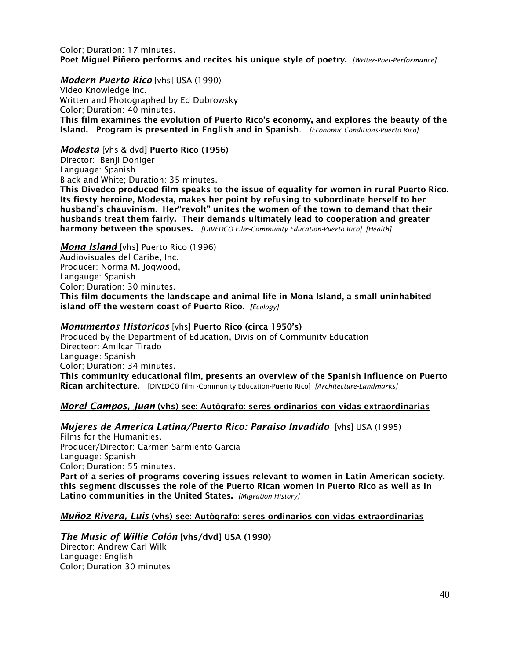#### Color; Duration: 17 minutes. Poet Miguel Piñero performs and recites his unique style of poetry. *[Writer-Poet-Performance]*

#### *Modern Puerto Rico* [vhs] USA (1990)

Video Knowledge Inc. Written and Photographed by Ed Dubrowsky Color; Duration: 40 minutes. This film examines the evolution of Puerto Rico's economy, and explores the beauty of the Island. Program is presented in English and in Spanish. *[Economic Conditions-Puerto Rico]*

#### *Modesta* [vhs & dvd] Puerto Rico (1956)

Director: Benji Doniger Language: Spanish

Black and White; Duration: 35 minutes.

This Divedco produced film speaks to the issue of equality for women in rural Puerto Rico. Its fiesty heroine, Modesta, makes her point by refusing to subordinate herself to her husband's chauvinism. Her"revolt" unites the women of the town to demand that their husbands treat them fairly. Their demands ultimately lead to cooperation and greater harmony between the spouses. *[DIVEDCO Film-Community Education-Puerto Rico] [Health]*

#### *Mona Island* [vhs] Puerto Rico (1996)

Audiovisuales del Caribe, Inc. Producer: Norma M. Jogwood, Langauge: Spanish Color; Duration: 30 minutes. This film documents the landscape and animal life in Mona Island, a small uninhabited island off the western coast of Puerto Rico. *[Ecology]*

### *Monumentos Historicos* [vhs] Puerto Rico (circa 1950's)

Produced by the Department of Education, Division of Community Education Directeor: Amilcar Tirado Language: Spanish Color; Duration: 34 minutes. This community educational film, presents an overview of the Spanish influence on Puerto Rican architecture. [DIVEDCO film -Community Education-Puerto Rico] *[Architecture-Landmarks]*

### *Morel Campos, Juan* (vhs) see: Autógrafo: seres ordinarios con vidas extraordinarias

### *Mujeres de America Latina/Puerto Rico: Paraiso Invadido* [vhs] USA (1995)

Films for the Humanities. Producer/Director: Carmen Sarmiento Garcia Language: Spanish Color; Duration: 55 minutes. Part of a series of programs covering issues relevant to women in Latin American society, this segment discusses the role of the Puerto Rican women in Puerto Rico as well as in Latino communities in the United States. *[Migration History]*

### *Muñoz Rivera, Luis* (vhs) see: Autógrafo: seres ordinarios con vidas extraordinarias

#### *The Music of Willie Colón* [vhs/dvd] USA (1990) Director: Andrew Carl Wilk Language: English Color; Duration 30 minutes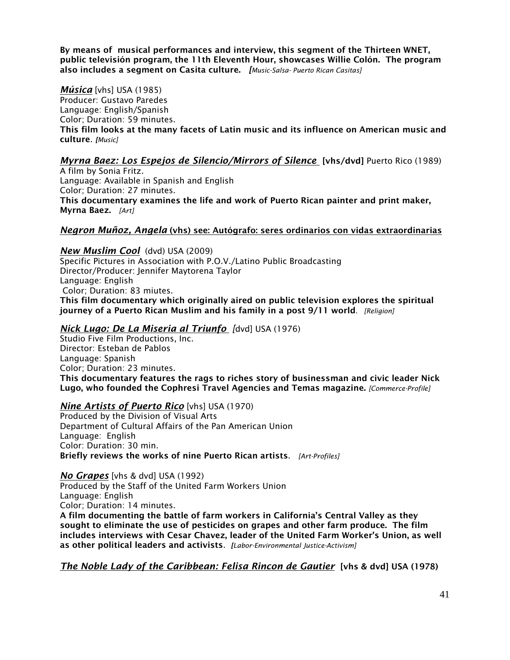By means of musical performances and interview, this segment of the Thirteen WNET, public televisión program, the 11th Eleventh Hour, showcases Willie Colón. The program also includes a segment on Casita culture. *[Music-Salsa- Puerto Rican Casitas]*

#### *Música* [vhs] USA (1985)

Producer: Gustavo Paredes Language: English/Spanish Color; Duration: 59 minutes. This film looks at the many facets of Latin music and its influence on American music and culture. *[Music]*

### *Myrna Baez: Los Espejos de Silencio/Mirrors of Silence* [vhs/dvd] Puerto Rico (1989)

A film by Sonia Fritz. Language: Available in Spanish and English Color; Duration: 27 minutes. This documentary examines the life and work of Puerto Rican painter and print maker, Myrna Baez. *[Art]*

#### *Negron Muñoz, Angela* (vhs) see: Autógrafo: seres ordinarios con vidas extraordinarias

### *New Muslim Cool* (dvd) USA (2009)

Specific Pictures in Association with P.O.V./Latino Public Broadcasting Director/Producer: Jennifer Maytorena Taylor Language: English Color; Duration: 83 miutes. This film documentary which originally aired on public television explores the spiritual journey of a Puerto Rican Muslim and his family in a post 9/11 world. *[Religion]*

#### *Nick Lugo: De La Miseria al Triunfo [*dvd] USA (1976)

Studio Five Film Productions, Inc. Director: Esteban de Pablos Language: Spanish Color; Duration: 23 minutes. This documentary features the rags to riches story of businessman and civic leader Nick Lugo, who founded the Cophresi Travel Agencies and Temas magazine. *[Commerce-Profile]*

#### *Nine Artists of Puerto Rico* [vhs] USA (1970)

Produced by the Division of Visual Arts Department of Cultural Affairs of the Pan American Union Language: English Color: Duration: 30 min. Briefly reviews the works of nine Puerto Rican artists. *[Art-Profiles]*

*No Grapes* [vhs & dvd] USA (1992)

Produced by the Staff of the United Farm Workers Union Language: English

Color; Duration: 14 minutes.

A film documenting the battle of farm workers in California's Central Valley as they sought to eliminate the use of pesticides on grapes and other farm produce. The film includes interviews with Cesar Chavez, leader of the United Farm Worker's Union, as well as other political leaders and activists. *[Labor-Environmental Justice-Activism]*

*The Noble Lady of the Caribbean: Felisa Rincon de Gautier* [vhs & dvd] USA (1978)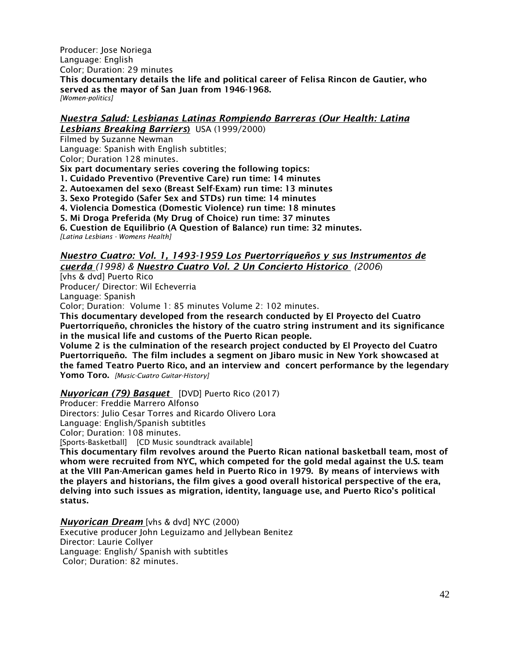Producer: Jose Noriega Language: English Color; Duration: 29 minutes

This documentary details the life and political career of Felisa Rincon de Gautier, who served as the mayor of San Juan from 1946-1968. *[Women-politics]*

# *Nuestra Salud: Lesbianas Latinas Rompiendo Barreras (Our Health: Latina*

*Lesbians Breaking Barriers*) USA (1999/2000)

Filmed by Suzanne Newman

Language: Spanish with English subtitles;

Color; Duration 128 minutes.

Six part documentary series covering the following topics:

1. Cuidado Preventivo (Preventive Care) run time: 14 minutes

2. Autoexamen del sexo (Breast Self-Exam) run time: 13 minutes

3. Sexo Protegido (Safer Sex and STDs) run time: 14 minutes

4. Violencia Domestica (Domestic Violence) run time: 18 minutes

5. Mi Droga Preferida (My Drug of Choice) run time: 37 minutes

6. Cuestion de Equilibrio (A Question of Balance) run time: 32 minutes. *[Latina Lesbians - Womens Health]*

#### *Nuestro Cuatro: Vol. 1, 1493-1959 Los Puertorríqueños y sus Instrumentos de cuerda (1998) & Nuestro Cuatro Vol. 2 Un Concierto Historico (2006*)

[vhs & dvd] Puerto Rico Producer/ Director: Wil Echeverria Language: Spanish

Color; Duration: Volume 1: 85 minutes Volume 2: 102 minutes.

This documentary developed from the research conducted by El Proyecto del Cuatro Puertorríqueño, chronicles the history of the cuatro string instrument and its significance in the musical life and customs of the Puerto Rican people.

Volume 2 is the culmination of the research project conducted by El Proyecto del Cuatro Puertorriqueño. The film includes a segment on Jibaro music in New York showcased at the famed Teatro Puerto Rico, and an interview and concert performance by the legendary Yomo Toro. *[Music-Cuatro Guitar-History]*

### *Nuyorican (79) Basquet* [DVD] Puerto Rico (2017)

Producer: Freddie Marrero Alfonso

Directors: Julio Cesar Torres and Ricardo Olivero Lora

Language: English/Spanish subtitles

Color; Duration: 108 minutes.

[Sports-Basketball] [CD Music soundtrack available]

This documentary film revolves around the Puerto Rican national basketball team, most of whom were recruited from NYC, which competed for the gold medal against the U.S. team at the VIII Pan-American games held in Puerto Rico in 1979. By means of interviews with the players and historians, the film gives a good overall historical perspective of the era, delving into such issues as migration, identity, language use, and Puerto Rico's political status.

*Nuyorican Dream* [vhs & dvd] NYC (2000)

Executive producer John Leguizamo and Jellybean Benitez Director: Laurie Collyer Language: English/ Spanish with subtitles Color; Duration: 82 minutes.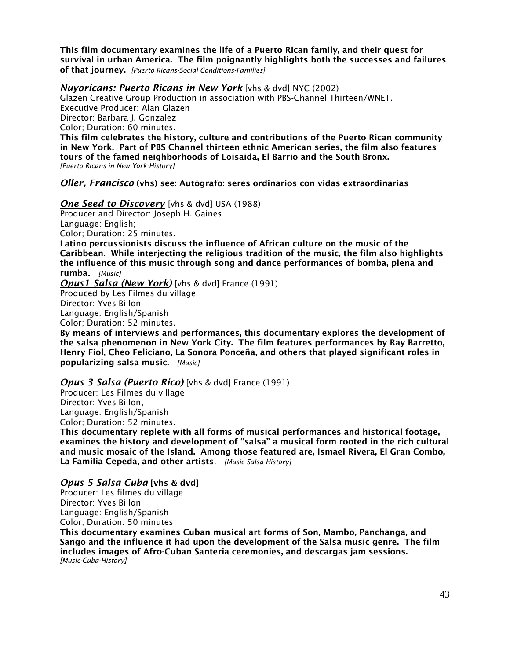This film documentary examines the life of a Puerto Rican family, and their quest for survival in urban America. The film poignantly highlights both the successes and failures of that journey. *[Puerto Ricans-Social Conditions-Families]*

*Nuyoricans: Puerto Ricans in New York* [vhs & dvd] NYC (2002) Glazen Creative Group Production in association with PBS-Channel Thirteen/WNET. Executive Producer: Alan Glazen Director: Barbara I. Gonzalez Color; Duration: 60 minutes. This film celebrates the history, culture and contributions of the Puerto Rican community in New York. Part of PBS Channel thirteen ethnic American series, the film also features tours of the famed neighborhoods of Loisaida, El Barrio and the South Bronx. *[Puerto Ricans in New York-History]*

### *Oller, Francisco* (vhs) see: Autógrafo: seres ordinarios con vidas extraordinarias

**One Seed to Discovery** [vhs & dvd] USA (1988)

Producer and Director: Joseph H. Gaines Language: English; Color; Duration: 25 minutes. Latino percussionists discuss the influence of African culture on the music of the Caribbean. While interjecting the religious tradition of the music, the film also highlights the influence of this music through song and dance performances of bomba, plena and rumba*. [Music]*

*Opus1 Salsa (New York)* [vhs & dvd] France (1991) Produced by Les Filmes du village Director: Yves Billon Language: English/Spanish Color; Duration: 52 minutes.

By means of interviews and performances, this documentary explores the development of the salsa phenomenon in New York City. The film features performances by Ray Barretto, Henry Fiol, Cheo Feliciano, La Sonora Ponceña, and others that played significant roles in popularizing salsa music. *[Music]*

### *Opus 3 Salsa (Puerto Rico)* [vhs & dvd] France (1991)

Producer: Les Filmes du village Director: Yves Billon, Language: English/Spanish Color; Duration: 52 minutes.

This documentary replete with all forms of musical performances and historical footage, examines the history and development of "salsa" a musical form rooted in the rich cultural and music mosaic of the Island. Among those featured are, Ismael Rivera, El Gran Combo, La Familia Cepeda, and other artists. *[Music-Salsa-History]*

#### *Opus 5 Salsa Cuba* [vhs & dvd]

Producer: Les filmes du village Director: Yves Billon Language: English/Spanish Color; Duration: 50 minutes

This documentary examines Cuban musical art forms of Son, Mambo, Panchanga, and Sango and the influence it had upon the development of the Salsa music genre. The film includes images of Afro-Cuban Santeria ceremonies, and descargas jam sessions. *[Music-Cuba-History]*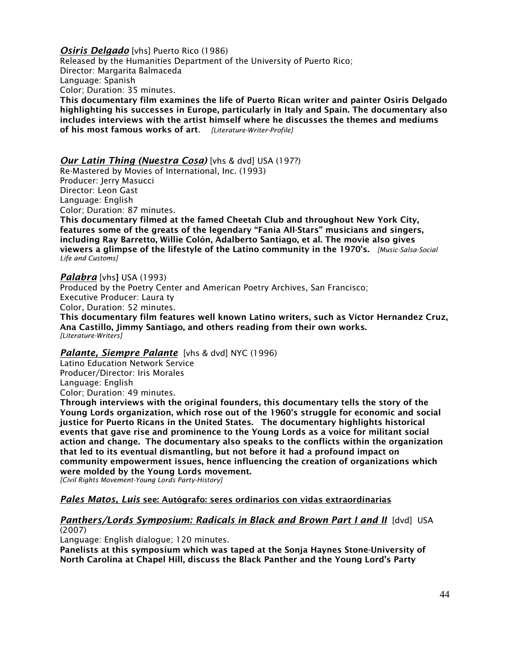**Osiris Delgado** [vhs] Puerto Rico (1986)

Released by the Humanities Department of the University of Puerto Rico; Director: Margarita Balmaceda Language: Spanish Color; Duration: 35 minutes. This documentary film examines the life of Puerto Rican writer and painter Osiris Delgado

highlighting his successes in Europe, particularly in Italy and Spain. The documentary also includes interviews with the artist himself where he discusses the themes and mediums of his most famous works of art. *[Literature-Writer-Profile]*

### *Our Latin Thing (Nuestra Cosa)* [vhs & dvd] USA (197?)

Re-Mastered by Movies of International, Inc. (1993) Producer: Jerry Masucci Director: Leon Gast Language: English Color; Duration: 87 minutes. This documentary filmed at the famed Cheetah Club and throughout New York City, features some of the greats of the legendary "Fania All-Stars" musicians and singers, including Ray Barretto, Willie Colón, Adalberto Santiago, et al. The movie also gives viewers a glimpse of the lifestyle of the Latino community in the 1970's. *[Music-Salsa-Social Life and Customs]*

#### *Palabra* [vhs] USA (1993)

Produced by the Poetry Center and American Poetry Archives, San Francisco; Executive Producer: Laura ty Color, Duration: 52 minutes. This documentary film features well known Latino writers, such as Victor Hernandez Cruz, Ana Castillo, Jimmy Santiago, and others reading from their own works. *[Literature-Writers]*

#### *Palante, Siempre Palante* [vhs & dvd] NYC (1996)

Latino Education Network Service Producer/Director: Iris Morales Language: English Color; Duration: 49 minutes.

Through interviews with the original founders, this documentary tells the story of the Young Lords organization, which rose out of the 1960's struggle for economic and social justice for Puerto Ricans in the United States. The documentary highlights historical events that gave rise and prominence to the Young Lords as a voice for militant social action and change. The documentary also speaks to the conflicts within the organization that led to its eventual dismantling, but not before it had a profound impact on community empowerment issues, hence influencing the creation of organizations which were molded by the Young Lords movement.

*[Civil Rights Movement-Young Lords Party-History]*

### *Pales Matos, Luis* see: Autógrafo: seres ordinarios con vidas extraordinarias

#### **Panthers/Lords Symposium: Radicals in Black and Brown Part I and II** [dvd] USA (2007)

Language: English dialogue; 120 minutes.

Panelists at this symposium which was taped at the Sonja Haynes Stone-University of North Carolina at Chapel Hill, discuss the Black Panther and the Young Lord's Party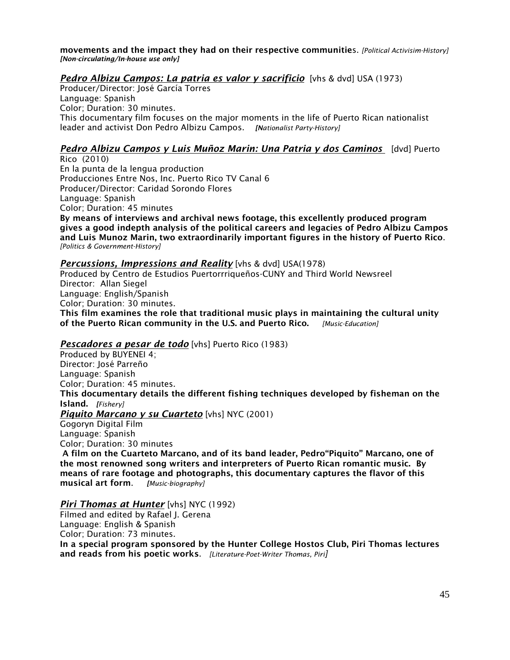movements and the impact they had on their respective communities. *[Political Activisim-History] [Non-circulating/In-house use only]*

## *Pedro Albizu Campos: La patria es valor y sacrificio* [vhs & dvd] USA (1973)

Producer/Director: José García Torres Language: Spanish Color; Duration: 30 minutes. This documentary film focuses on the major moments in the life of Puerto Rican nationalist leader and activist Don Pedro Albizu Campos. *[Nationalist Party-History]*

## *Pedro Albizu Campos y Luis Muñoz Marin: Una Patria y dos Caminos* **[dvd] Puerto**

Rico (2010) En la punta de la lengua production Producciones Entre Nos, Inc. Puerto Rico TV Canal 6 Producer/Director: Caridad Sorondo Flores Language: Spanish Color; Duration: 45 minutes

By means of interviews and archival news footage, this excellently produced program gives a good indepth analysis of the political careers and legacies of Pedro Albizu Campos and Luis Munoz Marin, two extraordinarily important figures in the history of Puerto Rico. *[Politics & Government-History]*

### *Percussions, Impressions and Reality* [vhs & dvd] USA(1978)

Produced by Centro de Estudios Puertorrriqueños-CUNY and Third World Newsreel Director: Allan Siegel Language: English/Spanish Color; Duration: 30 minutes. This film examines the role that traditional music plays in maintaining the cultural unity of the Puerto Rican community in the U.S. and Puerto Rico. *[Music-Education]*

### *Pescadores a pesar de todo* [vhs] Puerto Rico (1983)

Produced by BUYENEI 4; Director: José Parreño Language: Spanish Color; Duration: 45 minutes. This documentary details the different fishing techniques developed by fisheman on the Island. *[Fishery] Piquito Marcano y su Cuarteto* [vhs] NYC (2001) Gogoryn Digital Film Language: Spanish Color; Duration: 30 minutes A film on the Cuarteto Marcano, and of its band leader, Pedro"Piquito" Marcano, one of

the most renowned song writers and interpreters of Puerto Rican romantic music. By means of rare footage and photographs, this documentary captures the flavor of this musical art form. *[Music-biography]*

### *Piri Thomas at Hunter* [vhs] NYC (1992)

Filmed and edited by Rafael I. Gerena Language: English & Spanish Color; Duration: 73 minutes. In a special program sponsored by the Hunter College Hostos Club, Piri Thomas lectures and reads from his poetic works. *[Literature-Poet-Writer Thomas, Piri]*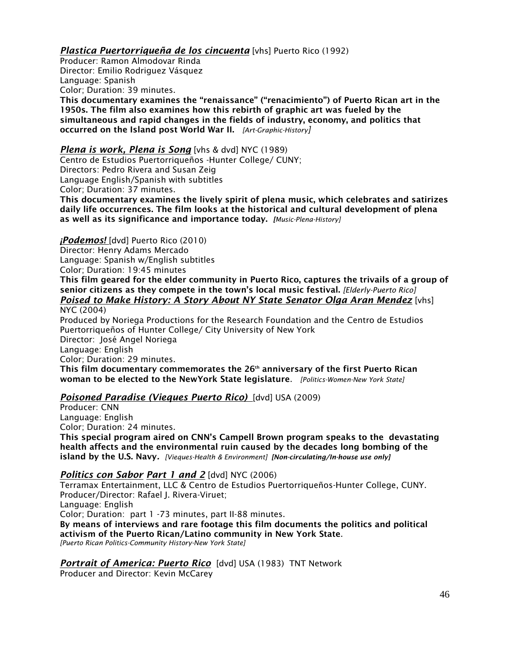# *Plastica Puertorriqueña de los cincuenta* [vhs] Puerto Rico (1992)

Producer: Ramon Almodovar Rinda Director: Emilio Rodriguez Vásquez Language: Spanish Color; Duration: 39 minutes.

This documentary examines the "renaissance" ("renacimiento") of Puerto Rican art in the 1950s. The film also examines how this rebirth of graphic art was fueled by the simultaneous and rapid changes in the fields of industry, economy, and politics that occurred on the Island post World War II. *[Art-Graphic-History]*

### *Plena is work, Plena is Song* [vhs & dvd] NYC (1989)

Centro de Estudios Puertorriqueños -Hunter College/ CUNY; Directors: Pedro Rivera and Susan Zeig Language English/Spanish with subtitles Color; Duration: 37 minutes.

This documentary examines the lively spirit of plena music, which celebrates and satirizes daily life occurrences. The film looks at the historical and cultural development of plena as well as its significance and importance today. *[Music-Plena-History]*

### *¡Podemos!* [dvd] Puerto Rico (2010)

Director: Henry Adams Mercado

Language: Spanish w/English subtitles

Color; Duration: 19:45 minutes

This film geared for the elder community in Puerto Rico, captures the trivails of a group of senior citizens as they compete in the town's local music festival. *[Elderly-Puerto Rico] Poised to Make History: A Story About NY State Senator Olga Aran Mendez* [vhs]

NYC (2004)

Produced by Noriega Productions for the Research Foundation and the Centro de Estudios Puertorriqueños of Hunter College/ City University of New York Director: José Angel Noriega

Language: English

Color; Duration: 29 minutes.

This film documentary commemorates the  $26<sup>th</sup>$  anniversary of the first Puerto Rican woman to be elected to the NewYork State legislature. *[Politics-Women-New York State]*

## *Poisoned Paradise (Vieques Puerto Rico)* [dvd] USA (2009)

Producer: CNN Language: English Color; Duration: 24 minutes.

This special program aired on CNN's Campell Brown program speaks to the devastating health affects and the environmental ruin caused by the decades long bombing of the island by the U.S. Navy*. [Vieques-Health & Environment] [Non-circulating/In-house use only]*

## *Politics con Sabor Part 1 and 2* [dvd] NYC (2006)

Terramax Entertainment, LLC & Centro de Estudios Puertorriqueños-Hunter College, CUNY. Producer/Director: Rafael J. Rivera-Viruet; Language: English Color; Duration: part 1 -73 minutes, part II-88 minutes. By means of interviews and rare footage this film documents the politics and political activism of the Puerto Rican/Latino community in New York State. *[Puerto Rican Politics-Community History-New York State]*

*Portrait of America: Puerto Rico* [dvd] USA (1983) TNT Network

Producer and Director: Kevin McCarey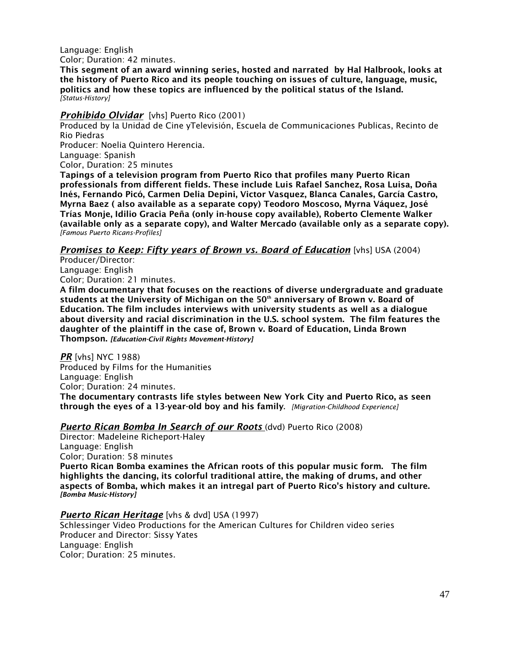Language: English Color; Duration: 42 minutes.

This segment of an award winning series, hosted and narrated by Hal Halbrook, looks at the history of Puerto Rico and its people touching on issues of culture, language, music, politics and how these topics are influenced by the political status of the Island. *[Status-History]*

### *Prohibido Olvidar* [vhs] Puerto Rico (2001)

Produced by la Unidad de Cine yTelevisión, Escuela de Communicaciones Publicas, Recinto de Rio Piedras

Producer: Noelia Quintero Herencia.

Language: Spanish

Color, Duration: 25 minutes

Tapings of a television program from Puerto Rico that profiles many Puerto Rican professionals from different fields. These include Luis Rafael Sanchez, Rosa Luisa, Doña Inés, Fernando Picó, Carmen Delia Depini, Victor Vasquez, Blanca Canales, García Castro, Myrna Baez ( also available as a separate copy) Teodoro Moscoso, Myrna Váquez, José Trías Monje, Idilio Gracia Peña (only in-house copy available), Roberto Clemente Walker (available only as a separate copy), and Walter Mercado (available only as a separate copy). *[Famous Puerto Ricans-Profiles]*

*Promises to Keep: Fifty years of Brown vs. Board of Education* [vhs] USA (2004)

Producer/Director: Language: English Color; Duration: 21 minutes.

A film documentary that focuses on the reactions of diverse undergraduate and graduate students at the University of Michigan on the  $50<sup>th</sup>$  anniversary of Brown v. Board of Education. The film includes interviews with university students as well as a dialogue about diversity and racial discrimination in the U.S. school system. The film features the daughter of the plaintiff in the case of, Brown v. Board of Education, Linda Brown Thompson. *[Education-Civil Rights Movement-History]*

*PR* [vhs] NYC 1988) Produced by Films for the Humanities Language: English Color; Duration: 24 minutes. The documentary contrasts life styles between New York City and Puerto Rico, as seen through the eyes of a 13-year-old boy and his family. *[Migration-Childhood Experience]*

*Puerto Rican Bomba In Search of our Roots* (dvd) Puerto Rico (2008)

Director: Madeleine Richeport-Haley Language: English Color; Duration: 58 minutes Puerto Rican Bomba examines the African roots of this popular music form. The film highlights the dancing, its colorful traditional attire, the making of drums, and other aspects of Bomba, which makes it an intregal part of Puerto Rico's history and culture. *[Bomba Music-History]*

### *Puerto Rican Heritage* [vhs & dvd] USA (1997)

Schlessinger Video Productions for the American Cultures for Children video series Producer and Director: Sissy Yates Language: English Color; Duration: 25 minutes.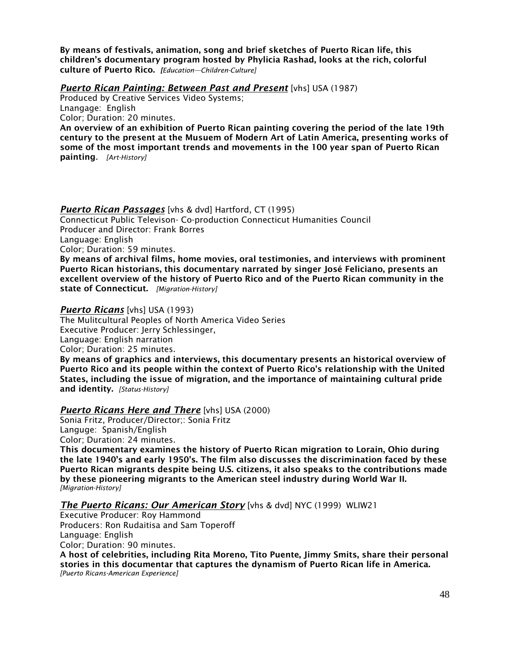By means of festivals, animation, song and brief sketches of Puerto Rican life, this children's documentary program hosted by Phylicia Rashad, looks at the rich, colorful culture of Puerto Rico. *[Education—Children-Culture]*

### *Puerto Rican Painting: Between Past and Present* [vhs] USA (1987)

Produced by Creative Services Video Systems; Lnangage: English Color; Duration: 20 minutes.

An overview of an exhibition of Puerto Rican painting covering the period of the late 19th century to the present at the Musuem of Modern Art of Latin America, presenting works of some of the most important trends and movements in the 100 year span of Puerto Rican painting*. [Art-History]*

### *Puerto Rican Passages* [vhs & dvd] Hartford, CT (1995)

Connecticut Public Televison- Co-production Connecticut Humanities Council Producer and Director: Frank Borres Language: English Color; Duration: 59 minutes.

By means of archival films, home movies, oral testimonies, and interviews with prominent Puerto Rican historians, this documentary narrated by singer José Feliciano, presents an excellent overview of the history of Puerto Rico and of the Puerto Rican community in the state of Connecticut. *[Migration-History]* 

### *Puerto Ricans* [vhs] USA (1993)

The Mulitcultural Peoples of North America Video Series Executive Producer: Jerry Schlessinger, Language: English narration Color; Duration: 25 minutes.

By means of graphics and interviews, this documentary presents an historical overview of Puerto Rico and its people within the context of Puerto Rico's relationship with the United States, including the issue of migration, and the importance of maintaining cultural pride and identity. *[Status-History]*

## *Puerto Ricans Here and There* [vhs] USA (2000)

Sonia Fritz, Producer/Director;: Sonia Fritz Languge: Spanish/English Color; Duration: 24 minutes.

This documentary examines the history of Puerto Rican migration to Lorain, Ohio during the late 1940's and early 1950's. The film also discusses the discrimination faced by these Puerto Rican migrants despite being U.S. citizens, it also speaks to the contributions made by these pioneering migrants to the American steel industry during World War II. *[Migration-History]*

*The Puerto Ricans: Our American Story* [vhs & dvd] NYC (1999) WLIW21

Executive Producer: Roy Hammond Producers: Ron Rudaitisa and Sam Toperoff Language: English Color; Duration: 90 minutes.

A host of celebrities, including Rita Moreno, Tito Puente, Jimmy Smits, share their personal stories in this documentar that captures the dynamism of Puerto Rican life in America. *[Puerto Ricans-American Experience]*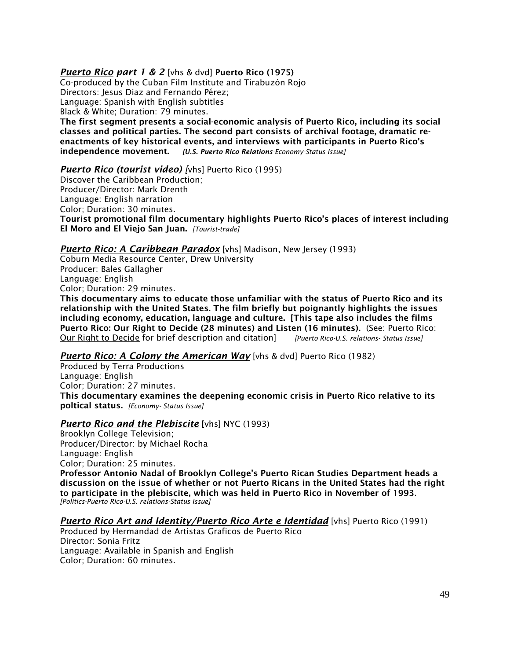## *Puerto Rico part 1 & 2* [vhs & dvd] Puerto Rico (1975)

Co-produced by the Cuban Film Institute and Tirabuzón Rojo Directors: Jesus Diaz and Fernando Pérez; Language: Spanish with English subtitles Black & White; Duration: 79 minutes.

The first segment presents a social-economic analysis of Puerto Rico, including its social classes and political parties. The second part consists of archival footage, dramatic reenactments of key historical events, and interviews with participants in Puerto Rico's independence movement. *[U.S. Puerto Rico Relations-Economy-Status Issue]*

### *Puerto Rico (tourist video) [*vhs] Puerto Rico (1995)

Discover the Caribbean Production; Producer/Director: Mark Drenth Language: English narration Color; Duration: 30 minutes. Tourist promotional film documentary highlights Puerto Rico's places of interest including El Moro and El Viejo San Juan. *[Tourist-trade]*

*Puerto Rico: A Caribbean Paradox* [vhs] Madison, New Jersey (1993)

Coburn Media Resource Center, Drew University Producer: Bales Gallagher Language: English Color; Duration: 29 minutes.

This documentary aims to educate those unfamiliar with the status of Puerto Rico and its relationship with the United States. The film briefly but poignantly highlights the issues including economy, education, language and culture. [This tape also includes the films Puerto Rico: Our Right to Decide (28 minutes) and Listen (16 minutes). (See: Puerto Rico: Our Right to Decide for brief description and citation] *[Puerto Rico-U.S. relations- Status Issue]*

## *Puerto Rico: A Colony the American Way* [vhs & dvd] Puerto Rico (1982)

Produced by Terra Productions Language: English Color; Duration: 27 minutes. This documentary examines the deepening economic crisis in Puerto Rico relative to its poltical status. *[Economy- Status Issue]*

### *Puerto Rico and the Plebiscite* [vhs] NYC (1993)

Brooklyn College Television; Producer/Director: by Michael Rocha Language: English Color; Duration: 25 minutes. Professor Antonio Nadal of Brooklyn College's Puerto Rican Studies Department heads a

discussion on the issue of whether or not Puerto Ricans in the United States had the right to participate in the plebiscite, which was held in Puerto Rico in November of 1993. *[Politics-Puerto Rico-U.S. relations-Status Issue]*

*Puerto Rico Art and Identity/Puerto Rico Arte e Identidad* [vhs] Puerto Rico (1991) Produced by Hermandad de Artistas Graficos de Puerto Rico Director: Sonia Fritz Language: Available in Spanish and English Color; Duration: 60 minutes.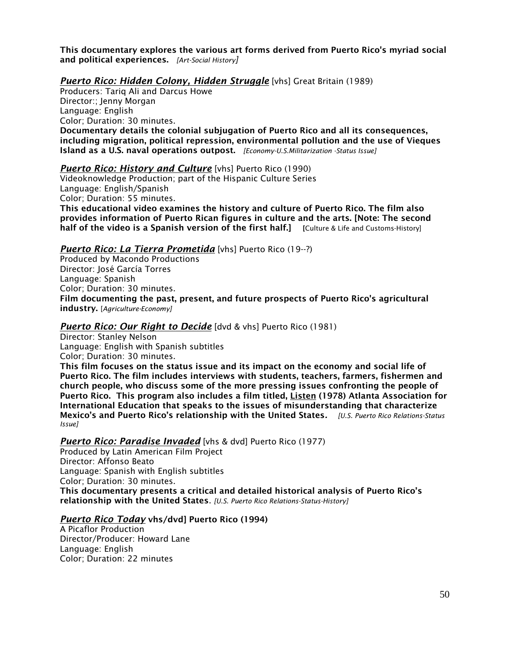This documentary explores the various art forms derived from Puerto Rico's myriad social and political experiences. *[Art-Social History]*

### *Puerto Rico: Hidden Colony, Hidden Struggle* [vhs] Great Britain (1989)

Producers: Tariq Ali and Darcus Howe Director:; Jenny Morgan Language: English Color; Duration: 30 minutes. Documentary details the colonial subjugation of Puerto Rico and all its consequences, including migration, political repression, environmental pollution and the use of Vieques Island as a U.S. naval operations outpost. *[Economy-U.S.Militarization -Status Issue]*

### *Puerto Rico: History and Culture* [vhs] Puerto Rico (1990)

Videoknowledge Production; part of the Hispanic Culture Series Language: English/Spanish Color; Duration: 55 minutes.

This educational video examines the history and culture of Puerto Rico. The film also provides information of Puerto Rican figures in culture and the arts. [Note: The second half of the video is a Spanish version of the first half.] [Culture & Life and Customs-History]

### *Puerto Rico: La Tierra Prometida* [vhs] Puerto Rico (19--?)

Produced by Macondo Productions Director: José García Torres Language: Spanish Color; Duration: 30 minutes. Film documenting the past, present, and future prospects of Puerto Rico's agricultural industry. [*Agriculture-Economy]*

#### **Puerto Rico: Our Right to Decide** [dvd & vhs] Puerto Rico (1981)

Director: Stanley Nelson Language: English with Spanish subtitles Color; Duration: 30 minutes.

This film focuses on the status issue and its impact on the economy and social life of Puerto Rico. The film includes interviews with students, teachers, farmers, fishermen and church people, who discuss some of the more pressing issues confronting the people of Puerto Rico. This program also includes a film titled, Listen (1978) Atlanta Association for International Education that speaks to the issues of misunderstanding that characterize Mexico's and Puerto Rico's relationship with the United States*. [U.S. Puerto Rico Relations-Status Issue]*

#### *Puerto Rico: Paradise Invaded* [vhs & dvd] Puerto Rico (1977)

Produced by Latin American Film Project Director: Affonso Beato Language: Spanish with English subtitles Color; Duration: 30 minutes. This documentary presents a critical and detailed historical analysis of Puerto Rico's relationship with the United States. *[U.S. Puerto Rico Relations-Status-History]*

#### *Puerto Rico Today* vhs/dvd] Puerto Rico (1994)

A Picaflor Production Director/Producer: Howard Lane Language: English Color; Duration: 22 minutes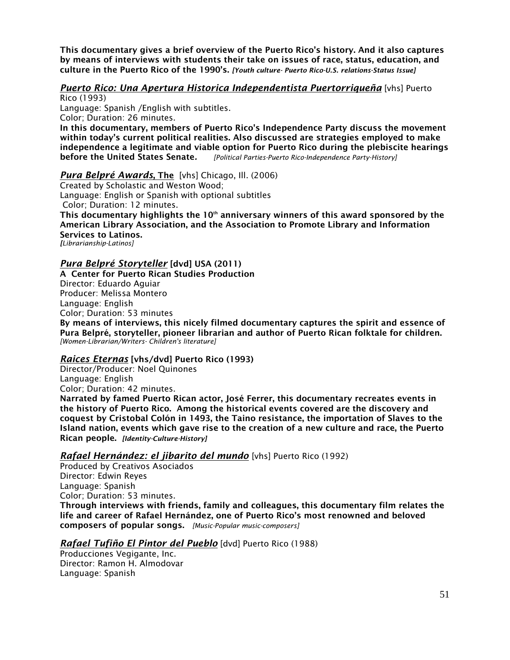This documentary gives a brief overview of the Puerto Rico's history. And it also captures by means of interviews with students their take on issues of race, status, education, and culture in the Puerto Rico of the 1990's. *[Youth culture- Puerto Rico-U.S. relations-Status Issue]*

## *Puerto Rico: Una Apertura Historica Independentista Puertorriqueña* [vhs] Puerto

Rico (1993)

Language: Spanish /English with subtitles. Color; Duration: 26 minutes.

In this documentary, members of Puerto Rico's Independence Party discuss the movement within today's current political realities. Also discussed are strategies employed to make independence a legitimate and viable option for Puerto Rico during the plebiscite hearings before the United States Senate*. [Political Parties-Puerto Rico-Independence Party-History]*

### *Pura Belpré Awards*, The [vhs] Chicago, Ill. (2006)

Created by Scholastic and Weston Wood; Language: English or Spanish with optional subtitles Color; Duration: 12 minutes. This documentary highlights the  $10<sup>th</sup>$  anniversary winners of this award sponsored by the American Library Association, and the Association to Promote Library and Information Services to Latinos. *[Librarianship-Latinos]*

## *Pura Belpré Storyteller* [dvd] USA (2011)

A Center for Puerto Rican Studies Production Director: Eduardo Aguiar Producer: Melissa Montero Language: English Color; Duration: 53 minutes

By means of interviews, this nicely filmed documentary captures the spirit and essence of Pura Belpré, storyteller, pioneer librarian and author of Puerto Rican folktale for children. *[Women-Librarian/Writers- Children's literature]*

### *Raices Eternas* [vhs/dvd] Puerto Rico (1993)

Director/Producer: Noel Quinones Language: English Color; Duration: 42 minutes.

Narrated by famed Puerto Rican actor, José Ferrer, this documentary recreates events in the history of Puerto Rico. Among the historical events covered are the discovery and coquest by Cristobal Colón in 1493, the Taino resistance, the importation of Slaves to the Island nation, events which gave rise to the creation of a new culture and race, the Puerto Rican people. *[Identity-Culture-History]*

*Rafael Hernández: el jibarito del mundo* [vhs] Puerto Rico (1992)

Produced by Creativos Asociados Director: Edwin Reyes Language: Spanish Color; Duration: 53 minutes. Through interviews with friends, family and colleagues, this documentary film relates the life and career of Rafael Hernández, one of Puerto Rico's most renowned and beloved composers of popular songs. *[Music-Popular music-composers]*

## *Rafael Tufiño El Pintor del Pueblo* [dvd] Puerto Rico (1988)

Producciones Vegigante, Inc. Director: Ramon H. Almodovar Language: Spanish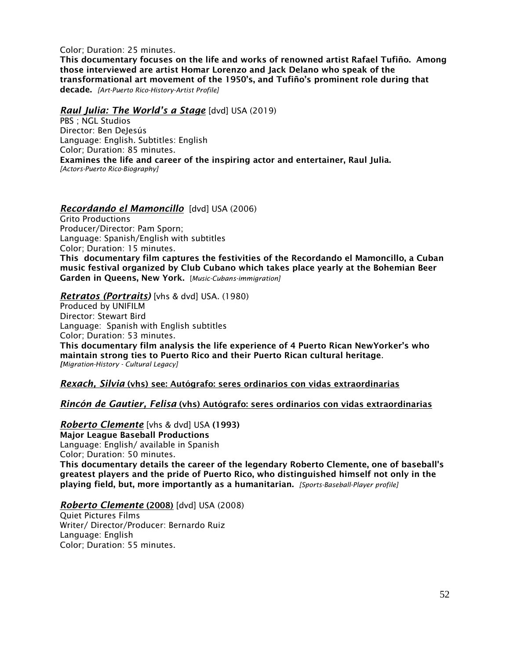Color; Duration: 25 minutes.

This documentary focuses on the life and works of renowned artist Rafael Tufiño. Among those interviewed are artist Homar Lorenzo and Jack Delano who speak of the transformational art movement of the 1950's, and Tufiño's prominent role during that decade. *[Art-Puerto Rico-History-Artist Profile]*

### *Raul Julia: The World's a Stage* [dvd] USA (2019)

PBS ; NGL Studios Director: Ben DeJesús Language: English. Subtitles: English Color; Duration: 85 minutes. Examines the life and career of the inspiring actor and entertainer, Raul Julia. *[Actors-Puerto Rico-Biography]*

*Recordando el Mamoncillo* [dvd] USA (2006)

Grito Productions Producer/Director: Pam Sporn; Language: Spanish/English with subtitles Color; Duration: 15 minutes.

This documentary film captures the festivities of the Recordando el Mamoncillo, a Cuban music festival organized by Club Cubano which takes place yearly at the Bohemian Beer Garden in Queens, New York. [*Music-Cubans-immigration]*

*Retratos (Portraits)* [vhs & dvd] USA. (1980)

Produced by UNIFILM Director: Stewart Bird Language: Spanish with English subtitles Color; Duration: 53 minutes. This documentary film analysis the life experience of 4 Puerto Rican NewYorker's who maintain strong ties to Puerto Rico and their Puerto Rican cultural heritage. *[Migration-History - Cultural Legacy]*

*Rexach, Silvia* (vhs) see: Autógrafo: seres ordinarios con vidas extraordinarias

### *Rincón de Gautier, Felisa* (vhs) Autógrafo: seres ordinarios con vidas extraordinarias

*Roberto Clemente* [vhs & dvd] USA (1993) Major League Baseball Productions Language: English/ available in Spanish

Color; Duration: 50 minutes. This documentary details the career of the legendary Roberto Clemente, one of baseball's greatest players and the pride of Puerto Rico, who distinguished himself not only in the playing field, but, more importantly as a humanitarian. *[Sports-Baseball-Player profile]*

### *Roberto Clemente* (2008) [dvd] USA (2008)

Quiet Pictures Films Writer/ Director/Producer: Bernardo Ruiz Language: English Color; Duration: 55 minutes.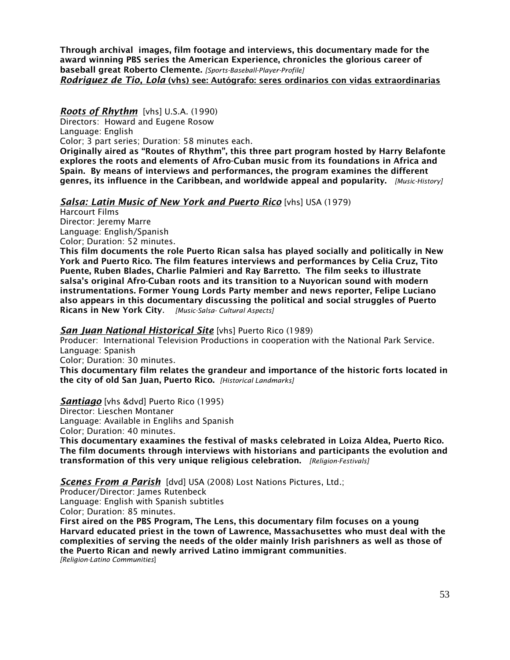Through archival images, film footage and interviews, this documentary made for the award winning PBS series the American Experience, chronicles the glorious career of baseball great Roberto Clemente. *[Sports-Baseball-Player-Profile] Rodriguez de Tio, Lola* (vhs) see: Autógrafo: seres ordinarios con vidas extraordinarias

*Roots of Rhythm* [vhs] U.S.A. (1990)

Directors: Howard and Eugene Rosow

Language: English

Color; 3 part series; Duration: 58 minutes each.

Originally aired as "Routes of Rhythm", this three part program hosted by Harry Belafonte explores the roots and elements of Afro-Cuban music from its foundations in Africa and Spain. By means of interviews and performances, the program examines the different genres, its influence in the Caribbean, and worldwide appeal and popularity. *[Music-History]*

### *Salsa: Latin Music of New York and Puerto Rico* [vhs] USA (1979)

Harcourt Films Director: Jeremy Marre Language: English/Spanish Color; Duration: 52 minutes.

This film documents the role Puerto Rican salsa has played socially and politically in New York and Puerto Rico. The film features interviews and performances by Celia Cruz, Tito Puente, Ruben Blades, Charlie Palmieri and Ray Barretto. The film seeks to illustrate salsa's original Afro-Cuban roots and its transition to a Nuyorican sound with modern instrumentations. Former Young Lords Party member and news reporter, Felipe Luciano also appears in this documentary discussing the political and social struggles of Puerto Ricans in New York City. *[Music-Salsa- Cultural Aspects]*

### *San Juan National Historical Site* [vhs] Puerto Rico (1989)

Producer: International Television Productions in cooperation with the National Park Service. Language: Spanish

Color; Duration: 30 minutes.

This documentary film relates the grandeur and importance of the historic forts located in the city of old San Juan, Puerto Rico. *[Historical Landmarks]*

*Santiago* [vhs &dvd] Puerto Rico (1995)

Director: Lieschen Montaner

Language: Available in Englihs and Spanish

Color; Duration: 40 minutes.

This documentary exaamines the festival of masks celebrated in Loiza Aldea, Puerto Rico. The film documents through interviews with historians and participants the evolution and transformation of this very unique religious celebration. *[Religion-Festivals]*

*Scenes From a Parish* [dvd] USA (2008) Lost Nations Pictures, Ltd.;

Producer/Director: James Rutenbeck Language: English with Spanish subtitles

Color; Duration: 85 minutes.

First aired on the PBS Program, The Lens, this documentary film focuses on a young Harvard educated priest in the town of Lawrence, Massachusettes who must deal with the complexities of serving the needs of the older mainly Irish parishners as well as those of the Puerto Rican and newly arrived Latino immigrant communities.

*[Religion-Latino Communities*]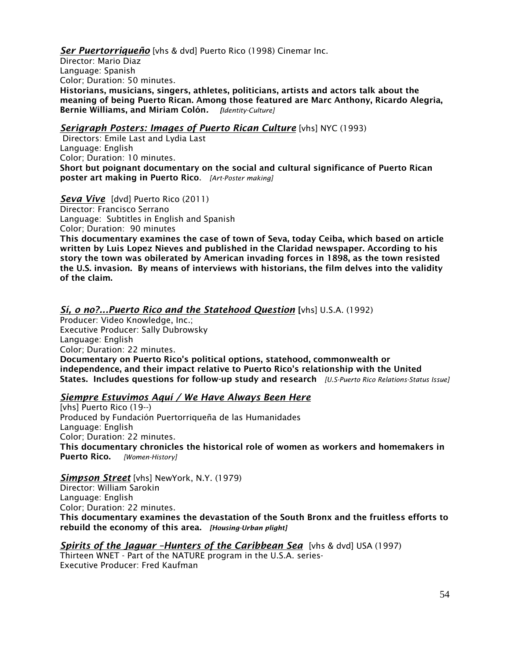*Ser Puertorriqueño* [vhs & dvd] Puerto Rico (1998) Cinemar Inc.

Director: Mario Diaz Language: Spanish Color; Duration: 50 minutes. Historians, musicians, singers, athletes, politicians, artists and actors talk about the meaning of being Puerto Rican. Among those featured are Marc Anthony, Ricardo Alegria, Bernie Williams, and Miriam Colón*. [Identity-Culture]*

### **Serigraph Posters: Images of Puerto Rican Culture** [vhs] NYC (1993)

Directors: Emile Last and Lydia Last Language: English Color; Duration: 10 minutes. Short but poignant documentary on the social and cultural significance of Puerto Rican poster art making in Puerto Rico. *[Art-Poster making]*

*Seva Vive* [dvd] Puerto Rico (2011) Director: Francisco Serrano Language: Subtitles in English and Spanish Color; Duration: 90 minutes

This documentary examines the case of town of Seva, today Ceiba, which based on article written by Luis Lopez Nieves and published in the Claridad newspaper. According to his story the town was obilerated by American invading forces in 1898, as the town resisted the U.S. invasion. By means of interviews with historians, the film delves into the validity of the claim.

### *Sí, o no?...Puerto Rico and the Statehood Question* [vhs] U.S.A. (1992)

Producer: Video Knowledge, Inc.; Executive Producer: Sally Dubrowsky Language: English Color; Duration: 22 minutes. Documentary on Puerto Rico's political options, statehood, commonwealth or independence, and their impact relative to Puerto Rico's relationship with the United States. Includes questions for follow-up study and research *[U.S-Puerto Rico Relations-Status Issue]*

### *Siempre Estuvimos Aquí / We Have Always Been Here*

[vhs] Puerto Rico (19--) Produced by Fundación Puertorriqueña de las Humanidades Language: English Color; Duration: 22 minutes. This documentary chronicles the historical role of women as workers and homemakers in Puerto Rico. *[Women-History]*

*Simpson Street* [vhs] NewYork, N.Y. (1979) Director: William Sarokin Language: English Color; Duration: 22 minutes. This documentary examines the devastation of the South Bronx and the fruitless efforts to rebuild the economy of this area. *[Housing-Urban plight]*

*Spirits of the Jaguar –Hunters of the Caribbean Sea* [vhs & dvd] USA (1997) Thirteen WNET - Part of the NATURE program in the U.S.A. series-Executive Producer: Fred Kaufman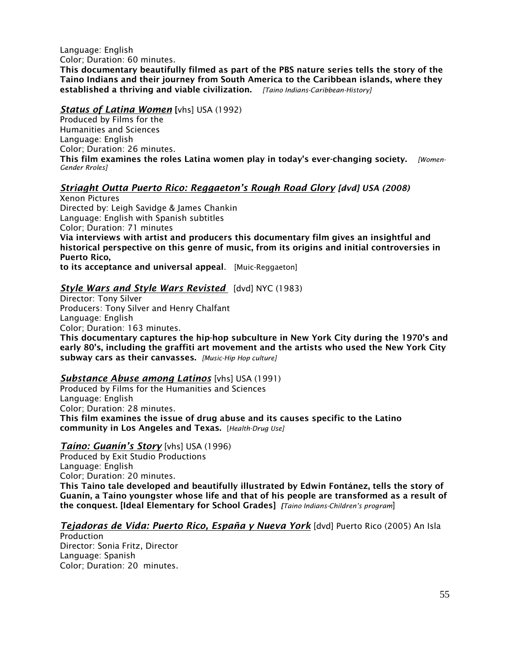Language: English Color; Duration: 60 minutes. This documentary beautifully filmed as part of the PBS nature series tells the story of the Taino Indians and their journey from South America to the Caribbean islands, where they established a thriving and viable civilization. *[Taino Indians-Caribbean-History]*

#### *Status of Latina Women* [vhs] USA (1992)

Produced by Films for the Humanities and Sciences Language: English Color; Duration: 26 minutes. This film examines the roles Latina women play in today's ever-changing society. *[Women-Gender Rroles]*

## *Striaght Outta Puerto Rico: Reggaeton's Rough Road Glory [dvd] USA (2008)*

Xenon Pictures Directed by: Leigh Savidge & James Chankin Language: English with Spanish subtitles Color; Duration: 71 minutes Via interviews with artist and producers this documentary film gives an insightful and historical perspective on this genre of music, from its origins and initial controversies in Puerto Rico,

to its acceptance and universal appeal. [Muic-Reggaeton]

### *Style Wars and Style Wars Revisted* [dvd] NYC (1983)

Director: Tony Silver Producers: Tony Silver and Henry Chalfant Language: English Color; Duration: 163 minutes. This documentary captures the hip-hop subculture in New York City during the 1970's and early 80's, including the graffiti art movement and the artists who used the New York City subway cars as their canvasses. *[Music-Hip Hop culture]*

### *Substance Abuse among Latinos* [vhs] USA (1991)

Produced by Films for the Humanities and Sciences Language: English Color; Duration: 28 minutes. This film examines the issue of drug abuse and its causes specific to the Latino community in Los Angeles and Texas. [*Health-Drug Use]*

### *Taíno: Guanín's Story* [vhs] USA (1996)

Produced by Exit Studio Productions Language: English Color; Duration: 20 minutes. This Taino tale developed and beautifully illustrated by Edwin Fontánez, tells the story of Guanín, a Taíno youngster whose life and that of his people are transformed as a result of the conquest. [Ideal Elementary for School Grades] *[Taino Indians-Children's program*]

### *Tejadoras de Vida: Puerto Rico, España y Nueva York* [dvd] Puerto Rico (2005) An Isla

Production Director: Sonia Fritz, Director Language: Spanish Color; Duration: 20 minutes.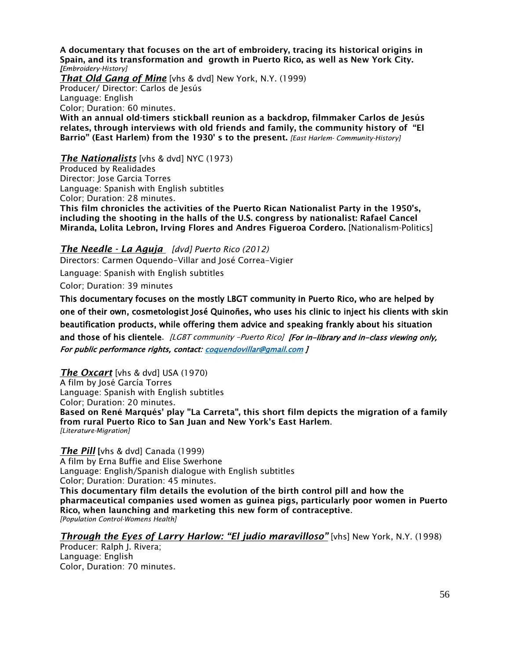A documentary that focuses on the art of embroidery, tracing its historical origins in Spain, and its transformation and growth in Puerto Rico, as well as New York City. *[Embroidery-History] That Old Gang of Mine* [vhs & dvd] New York, N.Y. (1999) Producer/ Director: Carlos de Jesús Language: English Color; Duration: 60 minutes. With an annual old-timers stickball reunion as a backdrop, filmmaker Carlos de Jesús relates, through interviews with old friends and family, the community history of "El Barrio" (East Harlem) from the 1930' s to the present. *[East Harlem- Community-History]*

*The Nationalists* [vhs & dvd] NYC (1973)

Produced by Realidades Director: Jose Garcia Torres Language: Spanish with English subtitles Color; Duration: 28 minutes.

This film chronicles the activities of the Puerto Rican Nationalist Party in the 1950's, including the shooting in the halls of the U.S. congress by nationalist: Rafael Cancel Miranda, Lolita Lebron, Irving Flores and Andres Figueroa Cordero. [Nationalism-Politics]

*The Needle - La Aguja [dvd] Puerto Rico (2012)* Directors: Carmen Oquendo-Villar and José Correa-Vigier

Language: Spanish with English subtitles

Color; Duration: 39 minutes

This documentary focuses on the mostly LBGT community in Puerto Rico, who are helped by one of their own, cosmetologist José Quinoñes, who uses his clinic to inject his clients with skin beautification products, while offering them advice and speaking frankly about his situation and those of his clientele. [LGBT community -Puerto Rico] [For in-library and in-class viewing only, For public performance rights, contact: [coquendovillar@gmail.com](mailto:coquendovillar@gmail.com) ]

*The Oxcart* [vhs & dvd] USA (1970) A film by José García Torres Language: Spanish with English subtitles Color; Duration: 20 minutes. Based on René Marqués' play "La Carreta", this short film depicts the migration of a family from rural Puerto Rico to San Juan and New York's East Harlem. *[Literature-Migration]*

**The Pill** [vhs & dvd] Canada (1999) A film by Erna Buffie and Elise Swerhone Language: English/Spanish dialogue with English subtitles Color; Duration: Duration: 45 minutes. This documentary film details the evolution of the birth control pill and how the

pharmaceutical companies used women as guinea pigs, particularly poor women in Puerto Rico, when launching and marketing this new form of contraceptive. *[Population Control-Womens Health]*

*Through the Eyes of Larry Harlow: "El judio maravilloso"* [vhs] New York, N.Y. (1998) Producer: Ralph J. Rivera;

Language: English Color, Duration: 70 minutes.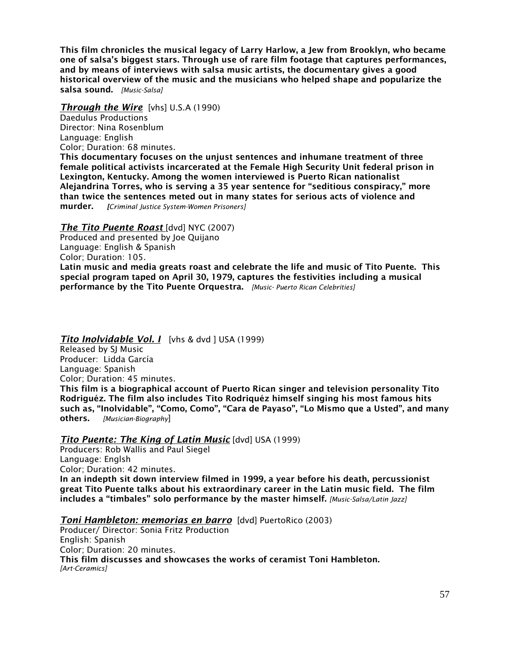This film chronicles the musical legacy of Larry Harlow, a Jew from Brooklyn, who became one of salsa's biggest stars. Through use of rare film footage that captures performances, and by means of interviews with salsa music artists, the documentary gives a good historical overview of the music and the musicians who helped shape and popularize the salsa sound. *[Music-Salsa]*

# *Through the Wire* [vhs] U.S.A (1990)

Daedulus Productions Director: Nina Rosenblum Language: English Color; Duration: 68 minutes.

This documentary focuses on the unjust sentences and inhumane treatment of three female political activists incarcerated at the Female High Security Unit federal prison in Lexington, Kentucky. Among the women interviewed is Puerto Rican nationalist Alejandrina Torres, who is serving a 35 year sentence for "seditious conspiracy," more than twice the sentences meted out in many states for serious acts of violence and murder. *[Criminal Justice System-Women Prisoners]*

## *The Tito Puente Roast* [dvd] NYC (2007)

Produced and presented by Joe Quijano Language: English & Spanish Color; Duration: 105. Latin music and media greats roast and celebrate the life and music of Tito Puente. This special program taped on April 30, 1979, captures the festivities including a musical performance by the Tito Puente Orquestra. *[Music- Puerto Rican Celebrities]*

## *Tito Inolvidable Vol. I* [vhs & dvd ] USA (1999)

Released by SJ Music Producer: Lidda García Language: Spanish Color; Duration: 45 minutes.

This film is a biographical account of Puerto Rican singer and television personality Tito Rodriguéz. The film also includes Tito Rodriquéz himself singing his most famous hits such as, "Inolvidable", "Como, Como", "Cara de Payaso", "Lo Mismo que a Usted", and many others. *[Musician-Biography*]

# *Tito Puente: The King of Latin Music* [dvd] USA (1999)

Producers: Rob Wallis and Paul Siegel Language: Englsh Color; Duration: 42 minutes. In an indepth sit down interview filmed in 1999, a year before his death, percussionist great Tito Puente talks about his extraordinary career in the Latin music field. The film includes a "timbales" solo performance by the master himself. *[Music-Salsa/Latin Jazz]*

*Toni Hambleton: memorias en barro* [dvd] PuertoRico (2003)

Producer/ Director: Sonia Fritz Production English: Spanish Color; Duration: 20 minutes. This film discusses and showcases the works of ceramist Toni Hambleton. *[Art-Ceramics]*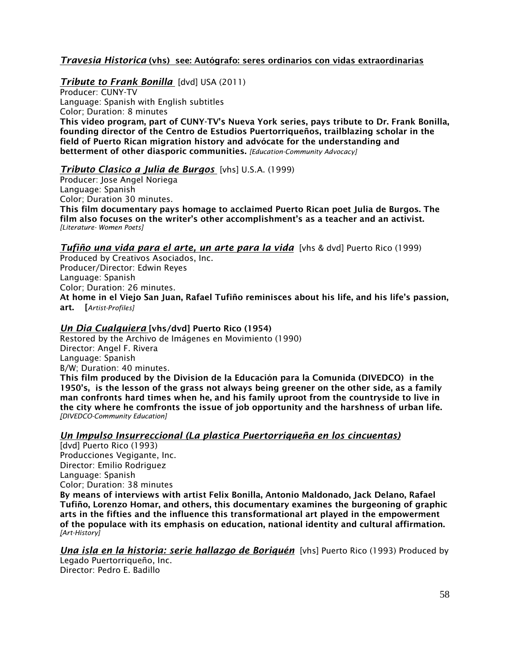## *Travesia Historica* (vhs) see: Autógrafo: seres ordinarios con vidas extraordinarias

### *Tribute to Frank Bonilla* [dvd] USA (2011)

Producer: CUNY-TV Language: Spanish with English subtitles Color; Duration: 8 minutes This video program, part of CUNY-TV's Nueva York series, pays tribute to Dr. Frank Bonilla, founding director of the Centro de Estudios Puertorriqueños, trailblazing scholar in the field of Puerto Rican migration history and advócate for the understanding and betterment of other diasporic communities. *[Education-Community Advocacy]*

## *Tributo Clasico a Julia de Burgos* [vhs] U.S.A. (1999)

Producer: Jose Angel Noriega Language: Spanish Color; Duration 30 minutes. This film documentary pays homage to acclaimed Puerto Rican poet Julia de Burgos. The film also focuses on the writer's other accomplishment's as a teacher and an activist. *[Literature- Women Poets]*

### *Tufiño una vida para el arte, un arte para la vida* [vhs & dvd] Puerto Rico (1999)

Produced by Creativos Asociados, Inc. Producer/Director: Edwin Reyes Language: Spanish Color; Duration: 26 minutes. At home in el Viejo San Juan, Rafael Tufiño reminisces about his life, and his life's passion, art. [*Artist-Profiles]*

### *Un Dia Cualquiera* [vhs/dvd] Puerto Rico (1954)

Restored by the Archivo de Imágenes en Movimiento (1990) Director: Angel F. Rivera Language: Spanish B/W; Duration: 40 minutes. This film produced by the Division de la Educación para la Comunida (DIVEDCO) in the 1950's, is the lesson of the grass not always being greener on the other side, as a family man confronts hard times when he, and his family uproot from the countryside to live in the city where he comfronts the issue of job opportunity and the harshness of urban life. *[DIVEDCO-Community Education]*

### *Un Impulso Insurreccional (La plastica Puertorriqueña en los cincuentas)*

[dvd] Puerto Rico (1993) Producciones Vegigante, Inc. Director: Emilio Rodriguez Language: Spanish Color; Duration: 38 minutes

By means of interviews with artist Felix Bonilla, Antonio Maldonado, Jack Delano, Rafael Tufiño, Lorenzo Homar, and others, this documentary examines the burgeoning of graphic arts in the fifties and the influence this transformational art played in the empowerment of the populace with its emphasis on education, national identity and cultural affirmation. *[Art-History]*

*Una isla en la historia: serie hallazgo de Boriquén* [vhs] Puerto Rico (1993) Produced by Legado Puertorriqueño, Inc.

Director: Pedro E. Badillo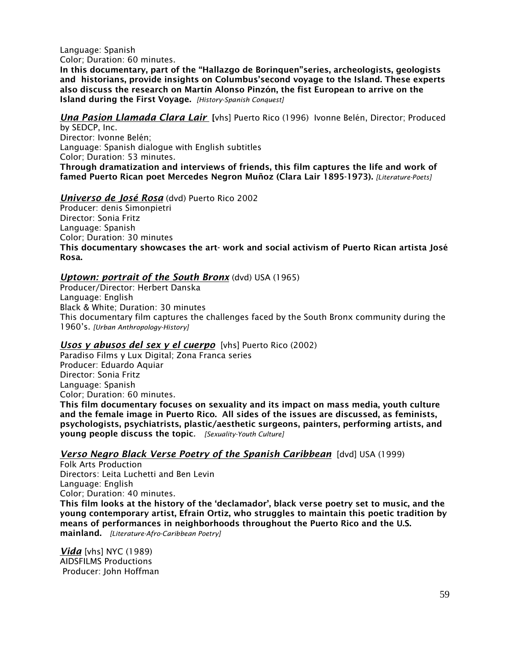Language: Spanish Color; Duration: 60 minutes.

In this documentary, part of the "Hallazgo de Borinquen"series, archeologists, geologists and historians, provide insights on Columbus'second voyage to the Island. These experts also discuss the research on Martín Alonso Pinzón, the fist European to arrive on the Island during the First Voyage. *[History-Spanish Conquest]*

*Una Pasion Llamada Clara Lair* [vhs] Puerto Rico (1996) Ivonne Belén, Director; Produced

by SEDCP, Inc. Director: Ivonne Belén; Language: Spanish dialogue with English subtitles Color; Duration: 53 minutes. Through dramatization and interviews of friends, this film captures the life and work of famed Puerto Rican poet Mercedes Negron Muñoz (Clara Lair 1895-1973). *[Literature-Poets]*

### *Universo de José Rosa* (dvd) Puerto Rico 2002

Producer: denis Simonpietri Director: Sonia Fritz Language: Spanish Color; Duration: 30 minutes This documentary showcases the art- work and social activism of Puerto Rican artista José Rosa.

## *Uptown: portrait of the South Bronx* (dvd) USA (1965)

Producer/Director: Herbert Danska Language: English Black & White; Duration: 30 minutes This documentary film captures the challenges faced by the South Bronx community during the 1960's. *[Urban Anthropology-History]*

## *Usos y abusos del sex y el cuerpo* [vhs] Puerto Rico (2002)

Paradiso Films y Lux Digital; Zona Franca series Producer: Eduardo Aquiar Director: Sonia Fritz Language: Spanish Color; Duration: 60 minutes. This film documentary focuses on sexuality and its impact on mass media, youth culture and the female image in Puerto Rico. All sides of the issues are discussed, as feminists, psychologists, psychiatrists, plastic/aesthetic surgeons, painters, performing artists, and young people discuss the topic*. [Sexuality-Youth Culture]*

## *Verso Negro Black Verse Poetry of the Spanish Caribbean* [dvd] USA (1999)

Folk Arts Production Directors: Leita Luchetti and Ben Levin Language: English Color; Duration: 40 minutes.

This film looks at the history of the 'declamador', black verse poetry set to music, and the young contemporary artist, Efrain Ortiz, who struggles to maintain this poetic tradition by means of performances in neighborhoods throughout the Puerto Rico and the U.S. mainland. *[Literature-Afro-Caribbean Poetry]*

*Vida* [vhs] NYC (1989) AIDSFILMS Productions Producer: John Hoffman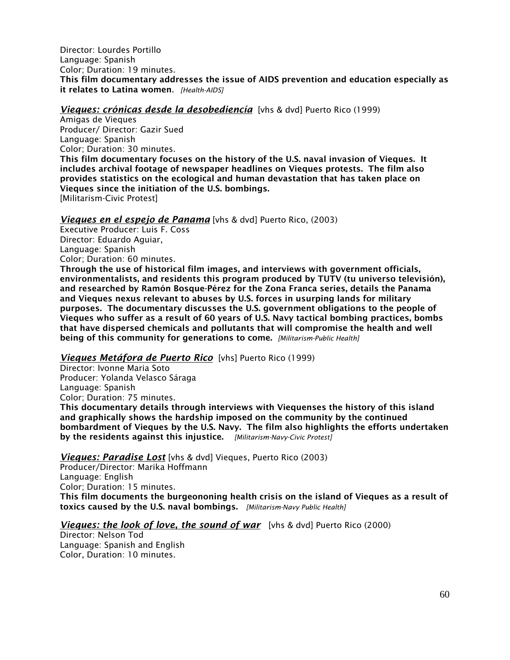Director: Lourdes Portillo Language: Spanish Color; Duration: 19 minutes. This film documentary addresses the issue of AIDS prevention and education especially as it relates to Latina women*. [Health-AIDS]*

*Vieques: crónicas desde la desobediencía* [vhs & dvd] Puerto Rico (1999)

Amigas de Vieques Producer/ Director: Gazir Sued Language: Spanish Color; Duration: 30 minutes. This film documentary focuses on the history of the U.S. naval invasion of Vieques. It includes archival footage of newspaper headlines on Vieques protests. The film also provides statistics on the ecological and human devastation that has taken place on Vieques since the initiation of the U.S. bombings. [Militarism-Civic Protest]

### *Vieques en el espejo de Panama* [vhs & dvd] Puerto Rico, (2003)

Executive Producer: Luis F. Coss Director: Eduardo Aguiar, Language: Spanish Color; Duration: 60 minutes.

Through the use of historical film images, and interviews with government officials, environmentalists, and residents this program produced by TUTV (tu universo televisión), and researched by Ramón Bosque-Pérez for the Zona Franca series, details the Panama and Vieques nexus relevant to abuses by U.S. forces in usurping lands for military purposes. The documentary discusses the U.S. government obligations to the people of Vieques who suffer as a result of 60 years of U.S. Navy tactical bombing practices, bombs that have dispersed chemicals and pollutants that will compromise the health and well being of this community for generations to come. *[Militarism-Public Health]*

### *Vieques Metáfora de Puerto Rico* [vhs] Puerto Rico (1999)

Director: Ivonne Maria Soto Producer: Yolanda Velasco Sáraga Language: Spanish Color; Duration: 75 minutes.

This documentary details through interviews with Viequenses the history of this island and graphically shows the hardship imposed on the community by the continued bombardment of Vieques by the U.S. Navy. The film also highlights the efforts undertaken by the residents against this injustice. *[Militarism-Navy-Civic Protest]*

### *Vieques: Paradise Lost* [vhs & dvd] Vieques, Puerto Rico (2003)

Producer/Director: Marika Hoffmann Language: English Color; Duration: 15 minutes. This film documents the burgeononing health crisis on the island of Vieques as a result of toxics caused by the U.S. naval bombings. *[Militarism-Navy Public Health]*

*Vieques: the look of love, the sound of war* [vhs & dvd] Puerto Rico (2000)

Director: Nelson Tod Language: Spanish and English Color, Duration: 10 minutes.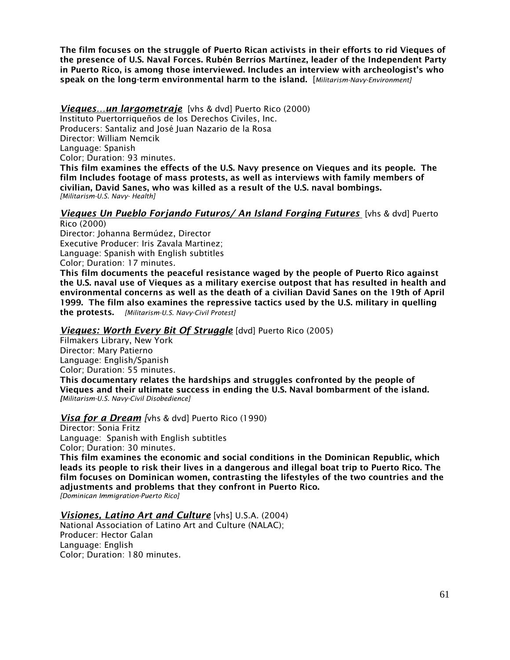The film focuses on the struggle of Puerto Rican activists in their efforts to rid Vieques of the presence of U.S. Naval Forces. Rubén Berríos Martínez, leader of the Independent Party in Puerto Rico, is among those interviewed. Includes an interview with archeologist's who speak on the long-term environmental harm to the island. [*Militarism-Navy-Environment]*

*Vieques…un largometraje* [vhs & dvd] Puerto Rico (2000) Instituto Puertorriqueños de los Derechos Civiles, Inc. Producers: Santaliz and José Juan Nazario de la Rosa Director: William Nemcik Language: Spanish Color; Duration: 93 minutes. This film examines the effects of the U.S. Navy presence on Vieques and its people. The film Includes footage of mass protests, as well as interviews with family members of civilian, David Sanes, who was killed as a result of the U.S. naval bombings. *[Militarism-U.S. Navy- Health]*

#### *Vieques Un Pueblo Forjando Futuros/ An Island Forging Futures* [vhs & dvd] Puerto Rico (2000)

Director: Johanna Bermúdez, Director Executive Producer: Iris Zavala Martinez; Language: Spanish with English subtitles Color; Duration: 17 minutes.

This film documents the peaceful resistance waged by the people of Puerto Rico against the U.S. naval use of Vieques as a military exercise outpost that has resulted in health and environmental concerns as well as the death of a civilian David Sanes on the 19th of April 1999. The film also examines the repressive tactics used by the U.S. military in quelling the protests. *[Militarism-U.S. Navy-Civil Protest]*

### *Vieques: Worth Every Bit Of Struggle* [dvd] Puerto Rico (2005)

Filmakers Library, New York Director: Mary Patierno Language: English/Spanish Color; Duration: 55 minutes.

This documentary relates the hardships and struggles confronted by the people of Vieques and their ultimate success in ending the U.S. Naval bombarment of the island. *[Militarism-U.S. Navy-Civil Disobedience]*

### *Visa for a Dream [*vhs & dvd] Puerto Rico (1990)

Director: Sonia Fritz Language: Spanish with English subtitles Color; Duration: 30 minutes.

This film examines the economic and social conditions in the Dominican Republic, which leads its people to risk their lives in a dangerous and illegal boat trip to Puerto Rico. The film focuses on Dominican women, contrasting the lifestyles of the two countries and the adjustments and problems that they confront in Puerto Rico. *[Dominican Immigration-Puerto Rico]*

*Visiones, Latino Art and Culture* [vhs] U.S.A. (2004)

National Association of Latino Art and Culture (NALAC); Producer: Hector Galan Language: English Color; Duration: 180 minutes.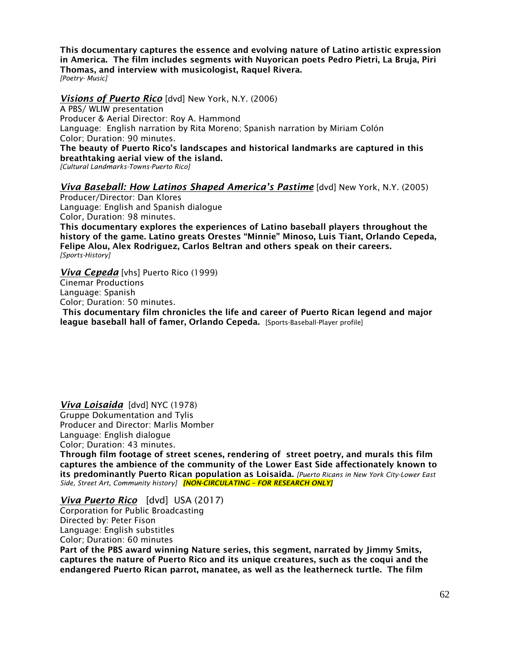This documentary captures the essence and evolving nature of Latino artistic expression in America. The film includes segments with Nuyorican poets Pedro Pietri, La Bruja, Piri Thomas, and interview with musicologist, Raquel Rivera. *[Poetry- Music]*

### *Visions of Puerto Rico* [dvd] New York, N.Y. (2006)

A PBS/ WLIW presentation Producer & Aerial Director: Roy A. Hammond Language: English narration by Rita Moreno; Spanish narration by Miriam Colón Color; Duration: 90 minutes. The beauty of Puerto Rico's landscapes and historical landmarks are captured in this

breathtaking aerial view of the island.

*[Cultural Landmarks-Towns-Puerto Rico]*

### *Viva Baseball: How Latinos Shaped America's Pastime* [dvd] New York, N.Y. (2005)

Producer/Director: Dan Klores Language: English and Spanish dialogue Color, Duration: 98 minutes. This documentary explores the experiences of Latino baseball players throughout the history of the game. Latino greats Orestes "Minnie" Minoso, Luis Tiant, Orlando Cepeda, Felipe Alou, Alex Rodriguez, Carlos Beltran and others speak on their careers. *[Sports-History]*

*Viva Cepeda* [vhs] Puerto Rico (1999) Cinemar Productions Language: Spanish Color; Duration: 50 minutes. This documentary film chronicles the life and career of Puerto Rican legend and major league baseball hall of famer, Orlando Cepeda. [Sports-Baseball-Player profile]

*Viva Loisaida* [dvd] NYC (1978) Gruppe Dokumentation and Tylis Producer and Director: Marlis Momber Language: English dialogue Color; Duration: 43 minutes.

Through film footage of street scenes, rendering of street poetry, and murals this film captures the ambience of the community of the Lower East Side affectionately known to its predominantly Puerto Rican population as Loisaida. *[Puerto Ricans in New York City-Lower East Side, Street Art, Community history] [NON-CIRCULATING – FOR RESEARCH ONLY]*

### *Viva Puerto Rico* [dvd] USA (2017)

Corporation for Public Broadcasting Directed by: Peter Fison Language: English substitles Color; Duration: 60 minutes Part of the PBS award winning Nature series, this segment, narrated by Jimmy Smits, captures the nature of Puerto Rico and its unique creatures, such as the coqui and the endangered Puerto Rican parrot, manatee, as well as the leatherneck turtle. The film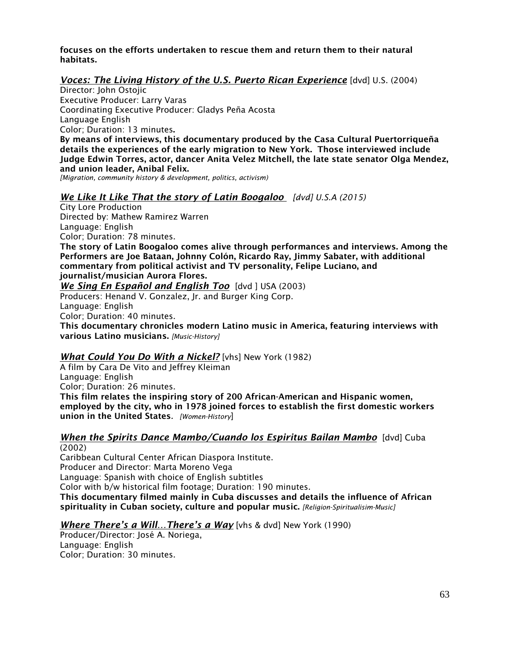focuses on the efforts undertaken to rescue them and return them to their natural habitats.

### *Voces: The Living History of the U.S. Puerto Rican Experience* [dvd] U.S. (2004)

Director: John Ostojic Executive Producer: Larry Varas Coordinating Executive Producer: Gladys Peña Acosta Language English Color; Duration: 13 minutes.

By means of interviews, this documentary produced by the Casa Cultural Puertorriqueña details the experiences of the early migration to New York. Those interviewed include Judge Edwin Torres, actor, dancer Anita Velez Mitchell, the late state senator Olga Mendez, and union leader, Anibal Felix.

*[Migration, community history & development, politics, activism)*

### *We Like It Like That the story of Latin Boogaloo [dvd] U.S.A (2015)*

City Lore Production Directed by: Mathew Ramirez Warren Language: English Color; Duration: 78 minutes. The story of Latin Boogaloo comes alive through performances and interviews. Among the Performers are Joe Bataan, Johnny Colón, Ricardo Ray, Jimmy Sabater, with additional commentary from political activist and TV personality, Felipe Luciano, and journalist/musician Aurora Flores. *We Sing En Español and English Too* [dvd ] USA (2003) Producers: Henand V. Gonzalez, Jr. and Burger King Corp. Language: English Color; Duration: 40 minutes. This documentary chronicles modern Latino music in America, featuring interviews with various Latino musicians. *[Music-History]*

### *What Could You Do With a Nickel?* [vhs] New York (1982)

A film by Cara De Vito and Jeffrey Kleiman Language: English Color; Duration: 26 minutes. This film relates the inspiring story of 200 African-American and Hispanic women, employed by the city, who in 1978 joined forces to establish the first domestic workers union in the United States*. [Women-History*]

#### *When the Spirits Dance Mambo/Cuando los Espiritus Bailan Mambo* [dvd] Cuba (2002)

Caribbean Cultural Center African Diaspora Institute. Producer and Director: Marta Moreno Vega Language: Spanish with choice of English subtitles Color with b/w historical film footage; Duration: 190 minutes.

This documentary filmed mainly in Cuba discusses and details the influence of African spirituality in Cuban society, culture and popular music. *[Religion-Spiritualisim-Music]*

## *Where There's a Will…There's a Way* [vhs & dvd] New York (1990)

Producer/Director: José A. Noriega, Language: English Color; Duration: 30 minutes.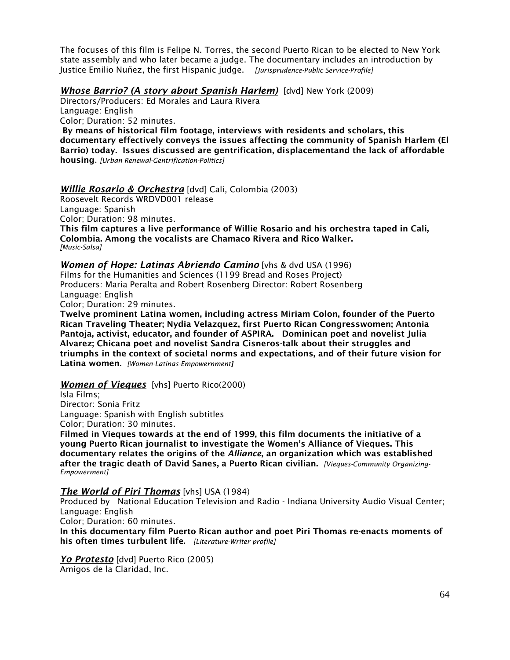The focuses of this film is Felipe N. Torres, the second Puerto Rican to be elected to New York state assembly and who later became a judge. The documentary includes an introduction by Justice Emilio Nuñez, the first Hispanic judge. *[Jurisprudence-Public Service-Profile]*

### *Whose Barrio? (A story about Spanish Harlem)* [dvd] New York (2009)

Directors/Producers: Ed Morales and Laura Rivera Language: English Color; Duration: 52 minutes. By means of historical film footage, interviews with residents and scholars, this documentary effectively conveys the issues affecting the community of Spanish Harlem (El Barrio) today. Issues discussed are gentrification, displacementand the lack of affordable housing. *[Urban Renewal-Gentrification-Politics]*

### *Willie Rosario & Orchestra* [dvd] Cali, Colombia (2003)

Roosevelt Records WRDVD001 release Language: Spanish Color; Duration: 98 minutes. This film captures a live performance of Willie Rosario and his orchestra taped in Cali, Colombia. Among the vocalists are Chamaco Rivera and Rico Walker. *[Music-Salsa]*

# *Women of Hope: Latinas Abriendo Camino* [vhs & dvd USA (1996) Films for the Humanities and Sciences (1199 Bread and Roses Project) Producers: Maria Peralta and Robert Rosenberg Director: Robert Rosenberg Language: English

Color; Duration: 29 minutes.

Twelve prominent Latina women, including actress Miriam Colon, founder of the Puerto Rican Traveling Theater; Nydia Velazquez, first Puerto Rican Congresswomen; Antonia Pantoja, activist, educator, and founder of ASPIRA. Dominican poet and novelist Julia Alvarez; Chicana poet and novelist Sandra Cisneros-talk about their struggles and triumphs in the context of societal norms and expectations, and of their future vision for Latina women. *[Women-Latinas-Empowernment]*

## *Women of Vieques* [vhs] Puerto Rico(2000)

Isla Films; Director: Sonia Fritz Language: Spanish with English subtitles Color; Duration: 30 minutes.

Filmed in Vieques towards at the end of 1999, this film documents the initiative of a young Puerto Rican journalist to investigate the Women's Alliance of Vieques. This documentary relates the origins of the *Alliance*, an organization which was established after the tragic death of David Sanes, a Puerto Rican civilian. *[Vieques-Community Organizing-Empowerment]*

### *The World of Piri Thomas* [vhs] USA (1984)

Produced by National Education Television and Radio - Indiana University Audio Visual Center; Language: English

Color; Duration: 60 minutes.

In this documentary film Puerto Rican author and poet Piri Thomas re-enacts moments of his often times turbulent life. *[Literature-Writer profile]*

*Yo Protesto* [dvd] Puerto Rico (2005) Amigos de la Claridad, Inc.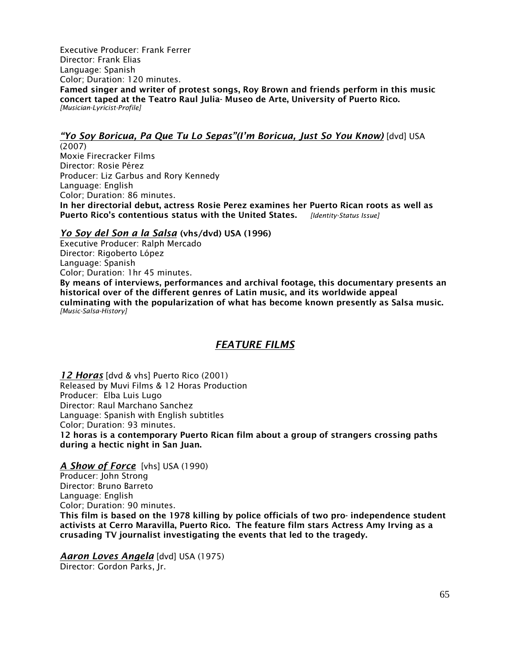Executive Producer: Frank Ferrer Director: Frank Elias Language: Spanish Color; Duration: 120 minutes. Famed singer and writer of protest songs, Roy Brown and friends perform in this music concert taped at the Teatro Raul Julia- Museo de Arte, University of Puerto Rico. *[Musician-Lyricist-Profile]* 

### *"Yo Soy Boricua, Pa Que Tu Lo Sepas"(I'm Boricua, Just So You Know)* [dvd] USA

(2007) Moxie Firecracker Films Director: Rosie Pérez Producer: Liz Garbus and Rory Kennedy Language: English Color; Duration: 86 minutes. In her directorial debut, actress Rosie Perez examines her Puerto Rican roots as well as Puerto Rico's contentious status with the United States. *[Identity-Status Issue]*

### *Yo Soy del Son a la Salsa* (vhs/dvd) USA (1996)

Executive Producer: Ralph Mercado Director: Rigoberto López Language: Spanish Color; Duration: 1hr 45 minutes. By means of interviews, performances and archival footage, this documentary presents an historical over of the different genres of Latin music, and its worldwide appeal culminating with the popularization of what has become known presently as Salsa music. *[Music-Salsa-History]*

# *FEATURE FILMS*

*12 Horas* [dvd & vhs] Puerto Rico (2001) Released by Muvi Films & 12 Horas Production Producer: Elba Luis Lugo Director: Raul Marchano Sanchez Language: Spanish with English subtitles Color; Duration: 93 minutes. 12 horas is a contemporary Puerto Rican film about a group of strangers crossing paths

during a hectic night in San Juan.

*A Show of Force* [vhs] USA (1990) Producer: John Strong Director: Bruno Barreto Language: English Color; Duration: 90 minutes. This film is based on the 1978 killing by police officials of two pro- independence student activists at Cerro Maravilla, Puerto Rico. The feature film stars Actress Amy Irving as a crusading TV journalist investigating the events that led to the tragedy.

*Aaron Loves Angela* [dvd] USA (1975) Director: Gordon Parks, Jr.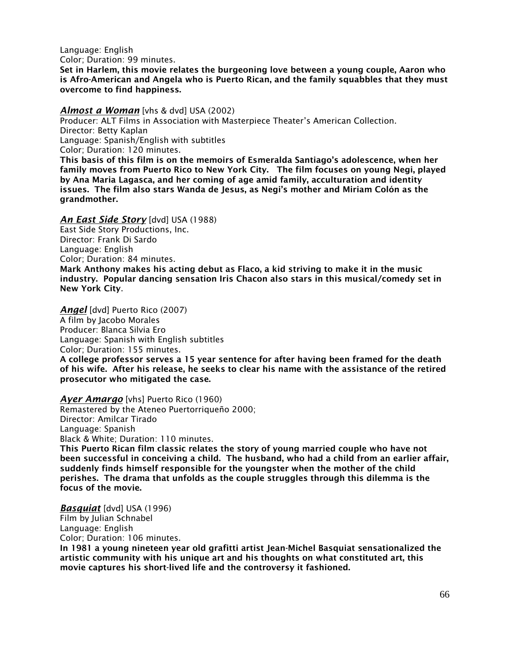Language: English

Color; Duration: 99 minutes.

Set in Harlem, this movie relates the burgeoning love between a young couple, Aaron who is Afro-American and Angela who is Puerto Rican, and the family squabbles that they must overcome to find happiness.

### *Almost a Woman* [vhs & dvd] USA (2002)

Producer: ALT Films in Association with Masterpiece Theater's American Collection. Director: Betty Kaplan Language: Spanish/English with subtitles Color; Duration: 120 minutes. This basis of this film is on the memoirs of Esmeralda Santiago's adolescence, when her

family moves from Puerto Rico to New York City. The film focuses on young Negi, played by Ana Maria Lagasca, and her coming of age amid family, acculturation and identity issues. The film also stars Wanda de Jesus, as Negi's mother and Miriam Colón as the grandmother.

## *An East Side Story* [dvd] USA (1988)

East Side Story Productions, Inc. Director: Frank Di Sardo Language: English Color; Duration: 84 minutes. Mark Anthony makes his acting debut as Flaco, a kid striving to make it in the music industry. Popular dancing sensation Iris Chacon also stars in this musical/comedy set in New York City.

*Angel* [dvd] Puerto Rico (2007)

A film by Jacobo Morales Producer: Blanca Silvia Ero Language: Spanish with English subtitles

Color; Duration: 155 minutes.

A college professor serves a 15 year sentence for after having been framed for the death of his wife. After his release, he seeks to clear his name with the assistance of the retired prosecutor who mitigated the case.

*Ayer Amargo* [vhs] Puerto Rico (1960) Remastered by the Ateneo Puertorriqueño 2000; Director: Amilcar Tirado Language: Spanish Black & White; Duration: 110 minutes. This Puerto Rican film classic relates the story of young married couple who have not been successful in conceiving a child. The husband, who had a child from an earlier affair, suddenly finds himself responsible for the youngster when the mother of the child perishes. The drama that unfolds as the couple struggles through this dilemma is the focus of the movie.

*Basquiat* [dvd] USA (1996) Film by Julian Schnabel Language: English Color; Duration: 106 minutes.

In 1981 a young nineteen year old grafitti artist Jean-Michel Basquiat sensationalized the artistic community with his unique art and his thoughts on what constituted art, this movie captures his short-lived life and the controversy it fashioned.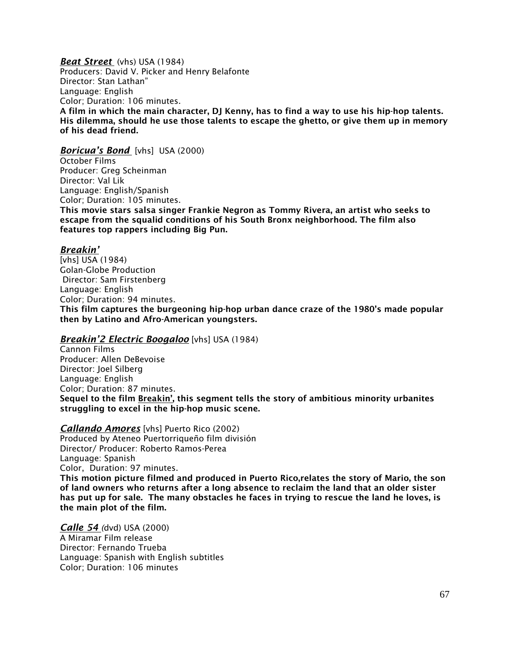*Beat Street* (vhs) USA (1984)

Producers: David V. Picker and Henry Belafonte Director: Stan Lathan" Language: English Color; Duration: 106 minutes. A film in which the main character, DJ Kenny, has to find a way to use his hip-hop talents. His dilemma, should he use those talents to escape the ghetto, or give them up in memory of his dead friend.

*Boricua's Bond* [vhs] USA (2000)

October Films Producer: Greg Scheinman Director: Val Lik Language: English/Spanish Color; Duration: 105 minutes.

This movie stars salsa singer Frankie Negron as Tommy Rivera, an artist who seeks to escape from the squalid conditions of his South Bronx neighborhood. The film also features top rappers including Big Pun.

### *Breakin'*

[vhs] USA (1984) Golan-Globe Production Director: Sam Firstenberg Language: English Color; Duration: 94 minutes. This film captures the burgeoning hip-hop urban dance craze of the 1980's made popular then by Latino and Afro-American youngsters.

### *Breakin'2 Electric Boogaloo* [vhs] USA (1984)

Cannon Films Producer: Allen DeBevoise Director: Joel Silberg Language: English Color; Duration: 87 minutes. Sequel to the film Breakin', this segment tells the story of ambitious minority urbanites struggling to excel in the hip-hop music scene.

*Callando Amores* [vhs] Puerto Rico (2002)

Produced by Ateneo Puertorriqueño film división Director/ Producer: Roberto Ramos-Perea Language: Spanish Color, Duration: 97 minutes. This motion picture filmed and produced in Puerto Rico,relates the story of Mario, the son of land owners who returns after a long absence to reclaim the land that an older sister has put up for sale. The many obstacles he faces in trying to rescue the land he loves, is the main plot of the film.

*Calle 54 (*dvd) USA (2000) A Miramar Film release Director: Fernando Trueba Language: Spanish with English subtitles Color; Duration: 106 minutes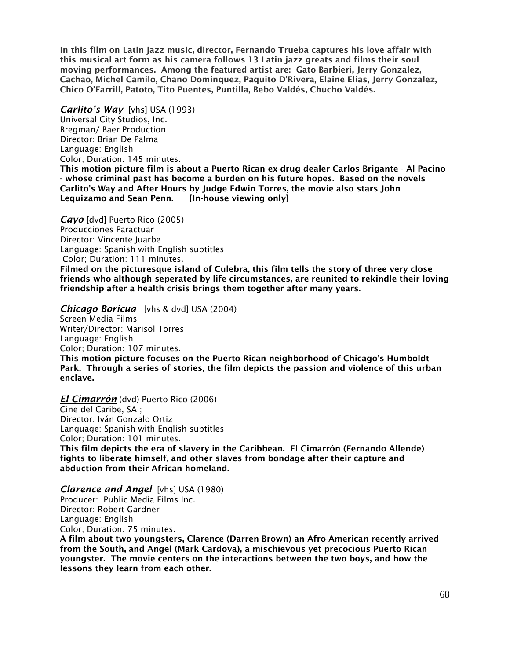In this film on Latin jazz music, director, Fernando Trueba captures his love affair with this musical art form as his camera follows 13 Latin jazz greats and films their soul moving performances. Among the featured artist are: Gato Barbieri, Jerry Gonzalez, Cachao, Michel Camilo, Chano Dominquez, Paquito D'Rivera, Elaine Elias, Jerry Gonzalez, Chico O'Farrill, Patoto, Tito Puentes, Puntilla, Bebo Valdés, Chucho Valdés.

*Carlito's Way* [vhs] USA (1993) Universal City Studios, Inc. Bregman/ Baer Production Director: Brian De Palma Language: English Color; Duration: 145 minutes.

This motion picture film is about a Puerto Rican ex-drug dealer Carlos Brigante - Al Pacino - whose criminal past has become a burden on his future hopes. Based on the novels Carlito's Way and After Hours by Judge Edwin Torres, the movie also stars John Lequizamo and Sean Penn. [In-house viewing only]

*Cayo* [dvd] Puerto Rico (2005) Producciones Paractuar Director: Vincente Juarbe Language: Spanish with English subtitles Color; Duration: 111 minutes. Filmed on the picturesque island of Culebra, this film tells the story of three very close friends who although seperated by life circumstances, are reunited to rekindle their loving friendship after a health crisis brings them together after many years.

### *Chicago Boricua* [vhs & dvd] USA (2004)

Screen Media Films Writer/Director: Marisol Torres Language: English Color; Duration: 107 minutes. This motion picture focuses on the Puerto Rican neighborhood of Chicago's Humboldt Park. Through a series of stories, the film depicts the passion and violence of this urban enclave.

*El Cimarrón* (dvd) Puerto Rico (2006)

Cine del Caribe, SA ; I Director: Iván Gonzalo Ortiz Language: Spanish with English subtitles Color; Duration: 101 minutes. This film depicts the era of slavery in the Caribbean. El Cimarrón (Fernando Allende) fights to liberate himself, and other slaves from bondage after their capture and abduction from their African homeland.

### *Clarence and Angel* [vhs] USA (1980)

Producer: Public Media Films Inc. Director: Robert Gardner Language: English Color; Duration: 75 minutes.

A film about two youngsters, Clarence (Darren Brown) an Afro-American recently arrived from the South, and Angel (Mark Cardova), a mischievous yet precocious Puerto Rican youngster. The movie centers on the interactions between the two boys, and how the lessons they learn from each other.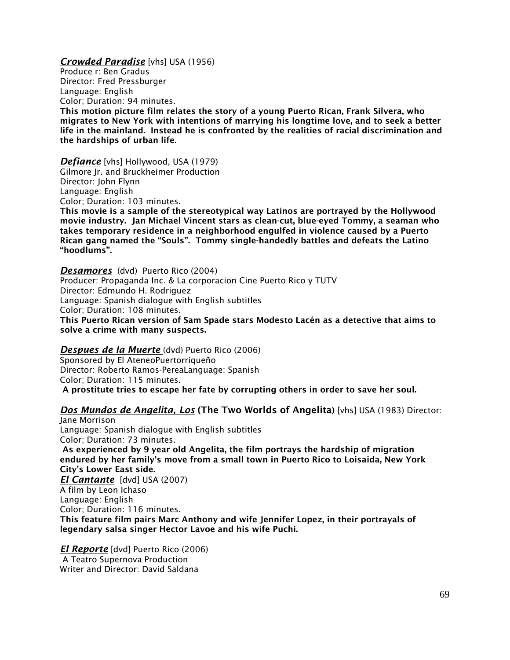*Crowded Paradise* [vhs] USA (1956) Produce r: Ben Gradus Director: Fred Pressburger Language: English Color; Duration: 94 minutes. This motion picture film relates the story of a young Puerto Rican, Frank Silvera, who migrates to New York with intentions of marrying his longtime love, and to seek a better life in the mainland. Instead he is confronted by the realities of racial discrimination and the hardships of urban life.

*Defiance* [vhs] Hollywood, USA (1979) Gilmore Jr. and Bruckheimer Production Director: John Flynn Language: English Color; Duration: 103 minutes.

This movie is a sample of the stereotypical way Latinos are portrayed by the Hollywood movie industry. Jan Michael Vincent stars as clean-cut, blue-eyed Tommy, a seaman who takes temporary residence in a neighborhood engulfed in violence caused by a Puerto Rican gang named the "Souls". Tommy single-handedly battles and defeats the Latino "hoodlums".

*Desamores* (dvd) Puerto Rico (2004) Producer: Propaganda Inc. & La corporacion Cine Puerto Rico y TUTV Director: Edmundo H. Rodriguez Language: Spanish dialogue with English subtitles Color; Duration: 108 minutes. This Puerto Rican version of Sam Spade stars Modesto Lacén as a detective that aims to

solve a crime with many suspects.

#### *Despues de la Muerte* (dvd) Puerto Rico (2006)

Sponsored by El AteneoPuertorriqueño Director: Roberto Ramos-PereaLanguage: Spanish Color; Duration: 115 minutes. A prostitute tries to escape her fate by corrupting others in order to save her soul.

## *Dos Mundos de Angelita, Los* (The Two Worlds of Angelita) [vhs] USA (1983) Director:

Jane Morrison Language: Spanish dialogue with English subtitles Color; Duration: 73 minutes. As experienced by 9 year old Angelita, the film portrays the hardship of migration endured by her family's move from a small town in Puerto Rico to Loisaida, New York City's Lower East side. *El Cantante* [dvd] USA (2007) A film by Leon Ichaso Language: English Color; Duration: 116 minutes. This feature film pairs Marc Anthony and wife Jennifer Lopez, in their portrayals of legendary salsa singer Hector Lavoe and his wife Puchi.

*El Reporte* [dvd] Puerto Rico (2006) A Teatro Supernova Production Writer and Director: David Saldana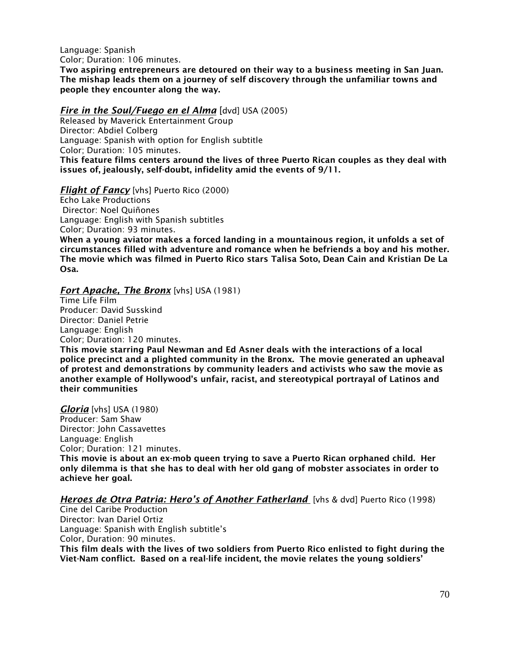Language: Spanish Color; Duration: 106 minutes.

Two aspiring entrepreneurs are detoured on their way to a business meeting in San Juan. The mishap leads them on a journey of self discovery through the unfamiliar towns and people they encounter along the way.

## *Fire in the Soul/Fuego en el Alma* [dvd] USA (2005)

Released by Maverick Entertainment Group Director: Abdiel Colberg Language: Spanish with option for English subtitle Color; Duration: 105 minutes.

This feature films centers around the lives of three Puerto Rican couples as they deal with issues of, jealously, self-doubt, infidelity amid the events of 9/11.

## *Flight of Fancy* [vhs] Puerto Rico (2000)

Echo Lake Productions Director: Noel Quiñones Language: English with Spanish subtitles Color; Duration: 93 minutes.

When a young aviator makes a forced landing in a mountainous region, it unfolds a set of circumstances filled with adventure and romance when he befriends a boy and his mother. The movie which was filmed in Puerto Rico stars Talisa Soto, Dean Cain and Kristian De La Osa.

# *Fort Apache, The Bronx* [vhs] USA (1981)

Time Life Film Producer: David Susskind Director: Daniel Petrie Language: English Color; Duration: 120 minutes.

This movie starring Paul Newman and Ed Asner deals with the interactions of a local police precinct and a plighted community in the Bronx. The movie generated an upheaval of protest and demonstrations by community leaders and activists who saw the movie as another example of Hollywood's unfair, racist, and stereotypical portrayal of Latinos and their communities

*Gloria* [vhs] USA (1980) Producer: Sam Shaw Director: John Cassavettes Language: English Color; Duration: 121 minutes. This movie is about an ex-mob queen trying to save a Puerto Rican orphaned child. Her only dilemma is that she has to deal with her old gang of mobster associates in order to achieve her goal.

## *Heroes de Otra Patria: Hero's of Another Fatherland* [vhs & dvd] Puerto Rico (1998)

Cine del Caribe Production Director: Ivan Dariel Ortiz Language: Spanish with English subtitle's Color, Duration: 90 minutes. This film deals with the lives of two soldiers from Puerto Rico enlisted to fight during the Viet-Nam conflict. Based on a real-life incident, the movie relates the young soldiers'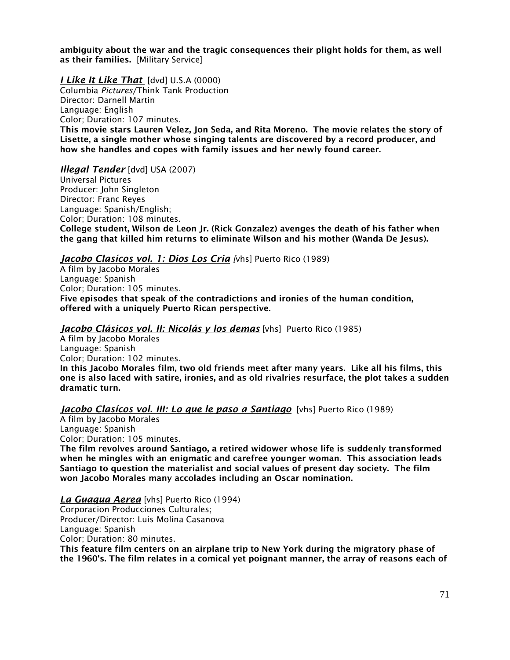ambiguity about the war and the tragic consequences their plight holds for them, as well as their families. [Military Service]

*I Like It Like That* [dvd] U.S.A (0000)

Columbia *Pictures*/Think Tank Production Director: Darnell Martin Language: English Color; Duration: 107 minutes. This movie stars Lauren Velez, Jon Seda, and Rita Moreno. The movie relates the story of Lisette, a single mother whose singing talents are discovered by a record producer, and how she handles and copes with family issues and her newly found career.

*Illegal Tender* [dvd] USA (2007)

Universal Pictures Producer: John Singleton Director: Franc Reyes Language: Spanish/English; Color; Duration: 108 minutes. College student, Wilson de Leon Jr. (Rick Gonzalez) avenges the death of his father when the gang that killed him returns to eliminate Wilson and his mother (Wanda De Jesus).

### *Jacobo Clasícos vol. 1: Dios Los Cria [*vhs] Puerto Rico (1989)

A film by Jacobo Morales Language: Spanish Color; Duration: 105 minutes. Five episodes that speak of the contradictions and ironies of the human condition, offered with a uniquely Puerto Rican perspective.

### *Jacobo Clásicos vol. II: Nicolás y los demas* [vhs] Puerto Rico (1985)

A film by Jacobo Morales Language: Spanish Color; Duration: 102 minutes. In this Jacobo Morales film, two old friends meet after many years. Like all his films, this one is also laced with satire, ironies, and as old rivalries resurface, the plot takes a sudden dramatic turn.

### *Jacobo Clasícos vol. III: Lo que le paso a Santiago* [vhs] Puerto Rico (1989)

A film by Jacobo Morales Language: Spanish Color; Duration: 105 minutes.

The film revolves around Santiago, a retired widower whose life is suddenly transformed when he mingles with an enigmatic and carefree younger woman. This association leads Santiago to question the materialist and social values of present day society. The film won Jacobo Morales many accolades including an Oscar nomination.

#### *La Guagua Aerea* [vhs] Puerto Rico (1994)

Corporacion Producciones Culturales; Producer/Director: Luis Molina Casanova Language: Spanish Color; Duration: 80 minutes.

This feature film centers on an airplane trip to New York during the migratory phase of the 1960's. The film relates in a comical yet poignant manner, the array of reasons each of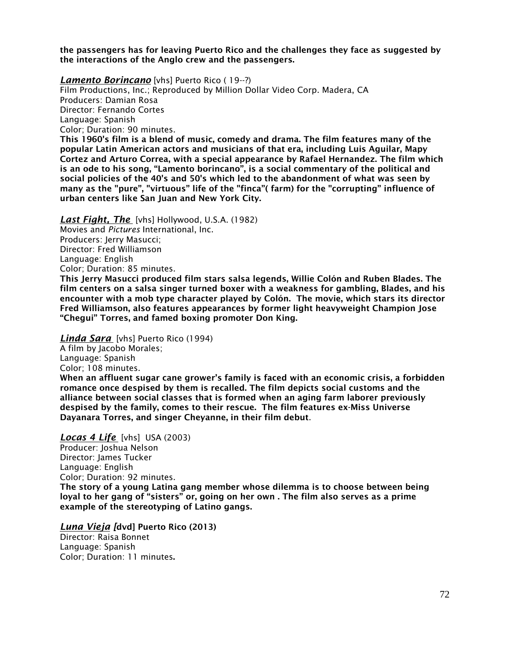the passengers has for leaving Puerto Rico and the challenges they face as suggested by the interactions of the Anglo crew and the passengers.

*Lamento Borincano* [vhs] Puerto Rico ( 19--?) Film Productions, Inc.; Reproduced by Million Dollar Video Corp. Madera, CA Producers: Damian Rosa Director: Fernando Cortes Language: Spanish Color; Duration: 90 minutes. This 1960's film is a blend of music, comedy and drama. The film features many of the

popular Latin American actors and musicians of that era, including Luis Aguilar, Mapy Cortez and Arturo Correa, with a special appearance by Rafael Hernandez. The film which is an ode to his song, "Lamento borincano", is a social commentary of the political and social policies of the 40's and 50's which led to the abandonment of what was seen by many as the "pure", "virtuous" life of the "finca"( farm) for the "corrupting" influence of urban centers like San Juan and New York City.

*Last Fight, The* [vhs] Hollywood, U.S.A. (1982) Movies and *Pictures* International, Inc. Producers: Jerry Masucci; Director: Fred Williamson Language: English Color; Duration: 85 minutes.

This Jerry Masucci produced film stars salsa legends, Willie Colón and Ruben Blades. The film centers on a salsa singer turned boxer with a weakness for gambling, Blades, and his encounter with a mob type character played by Colón. The movie, which stars its director Fred Williamson, also features appearances by former light heavyweight Champion Jose "Chegui" Torres, and famed boxing promoter Don King.

*Linda Sara* [vhs] Puerto Rico (1994)

A film by Jacobo Morales;

Language: Spanish

Color; 108 minutes.

When an affluent sugar cane grower's family is faced with an economic crisis, a forbidden romance once despised by them is recalled. The film depicts social customs and the alliance between social classes that is formed when an aging farm laborer previously despised by the family, comes to their rescue. The film features ex-Miss Universe Dayanara Torres, and singer Cheyanne, in their film debut.

*Locas 4 Life* [vhs] USA (2003)

Producer: Joshua Nelson Director: James Tucker Language: English Color; Duration: 92 minutes. The story of a young Latina gang member whose dilemma is to choose between being loyal to her gang of "sisters" or, going on her own . The film also serves as a prime example of the stereotyping of Latino gangs.

*Luna Vieja [*dvd] Puerto Rico (2013) Director: Raisa Bonnet Language: Spanish Color; Duration: 11 minutes.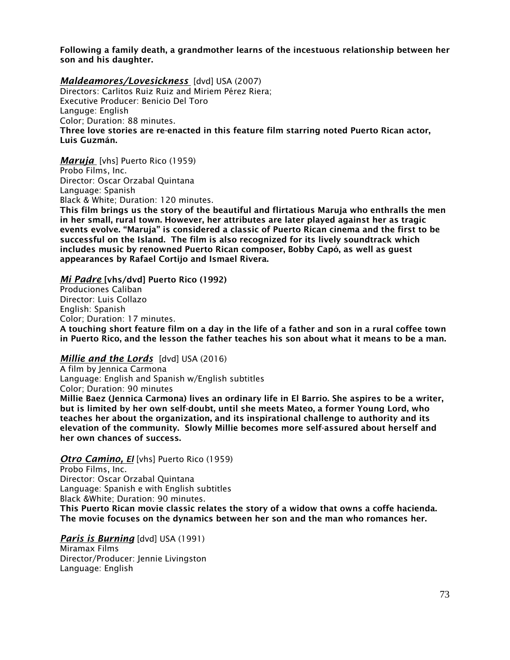Following a family death, a grandmother learns of the incestuous relationship between her son and his daughter.

## *Maldeamores/Lovesickness* [dvd] USA (2007)

Directors: Carlitos Ruiz Ruiz and Miriem Pérez Riera; Executive Producer: Benicio Del Toro Languge: English Color; Duration: 88 minutes. Three love stories are re-enacted in this feature film starring noted Puerto Rican actor, Luis Guzmán.

*Maruja* [vhs] Puerto Rico (1959) Probo Films, Inc. Director: Oscar Orzabal Quintana Language: Spanish Black & White; Duration: 120 minutes.

This film brings us the story of the beautiful and flirtatious Maruja who enthralls the men in her small, rural town. However, her attributes are later played against her as tragic events evolve. "Maruja" is considered a classic of Puerto Rican cinema and the first to be successful on the Island. The film is also recognized for its lively soundtrack which includes music by renowned Puerto Rican composer, Bobby Capó, as well as guest appearances by Rafael Cortijo and Ismael Rivera.

### *Mi Padre* [vhs/dvd] Puerto Rico (1992)

Produciones Caliban Director: Luis Collazo English: Spanish Color; Duration: 17 minutes. A touching short feature film on a day in the life of a father and son in a rural coffee town in Puerto Rico, and the lesson the father teaches his son about what it means to be a man.

### *Millie and the Lords* [dvd] USA (2016)

A film by Jennica Carmona Language: English and Spanish w/English subtitles Color; Duration: 90 minutes Millie Baez (Jennica Carmona) lives an ordinary life in El Barrio. She aspires to be a writer, but is limited by her own self-doubt, until she meets Mateo, a former Young Lord, who teaches her about the organization, and its inspirational challenge to authority and its elevation of the community. Slowly Millie becomes more self-assured about herself and her own chances of success.

*Otro Camino, El* [vhs] Puerto Rico (1959) Probo Films, Inc. Director: Oscar Orzabal Quintana Language: Spanish e with English subtitles Black &White; Duration: 90 minutes. This Puerto Rican movie classic relates the story of a widow that owns a coffe hacienda. The movie focuses on the dynamics between her son and the man who romances her.

*Paris is Burning* [dvd] USA (1991) Miramax Films Director/Producer: Jennie Livingston Language: English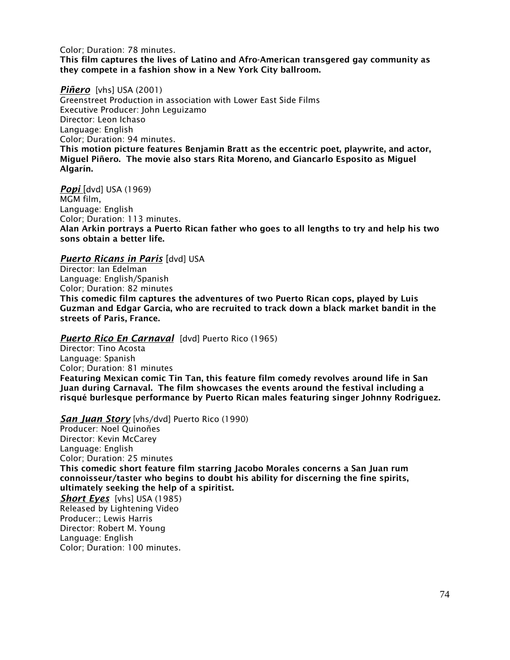Color; Duration: 78 minutes. This film captures the lives of Latino and Afro-American transgered gay community as they compete in a fashion show in a New York City ballroom.

#### *Piñero* [vhs] USA (2001)

Greenstreet Production in association with Lower East Side Films Executive Producer: John Leguizamo Director: Leon Ichaso Language: English Color; Duration: 94 minutes. This motion picture features Benjamin Bratt as the eccentric poet, playwrite, and actor, Miguel Piñero. The movie also stars Rita Moreno, and Giancarlo Esposito as Miguel Algarín.

*Popi* [dvd] USA (1969) MGM film, Language: English Color; Duration: 113 minutes. Alan Arkin portrays a Puerto Rican father who goes to all lengths to try and help his two sons obtain a better life.

## *Puerto Ricans in Paris* [dvd] USA

Director: Ian Edelman Language: English/Spanish Color; Duration: 82 minutes This comedic film captures the adventures of two Puerto Rican cops, played by Luis Guzman and Edgar Garcia, who are recruited to track down a black market bandit in the streets of Paris, France.

#### *Puerto Rico En Carnaval* [dvd] Puerto Rico (1965)

Director: Tino Acosta Language: Spanish Color; Duration: 81 minutes Featuring Mexican comic Tin Tan, this feature film comedy revolves around life in San Juan during Carnaval. The film showcases the events around the festival including a risqué burlesque performance by Puerto Rican males featuring singer Johnny Rodriguez.

#### *San Juan Story* [vhs/dvd] Puerto Rico (1990)

Producer: Noel Quinoñes Director: Kevin McCarey Language: English Color; Duration: 25 minutes This comedic short feature film starring Jacobo Morales concerns a San Juan rum connoisseur/taster who begins to doubt his ability for discerning the fine spirits, ultimately seeking the help of a spiritist. *Short Eyes* [vhs] USA (1985) Released by Lightening Video Producer:; Lewis Harris Director: Robert M. Young Language: English

Color; Duration: 100 minutes.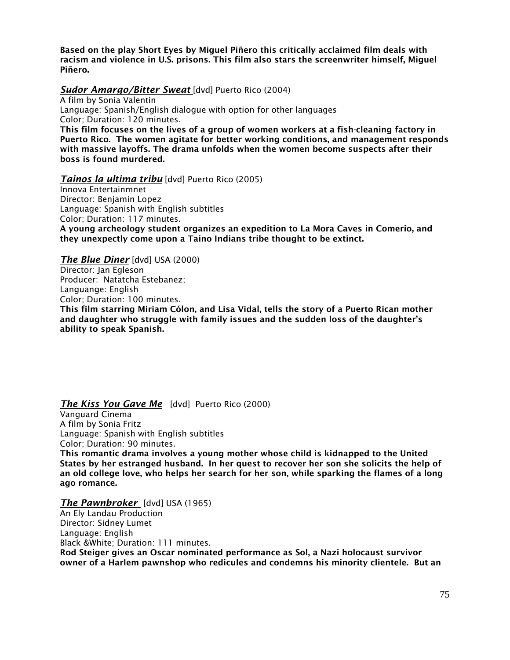Based on the play Short Eyes by Miguel Piñero this critically acclaimed film deals with racism and violence in U.S. prisons. This film also stars the screenwriter himself, Miguel Piñero.

## *Sudor Amargo/Bitter Sweat* [dvd] Puerto Rico (2004)

A film by Sonia Valentin Language: Spanish/English dialogue with option for other languages Color; Duration: 120 minutes. This film focuses on the lives of a group of women workers at a fish-cleaning factory in Puerto Rico. The women agitate for better working conditions, and management responds

with massive layoffs. The drama unfolds when the women become suspects after their boss is found murdered.

## *Tainos la ultima tribu* [dvd] Puerto Rico (2005)

Innova Entertainmnet Director: Benjamin Lopez Language: Spanish with English subtitles Color; Duration: 117 minutes. A young archeology student organizes an expedition to La Mora Caves in Comerio, and they unexpectly come upon a Taino Indians tribe thought to be extinct.

*The Blue Diner* [dvd] USA (2000) Director: Jan Egleson Producer: Natatcha Estebanez; Languange: English Color; Duration: 100 minutes. This film starring Miriam Cólon, and Lisa Vidal, tells the story of a Puerto Rican mother and daughter who struggle with family issues and the sudden loss of the daughter's ability to speak Spanish.

# **The Kiss You Gave Me** [dvd] Puerto Rico (2000)

Vanguard Cinema A film by Sonia Fritz Language: Spanish with English subtitles Color; Duration: 90 minutes. This romantic drama involves a young mother whose child is kidnapped to the United States by her estranged husband. In her quest to recover her son she solicits the help of an old college love, who helps her search for her son, while sparking the flames of a long ago romance.

### *The Pawnbroker* [dvd] USA (1965)

An Ely Landau Production Director: Sidney Lumet Language: English Black &White; Duration: 111 minutes. Rod Steiger gives an Oscar nominated performance as Sol, a Nazi holocaust survivor owner of a Harlem pawnshop who redicules and condemns his minority clientele. But an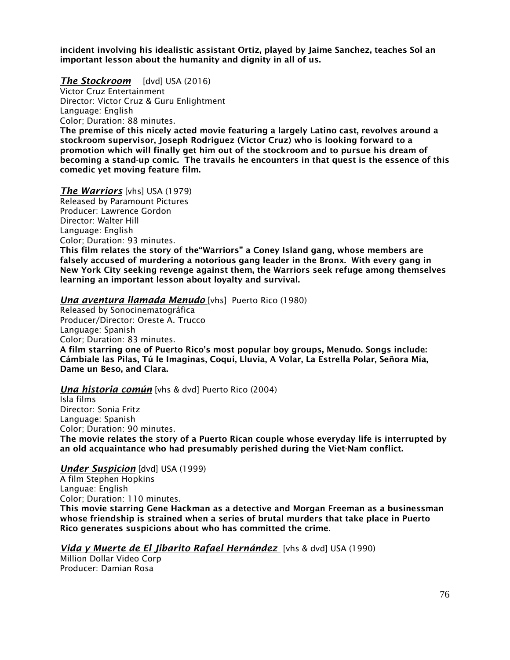incident involving his idealistic assistant Ortiz, played by Jaime Sanchez, teaches Sol an important lesson about the humanity and dignity in all of us.

#### *The Stockroom* [dvd] USA (2016)

Victor Cruz Entertainment Director: Victor Cruz & Guru Enlightment Language: English

Color; Duration: 88 minutes.

The premise of this nicely acted movie featuring a largely Latino cast, revolves around a stockroom supervisor, Joseph Rodriguez (Victor Cruz) who is looking forward to a promotion which will finally get him out of the stockroom and to pursue his dream of becoming a stand-up comic. The travails he encounters in that quest is the essence of this comedic yet moving feature film.

#### *The Warriors* [vhs] USA (1979)

Released by Paramount Pictures Producer: Lawrence Gordon Director: Walter Hill Language: English Color; Duration: 93 minutes. This film relates the story of the"Warriors" a Coney Island gang, whose members are falsely accused of murdering a notorious gang leader in the Bronx. With every gang in New York City seeking revenge against them, the Warriors seek refuge among themselves learning an important lesson about loyalty and survival.

#### *Una aventura llamada Menudo* [vhs] Puerto Rico (1980)

Released by Sonocinematográfica Producer/Director: Oreste A. Trucco Language: Spanish Color; Duration: 83 minutes. A film starring one of Puerto Rico's most popular boy groups, Menudo. Songs include: Cámbiale las Pilas, Tú le Imaginas, Coquí, Lluvia, A Volar, La Estrella Polar, Señora Mía, Dame un Beso, and Clara.

### *Una historia común* [vhs & dvd] Puerto Rico (2004)

Isla films Director: Sonia Fritz Language: Spanish Color; Duration: 90 minutes. The movie relates the story of a Puerto Rican couple whose everyday life is interrupted by an old acquaintance who had presumably perished during the Viet-Nam conflict.

### *Under Suspicion* [dvd] USA (1999)

A film Stephen Hopkins Languae: English Color; Duration: 110 minutes. This movie starring Gene Hackman as a detective and Morgan Freeman as a businessman whose friendship is strained when a series of brutal murders that take place in Puerto Rico generates suspicions about who has committed the crime.

### *Vida y Muerte de El Jibarito Rafael Hernández* [vhs & dvd] USA (1990)

Million Dollar Video Corp Producer: Damian Rosa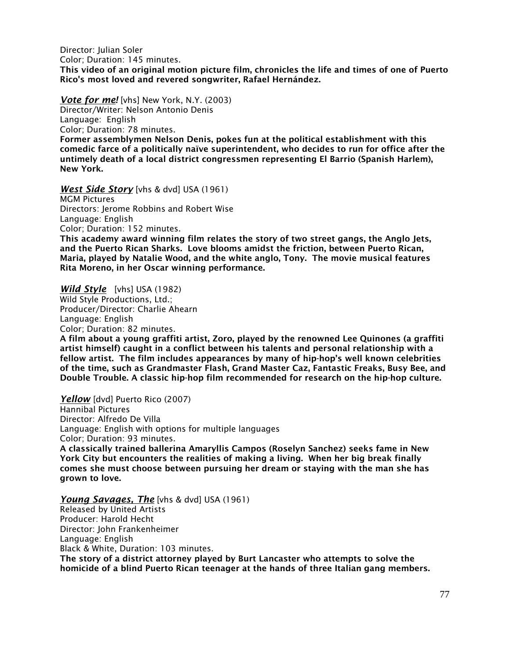Director: Julian Soler Color; Duration: 145 minutes. This video of an original motion picture film, chronicles the life and times of one of Puerto Rico's most loved and revered songwriter, Rafael Hernández.

*Vote for me!* [vhs] New York, N.Y. (2003)

Director/Writer: Nelson Antonio Denis Language: English Color; Duration: 78 minutes.

Former assemblymen Nelson Denis, pokes fun at the political establishment with this comedic farce of a politically naïve superintendent, who decides to run for office after the untimely death of a local district congressmen representing El Barrio (Spanish Harlem), New York.

*West Side Story* [vhs & dvd] USA (1961) MGM Pictures Directors: Jerome Robbins and Robert Wise Language: English Color; Duration: 152 minutes.

This academy award winning film relates the story of two street gangs, the Anglo Jets, and the Puerto Rican Sharks. Love blooms amidst the friction, between Puerto Rican, Maria, played by Natalie Wood, and the white anglo, Tony. The movie musical features Rita Moreno, in her Oscar winning performance.

*Wild Style* [vhs] USA (1982) Wild Style Productions, Ltd.; Producer/Director: Charlie Ahearn Language: English Color; Duration: 82 minutes.

A film about a young graffiti artist, Zoro, played by the renowned Lee Quinones (a graffiti artist himself) caught in a conflict between his talents and personal relationship with a fellow artist. The film includes appearances by many of hip-hop's well known celebrities of the time, such as Grandmaster Flash, Grand Master Caz, Fantastic Freaks, Busy Bee, and Double Trouble. A classic hip-hop film recommended for research on the hip-hop culture.

Yellow [dvd] Puerto Rico (2007) Hannibal Pictures Director: Alfredo De Villa Language: English with options for multiple languages Color; Duration: 93 minutes. A classically trained ballerina Amaryllis Campos (Roselyn Sanchez) seeks fame in New York City but encounters the realities of making a living. When her big break finally comes she must choose between pursuing her dream or staying with the man she has grown to love.

*Young Savages, The* [vhs & dvd] USA (1961) Released by United Artists Producer: Harold Hecht Director: John Frankenheimer Language: English Black & White, Duration: 103 minutes. The story of a district attorney played by Burt Lancaster who attempts to solve the homicide of a blind Puerto Rican teenager at the hands of three Italian gang members.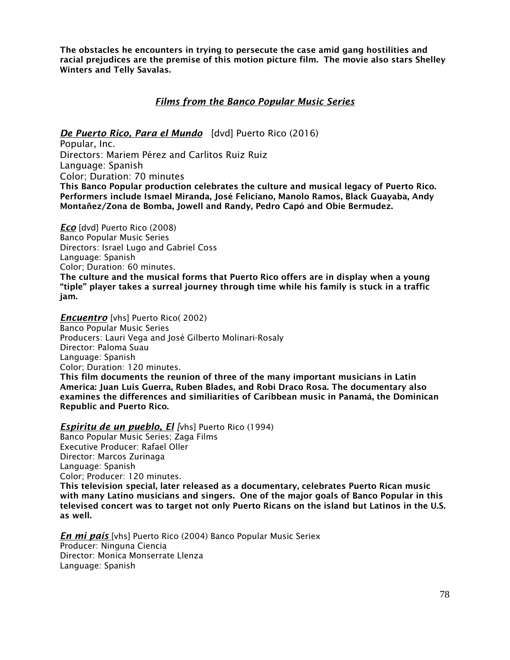The obstacles he encounters in trying to persecute the case amid gang hostilities and racial prejudices are the premise of this motion picture film. The movie also stars Shelley Winters and Telly Savalas.

# *Films from the Banco Popular Music Series*

## *De Puerto Rico, Para el Mundo* [dvd] Puerto Rico (2016)

Popular, Inc. Directors: Mariem Pérez and Carlitos Ruiz Ruiz Language: Spanish Color; Duration: 70 minutes This Banco Popular production celebrates the culture and musical legacy of Puerto Rico. Performers include Ismael Miranda, José Feliciano, Manolo Ramos, Black Guayaba, Andy Montañez/Zona de Bomba, Jowell and Randy, Pedro Capó and Obie Bermudez.

*Eco* [dvd] Puerto Rico (2008) Banco Popular Music Series Directors: Israel Lugo and Gabriel Coss Language: Spanish Color; Duration: 60 minutes. The culture and the musical forms that Puerto Rico offers are in display when a young "tiple" player takes a surreal journey through time while his family is stuck in a traffic jam.

**Encuentro** [vhs] Puerto Rico( 2002) Banco Popular Music Series Producers: Lauri Vega and José Gilberto Molinari-Rosaly Director: Paloma Suau Language: Spanish Color; Duration: 120 minutes. This film documents the reunion of three of the many important musicians in Latin

America: Juan Luis Guerra, Ruben Blades, and Robi Draco Rosa. The documentary also examines the differences and similiarities of Caribbean music in Panamá, the Dominican Republic and Puerto Rico.

*Espiritu de un pueblo, El [*vhs] Puerto Rico (1994) Banco Popular Music Series; Zaga Films Executive Producer: Rafael Oller Director: Marcos Zurinaga Language: Spanish Color; Producer: 120 minutes. This television special, later released as a documentary, celebrates Puerto Rican music with many Latino musicians and singers. One of the major goals of Banco Popular in this televised concert was to target not only Puerto Ricans on the island but Latinos in the U.S. as well.

*En mi país* [vhs] Puerto Rico (2004) Banco Popular Music Seriex Producer: Ninguna Ciencia Director: Monica Monserrate Llenza Language: Spanish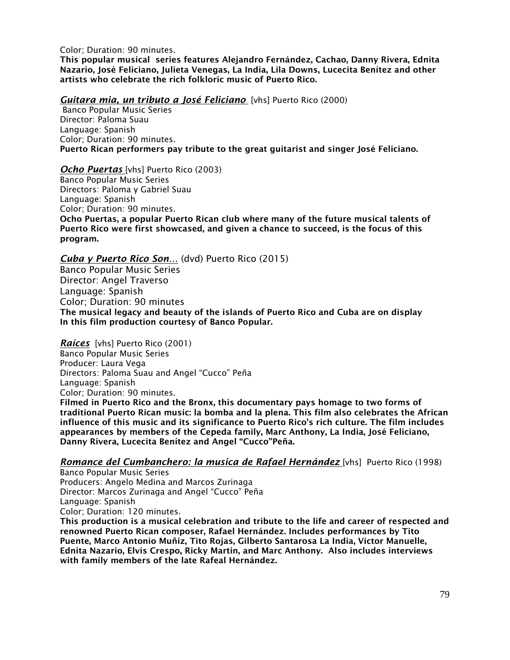Color; Duration: 90 minutes.

This popular musical series features Alejandro Fernández, Cachao, Danny Rivera, Ednita Nazario, José Feliciano, Julieta Venegas, La India, Lila Downs, Lucecita Benítez and other artists who celebrate the rich folkloric music of Puerto Rico.

*Guitara mia, un tributo a José Feliciano* [vhs] Puerto Rico (2000)

Banco Popular Music Series Director: Paloma Suau Language: Spanish Color; Duration: 90 minutes. Puerto Rican performers pay tribute to the great guitarist and singer José Feliciano.

*Ocho Puertas* [vhs] Puerto Rico (2003)

Banco Popular Music Series Directors: Paloma y Gabriel Suau Language: Spanish Color; Duration: 90 minutes.

Ocho Puertas, a popular Puerto Rican club where many of the future musical talents of Puerto Rico were first showcased, and given a chance to succeed, is the focus of this program.

*Cuba y Puerto Rico Son…* (dvd) Puerto Rico (2015)

Banco Popular Music Series Director: Angel Traverso Language: Spanish Color; Duration: 90 minutes The musical legacy and beauty of the islands of Puerto Rico and Cuba are on display In this film production courtesy of Banco Popular.

*Raíces* [vhs] Puerto Rico (2001) Banco Popular Music Series Producer: Laura Vega Directors: Paloma Suau and Angel "Cucco" Peña Language: Spanish Color; Duration: 90 minutes. Filmed in Puerto Rico and the Bronx, this documentary pays homage to two forms of traditional Puerto Rican music: la bomba and la plena. This film also celebrates the African influence of this music and its significance to Puerto Rico's rich culture. The film includes appearances by members of the Cepeda family, Marc Anthony, La India, José Feliciano, Danny Rivera, Lucecita Benítez and Angel "Cucco"Peña.

*Romance del Cumbanchero: la musica de Rafael Hernández* [vhs] Puerto Rico (1998)

Banco Popular Music Series Producers: Angelo Medina and Marcos Zurinaga Director: Marcos Zurinaga and Angel "Cucco" Peña Language: Spanish Color; Duration: 120 minutes.

This production is a musical celebration and tribute to the life and career of respected and renowned Puerto Rican composer, Rafael Hernández. Includes performances by Tito Puente, Marco Antonio Muñiz, Tito Rojas, Gilberto Santarosa La India, Victor Manuelle, Ednita Nazario, Elvis Crespo, Ricky Martin, and Marc Anthony. Also includes interviews with family members of the late Rafeal Hernández.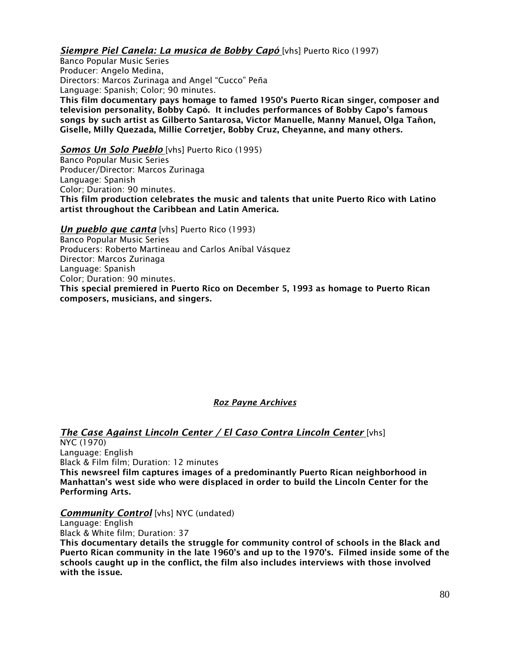# *Siempre Piel Canela: La musica de Bobby Capó* [vhs] Puerto Rico (1997)

Banco Popular Music Series Producer: Angelo Medina, Directors: Marcos Zurinaga and Angel "Cucco" Peña Language: Spanish; Color; 90 minutes. This film documentary pays homage to famed 1950's Puerto Rican singer, composer and television personality, Bobby Capó. It includes performances of Bobby Capo's famous songs by such artist as Gilberto Santarosa, Victor Manuelle, Manny Manuel, Olga Tañon, Giselle, Milly Quezada, Millie Corretjer, Bobby Cruz, Cheyanne, and many others.

## *Somos Un Solo Pueblo* [vhs] Puerto Rico (1995)

Banco Popular Music Series Producer/Director: Marcos Zurinaga Language: Spanish Color; Duration: 90 minutes. This film production celebrates the music and talents that unite Puerto Rico with Latino artist throughout the Caribbean and Latin America.

*Un pueblo que canta* [vhs] Puerto Rico (1993)

Banco Popular Music Series Producers: Roberto Martineau and Carlos Aníbal Vásquez Director: Marcos Zurinaga Language: Spanish Color; Duration: 90 minutes. This special premiered in Puerto Rico on December 5, 1993 as homage to Puerto Rican composers, musicians, and singers.

# *Roz Payne Archives*

# *The Case Against Lincoln Center / El Caso Contra Lincoln Center* [vhs]

NYC (1970) Language: English Black & Film film; Duration: 12 minutes This newsreel film captures images of a predominantly Puerto Rican neighborhood in Manhattan's west side who were displaced in order to build the Lincoln Center for the Performing Arts.

### *Community Control* [vhs] NYC (undated)

Language: English Black & White film; Duration: 37

This documentary details the struggle for community control of schools in the Black and Puerto Rican community in the late 1960's and up to the 1970's. Filmed inside some of the schools caught up in the conflict, the film also includes interviews with those involved with the issue.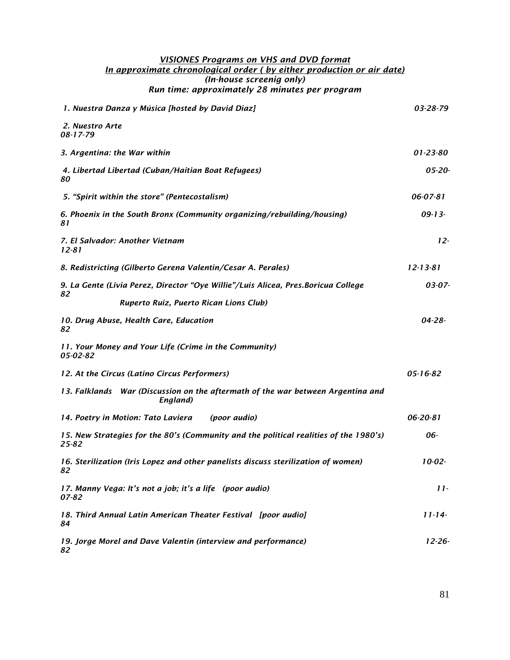#### *VISIONES Programs on VHS and DVD format In approximate chronological order ( by either production or air date) (In-house screenig only) Run time: approximately 28 minutes per program*

| 1. Nuestra Danza y Música [hosted by David Diaz]                                               | 03-28-79       |
|------------------------------------------------------------------------------------------------|----------------|
| 2. Nuestro Arte                                                                                |                |
| $08 - 17 - 79$                                                                                 |                |
| 3. Argentina: the War within                                                                   | $01 - 23 - 80$ |
| 4. Libertad Libertad (Cuban/Haitian Boat Refugees)<br>80                                       | $05 - 20 -$    |
| 5. "Spirit within the store" (Pentecostalism)                                                  | 06-07-81       |
| 6. Phoenix in the South Bronx (Community organizing/rebuilding/housing)<br>81                  | $09 - 13$      |
| 7. El Salvador: Another Vietnam<br>12-81                                                       | $12-$          |
| 8. Redistricting (Gilberto Gerena Valentin/Cesar A. Perales)                                   | $12 - 13 - 81$ |
| 9. La Gente (Livia Perez, Director "Oye Willie"/Luis Alicea, Pres. Boricua College<br>82       | 03-07-         |
| Ruperto Ruiz, Puerto Rican Lions Club)                                                         |                |
| 10. Drug Abuse, Health Care, Education<br>82                                                   | $04 - 28 -$    |
| 11. Your Money and Your Life (Crime in the Community)<br>05-02-82                              |                |
| 12. At the Circus (Latino Circus Performers)                                                   | $05 - 16 - 82$ |
| 13. Falklands War (Discussion on the aftermath of the war between Argentina and<br>England)    |                |
| 14. Poetry in Motion: Tato Laviera<br>(poor audio)                                             | 06-20-81       |
| 15. New Strategies for the 80's (Community and the political realities of the 1980's)<br>25-82 | 06-            |
| 16. Sterilization (Iris Lopez and other panelists discuss sterilization of women)<br>82        | $10-02-$       |
| 17. Manny Vega: It's not a job; it's a life (poor audio)<br>07-82                              | $11-$          |
| 18. Third Annual Latin American Theater Festival [poor audio]<br>84                            | $11 - 14$      |
| 19. Jorge Morel and Dave Valentin (interview and performance)<br>82                            | $12 - 26$      |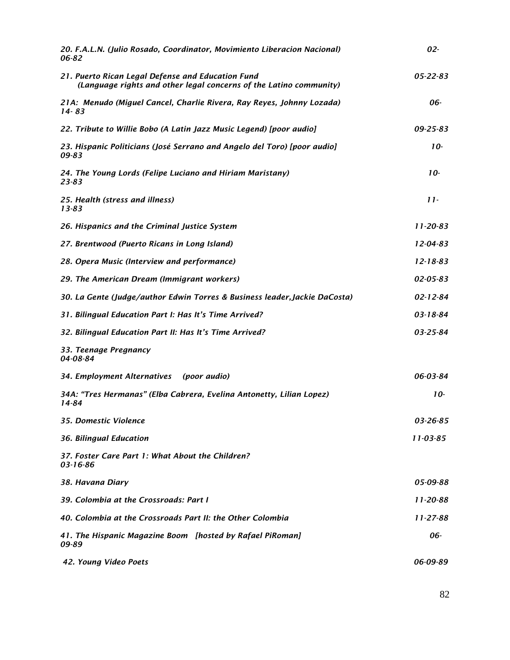| 20. F.A.L.N. (Julio Rosado, Coordinator, Movimiento Liberacion Nacional)<br>06-82                                       | $02 -$         |
|-------------------------------------------------------------------------------------------------------------------------|----------------|
| 21. Puerto Rican Legal Defense and Education Fund<br>(Language rights and other legal concerns of the Latino community) | $05 - 22 - 83$ |
| 21A: Menudo (Miguel Cancel, Charlie Rivera, Ray Reyes, Johnny Lozada)<br>14-83                                          | 06-            |
| 22. Tribute to Willie Bobo (A Latin Jazz Music Legend) [poor audio]                                                     | 09-25-83       |
| 23. Hispanic Politicians (José Serrano and Angelo del Toro) [poor audio]<br>09-83                                       | $10-$          |
| 24. The Young Lords (Felipe Luciano and Hiriam Maristany)<br>$23 - 83$                                                  | $10-$          |
| 25. Health (stress and illness)<br>13-83                                                                                | $11-$          |
| 26. Hispanics and the Criminal Justice System                                                                           | $11 - 20 - 83$ |
| 27. Brentwood (Puerto Ricans in Long Island)                                                                            | $12 - 04 - 83$ |
| 28. Opera Music (Interview and performance)                                                                             | $12 - 18 - 83$ |
| 29. The American Dream (Immigrant workers)                                                                              | 02-05-83       |
| 30. La Gente (Judge/author Edwin Torres & Business leader, Jackie DaCosta)                                              | $02 - 12 - 84$ |
| 31. Bilingual Education Part I: Has It's Time Arrived?                                                                  | 03-18-84       |
| 32. Bilingual Education Part II: Has It's Time Arrived?                                                                 | $03 - 25 - 84$ |
| 33. Teenage Pregnancy<br>04-08-84                                                                                       |                |
| 34. Employment Alternatives (poor audio)                                                                                | 06-03-84       |
| 34A: "Tres Hermanas" (Elba Cabrera, Evelina Antonetty, Lilian Lopez)<br>14-84                                           | $10-$          |
| 35. Domestic Violence                                                                                                   | 03-26-85       |
| 36. Bilingual Education                                                                                                 | $11 - 03 - 85$ |
| 37. Foster Care Part 1: What About the Children?<br>03-16-86                                                            |                |
| 38. Havana Diary                                                                                                        | 05-09-88       |
| 39. Colombia at the Crossroads: Part I                                                                                  | $11 - 20 - 88$ |
| 40. Colombia at the Crossroads Part II: the Other Colombia                                                              | $11 - 27 - 88$ |
| 41. The Hispanic Magazine Boom [hosted by Rafael PiRoman]<br>09-89                                                      | 06-            |
| 42. Young Video Poets                                                                                                   | 06-09-89       |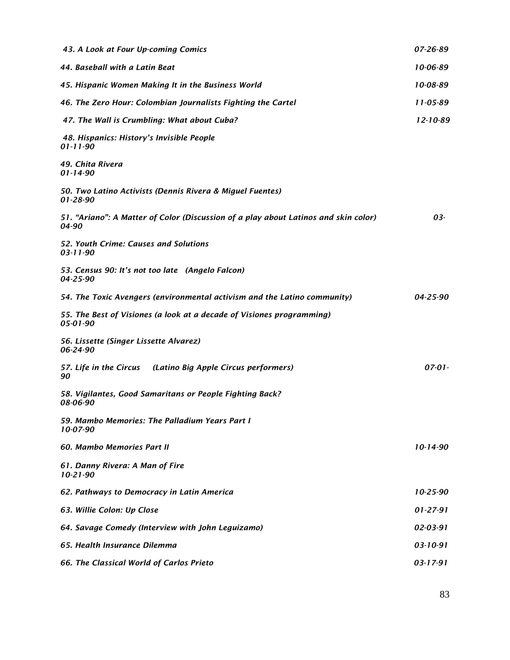| 43. A Look at Four Up-coming Comics                                                          | 07-26-89       |
|----------------------------------------------------------------------------------------------|----------------|
| 44. Baseball with a Latin Beat                                                               | 10-06-89       |
| 45. Hispanic Women Making It in the Business World                                           | 10-08-89       |
| 46. The Zero Hour: Colombian Journalists Fighting the Cartel                                 | $11 - 05 - 89$ |
| 47. The Wall is Crumbling: What about Cuba?                                                  | $12 - 10 - 89$ |
| 48. Hispanics: History's Invisible People<br>$01 - 11 - 90$                                  |                |
| 49. Chita Rivera<br>$01 - 14 - 90$                                                           |                |
| 50. Two Latino Activists (Dennis Rivera & Miguel Fuentes)<br>01-28-90                        |                |
| 51. "Ariano": A Matter of Color (Discussion of a play about Latinos and skin color)<br>04-90 | 03-            |
| 52. Youth Crime: Causes and Solutions<br>$03 - 11 - 90$                                      |                |
| 53. Census 90: It's not too late (Angelo Falcon)<br>04-25-90                                 |                |
| 54. The Toxic Avengers (environmental activism and the Latino community)                     | $04 - 25 - 90$ |
| 55. The Best of Visiones (a look at a decade of Visiones programming)<br>05-01-90            |                |
| 56. Lissette (Singer Lissette Alvarez)<br>06-24-90                                           |                |
| 57. Life in the Circus (Latino Big Apple Circus performers)<br>90                            | $07 - 01 -$    |
| 58. Vigilantes, Good Samaritans or People Fighting Back?<br>08-06-90                         |                |
| 59. Mambo Memories: The Palladium Years Part I<br>10-07-90                                   |                |
| 60. Mambo Memories Part II                                                                   | $10-14-90$     |
| 61. Danny Rivera: A Man of Fire<br>$10-21-90$                                                |                |
| 62. Pathways to Democracy in Latin America                                                   | $10-25-90$     |
| 63. Willie Colon: Up Close                                                                   | $01 - 27 - 91$ |
| 64. Savage Comedy (Interview with John Leguizamo)                                            | 02-03-91       |
| 65. Health Insurance Dilemma                                                                 | 03-10-91       |
| 66. The Classical World of Carlos Prieto                                                     | $03 - 17 - 91$ |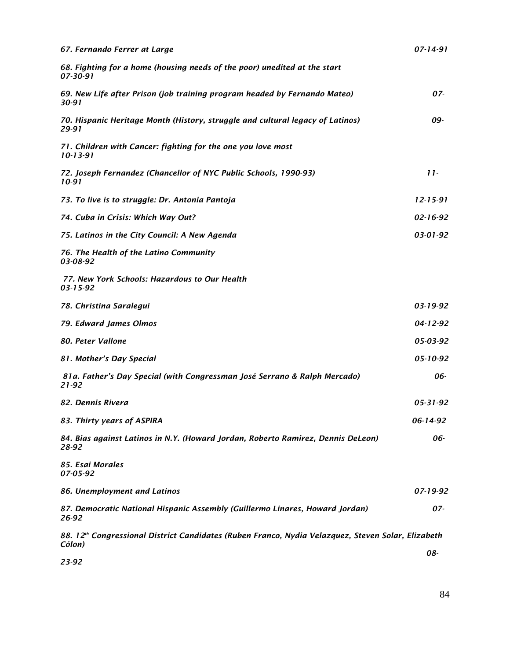| 67. Fernando Ferrer at Large                                                                                 | $07 - 14 - 91$ |
|--------------------------------------------------------------------------------------------------------------|----------------|
| 68. Fighting for a home (housing needs of the poor) unedited at the start<br>07-30-91                        |                |
| 69. New Life after Prison (job training program headed by Fernando Mateo)<br>30-91                           | 07-            |
| 70. Hispanic Heritage Month (History, struggle and cultural legacy of Latinos)<br>29-91                      | 09-            |
| 71. Children with Cancer: fighting for the one you love most<br>$10 - 13 - 91$                               |                |
| 72. Joseph Fernandez (Chancellor of NYC Public Schools, 1990-93)<br>10-91                                    | $11 -$         |
| 73. To live is to struggle: Dr. Antonia Pantoja                                                              | $12 - 15 - 91$ |
| 74. Cuba in Crisis: Which Way Out?                                                                           | $02 - 16 - 92$ |
| 75. Latinos in the City Council: A New Agenda                                                                | $03 - 01 - 92$ |
| 76. The Health of the Latino Community<br>03-08-92                                                           |                |
| 77. New York Schools: Hazardous to Our Health<br>$03 - 15 - 92$                                              |                |
| 78. Christina Saralegui                                                                                      | $03 - 19 - 92$ |
| 79. Edward James Olmos                                                                                       | $04 - 12 - 92$ |
| 80. Peter Vallone                                                                                            | 05-03-92       |
| 81. Mother's Day Special                                                                                     | $05 - 10 - 92$ |
| 81a. Father's Day Special (with Congressman José Serrano & Ralph Mercado)<br>$21 - 92$                       | 06-            |
| 82. Dennis Rivera                                                                                            | $05 - 31 - 92$ |
| 83. Thirty years of ASPIRA                                                                                   | 06-14-92       |
| 84. Bias against Latinos in N.Y. (Howard Jordan, Roberto Ramirez, Dennis DeLeon)<br>28-92                    | 06-            |
| 85. Esai Morales<br>07-05-92                                                                                 |                |
| 86. Unemployment and Latinos                                                                                 | 07-19-92       |
| 87. Democratic National Hispanic Assembly (Guillermo Linares, Howard Jordan)<br>26-92                        | 07-            |
| 88. 12th Congressional District Candidates (Ruben Franco, Nydia Velazquez, Steven Solar, Elizabeth<br>Cólon) |                |
| 23-92                                                                                                        | 08-            |

84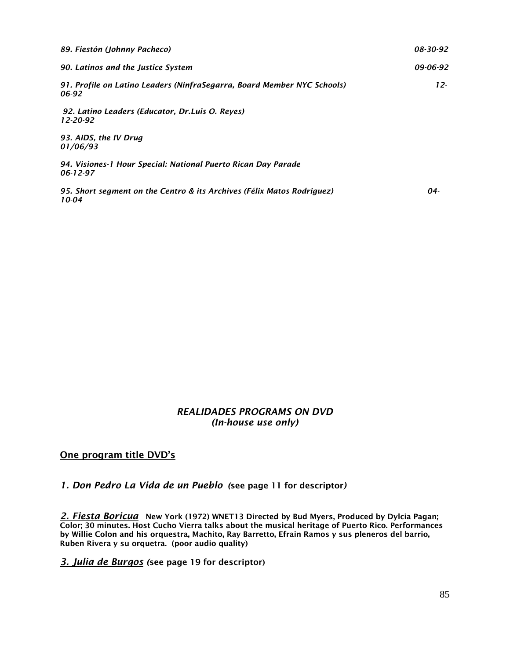| 89. Fiestón (Johnny Pacheco)                                                     | 08-30-92 |
|----------------------------------------------------------------------------------|----------|
| 90. Latinos and the Justice System                                               | 09-06-92 |
| 91. Profile on Latino Leaders (NinfraSegarra, Board Member NYC Schools)<br>06-92 | $12 -$   |
| 92. Latino Leaders (Educator, Dr.Luis O. Reyes)<br>12-20-92                      |          |
| 93. AIDS, the IV Drug<br>01/06/93                                                |          |
| 94. Visiones-1 Hour Special: National Puerto Rican Day Parade<br>$06 - 12 - 97$  |          |
| 95. Short segment on the Centro & its Archives (Félix Matos Rodriguez)<br>10-04  | 04-      |

#### *REALIDADES PROGRAMS ON DVD (In-house use only)*

One program title DVD's

# *1. Don Pedro La Vida de un Pueblo (*see page 11 for descriptor*)*

*2. Fiesta Boricua* New York (1972) WNET13 Directed by Bud Myers, Produced by Dylcia Pagan; Color; 30 minutes. Host Cucho Vierra talks about the musical heritage of Puerto Rico. Performances by Willie Colon and his orquestra, Machito, Ray Barretto, Efrain Ramos y sus pleneros del barrio, Ruben Rivera y su orquetra. (poor audio quality)

*3. Julia de Burgos (*see page 19 for descriptor)